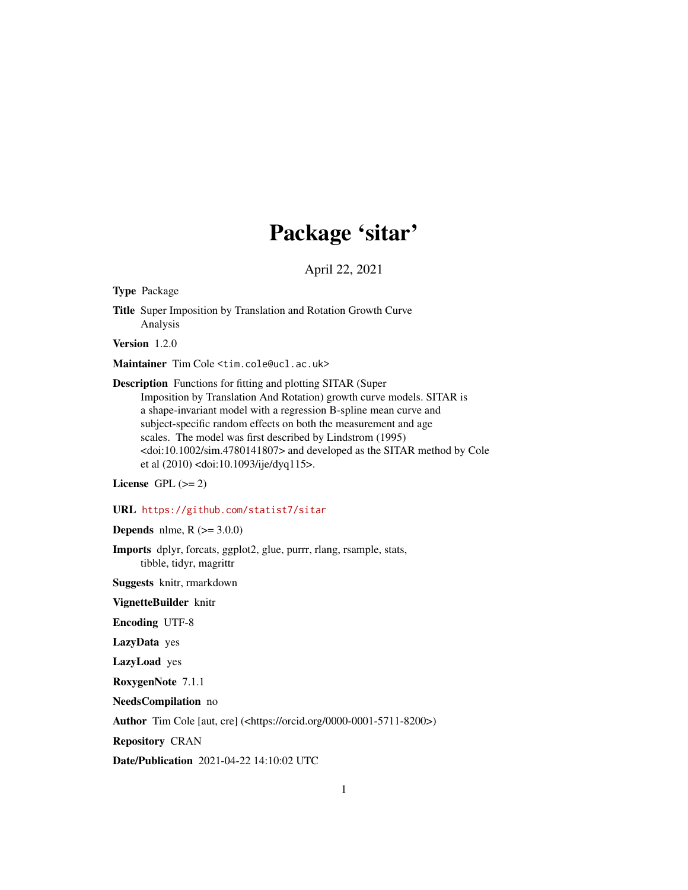## Package 'sitar'

April 22, 2021

<span id="page-0-0"></span>Type Package

Title Super Imposition by Translation and Rotation Growth Curve Analysis

Version 1.2.0

Maintainer Tim Cole <tim.cole@ucl.ac.uk>

Description Functions for fitting and plotting SITAR (Super Imposition by Translation And Rotation) growth curve models. SITAR is a shape-invariant model with a regression B-spline mean curve and subject-specific random effects on both the measurement and age scales. The model was first described by Lindstrom (1995) <doi:10.1002/sim.4780141807> and developed as the SITAR method by Cole et al (2010) <doi:10.1093/ije/dyq115>.

License GPL  $(>= 2)$ 

#### URL <https://github.com/statist7/sitar>

**Depends** nlme,  $R$  ( $> = 3.0.0$ )

Imports dplyr, forcats, ggplot2, glue, purrr, rlang, rsample, stats, tibble, tidyr, magrittr

Suggests knitr, rmarkdown

VignetteBuilder knitr

Encoding UTF-8

LazyData yes

LazyLoad yes

RoxygenNote 7.1.1

NeedsCompilation no

Author Tim Cole [aut, cre] (<https://orcid.org/0000-0001-5711-8200>)

Repository CRAN

Date/Publication 2021-04-22 14:10:02 UTC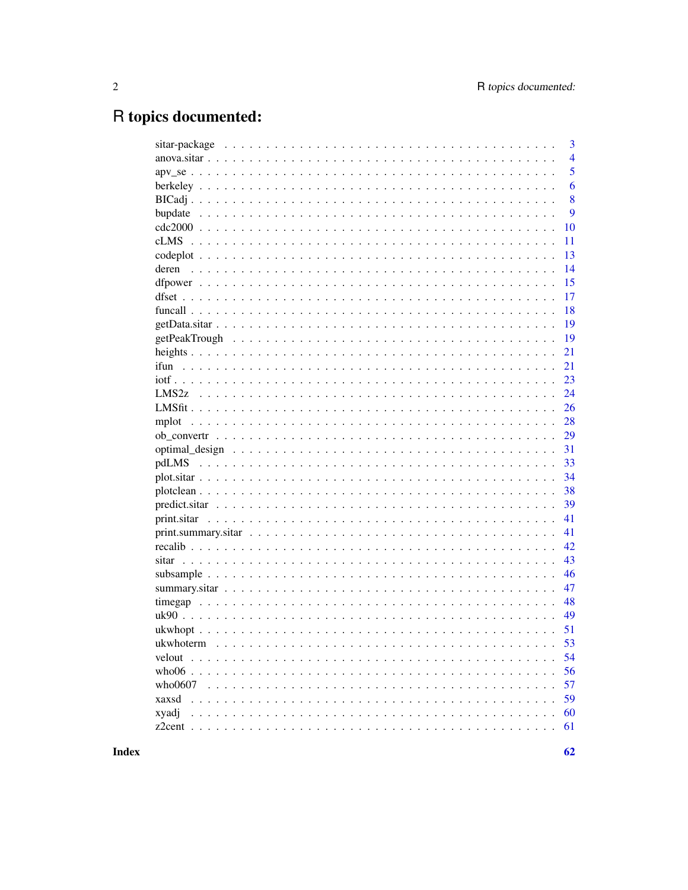## R topics documented:

|         | 3              |
|---------|----------------|
|         | $\overline{4}$ |
|         | 5              |
|         | 6              |
|         | 8              |
|         | 9              |
|         | 10             |
|         | 11             |
|         | 13             |
|         | 14             |
|         | 15             |
|         | 17             |
|         | 18             |
|         | 19             |
|         | 19             |
|         | 21             |
|         | 21             |
|         | 23             |
|         | 24             |
|         | 26             |
|         | 28             |
|         | 29             |
|         | 31             |
|         | 33             |
|         | 34             |
|         | 38             |
|         | 39             |
|         | 41             |
|         | 41             |
|         | 42             |
|         | 43             |
|         | 46             |
|         | 47             |
|         | 48             |
|         | 49             |
|         | 51             |
|         | 53             |
| velout  | 54             |
|         | 56             |
| who0607 | 57             |
| xaxsd   | 59             |
| xyadj   | 60             |
|         | 61             |
|         |                |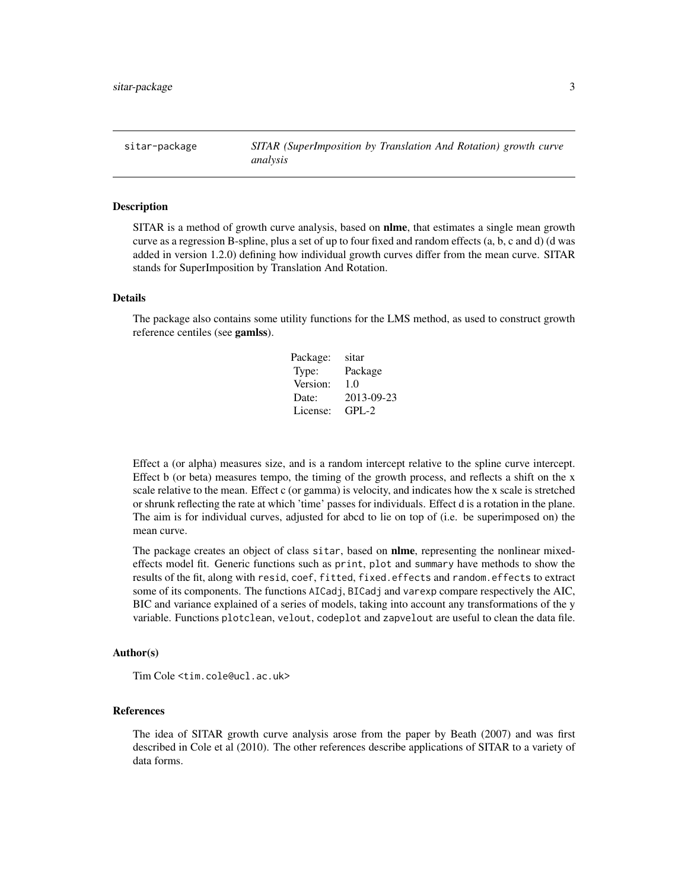<span id="page-2-0"></span>sitar-package *SITAR (SuperImposition by Translation And Rotation) growth curve analysis*

#### Description

SITAR is a method of growth curve analysis, based on **nlme**, that estimates a single mean growth curve as a regression B-spline, plus a set of up to four fixed and random effects (a, b, c and d) (d was added in version 1.2.0) defining how individual growth curves differ from the mean curve. SITAR stands for SuperImposition by Translation And Rotation.

### Details

The package also contains some utility functions for the LMS method, as used to construct growth reference centiles (see gamlss).

| Package: | sitar      |
|----------|------------|
| Type:    | Package    |
| Version: | 1.0        |
| Date:    | 2013-09-23 |
| License: | $GPI - 2$  |

Effect a (or alpha) measures size, and is a random intercept relative to the spline curve intercept. Effect b (or beta) measures tempo, the timing of the growth process, and reflects a shift on the x scale relative to the mean. Effect c (or gamma) is velocity, and indicates how the x scale is stretched or shrunk reflecting the rate at which 'time' passes for individuals. Effect d is a rotation in the plane. The aim is for individual curves, adjusted for abcd to lie on top of (i.e. be superimposed on) the mean curve.

The package creates an object of class sitar, based on **nlme**, representing the nonlinear mixedeffects model fit. Generic functions such as print, plot and summary have methods to show the results of the fit, along with resid, coef, fitted, fixed.effects and random.effects to extract some of its components. The functions AICadj, BICadj and varexp compare respectively the AIC, BIC and variance explained of a series of models, taking into account any transformations of the y variable. Functions plotclean, velout, codeplot and zapvelout are useful to clean the data file.

### Author(s)

Tim Cole <tim.cole@ucl.ac.uk>

#### References

The idea of SITAR growth curve analysis arose from the paper by Beath (2007) and was first described in Cole et al (2010). The other references describe applications of SITAR to a variety of data forms.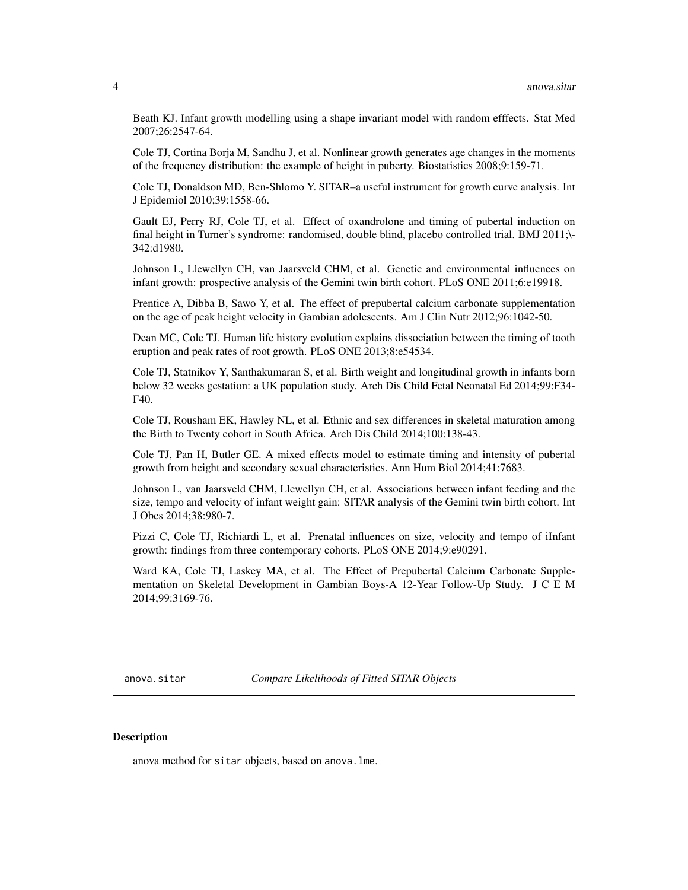<span id="page-3-0"></span>Beath KJ. Infant growth modelling using a shape invariant model with random efffects. Stat Med 2007;26:2547-64.

Cole TJ, Cortina Borja M, Sandhu J, et al. Nonlinear growth generates age changes in the moments of the frequency distribution: the example of height in puberty. Biostatistics 2008;9:159-71.

Cole TJ, Donaldson MD, Ben-Shlomo Y. SITAR–a useful instrument for growth curve analysis. Int J Epidemiol 2010;39:1558-66.

Gault EJ, Perry RJ, Cole TJ, et al. Effect of oxandrolone and timing of pubertal induction on final height in Turner's syndrome: randomised, double blind, placebo controlled trial. BMJ 2011;\- 342:d1980.

Johnson L, Llewellyn CH, van Jaarsveld CHM, et al. Genetic and environmental influences on infant growth: prospective analysis of the Gemini twin birth cohort. PLoS ONE 2011;6:e19918.

Prentice A, Dibba B, Sawo Y, et al. The effect of prepubertal calcium carbonate supplementation on the age of peak height velocity in Gambian adolescents. Am J Clin Nutr 2012;96:1042-50.

Dean MC, Cole TJ. Human life history evolution explains dissociation between the timing of tooth eruption and peak rates of root growth. PLoS ONE 2013;8:e54534.

Cole TJ, Statnikov Y, Santhakumaran S, et al. Birth weight and longitudinal growth in infants born below 32 weeks gestation: a UK population study. Arch Dis Child Fetal Neonatal Ed 2014;99:F34- F40.

Cole TJ, Rousham EK, Hawley NL, et al. Ethnic and sex differences in skeletal maturation among the Birth to Twenty cohort in South Africa. Arch Dis Child 2014;100:138-43.

Cole TJ, Pan H, Butler GE. A mixed effects model to estimate timing and intensity of pubertal growth from height and secondary sexual characteristics. Ann Hum Biol 2014;41:7683.

Johnson L, van Jaarsveld CHM, Llewellyn CH, et al. Associations between infant feeding and the size, tempo and velocity of infant weight gain: SITAR analysis of the Gemini twin birth cohort. Int J Obes 2014;38:980-7.

Pizzi C, Cole TJ, Richiardi L, et al. Prenatal influences on size, velocity and tempo of iInfant growth: findings from three contemporary cohorts. PLoS ONE 2014;9:e90291.

Ward KA, Cole TJ, Laskey MA, et al. The Effect of Prepubertal Calcium Carbonate Supplementation on Skeletal Development in Gambian Boys-A 12-Year Follow-Up Study. J C E M 2014;99:3169-76.

anova.sitar *Compare Likelihoods of Fitted SITAR Objects*

#### Description

anova method for sitar objects, based on anova.lme.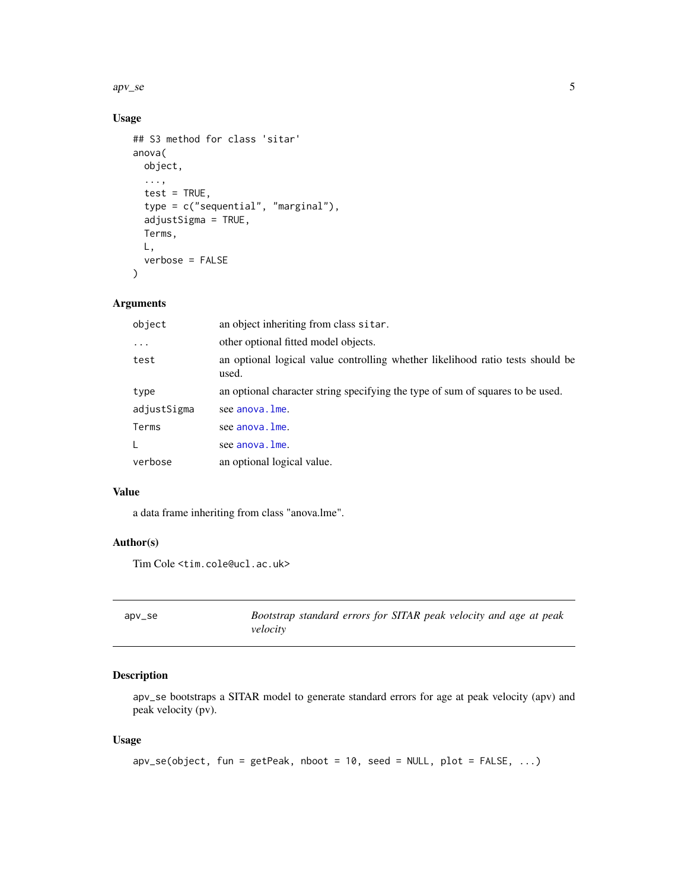<span id="page-4-0"></span> $apv<sub>1</sub>se$  5

### Usage

```
## S3 method for class 'sitar'
anova(
  object,
  ...,
  test = TRUE,
  type = c("sequential", "marginal"),
  adjustSigma = TRUE,
  Terms,
 L,
  verbose = FALSE
)
```
### Arguments

| object      | an object inheriting from class sitar.                                                  |
|-------------|-----------------------------------------------------------------------------------------|
| .           | other optional fitted model objects.                                                    |
| test        | an optional logical value controlling whether likelihood ratio tests should be<br>used. |
| type        | an optional character string specifying the type of sum of squares to be used.          |
| adjustSigma | see anova. Ime.                                                                         |
| Terms       | see anova. Ime.                                                                         |
| L           | see anova. Ime.                                                                         |
| verbose     | an optional logical value.                                                              |

### Value

a data frame inheriting from class "anova.lme".

### Author(s)

Tim Cole <tim.cole@ucl.ac.uk>

<span id="page-4-1"></span>

| apv_se | Bootstrap standard errors for SITAR peak velocity and age at peak |
|--------|-------------------------------------------------------------------|
|        | velocity                                                          |

### Description

apv\_se bootstraps a SITAR model to generate standard errors for age at peak velocity (apv) and peak velocity (pv).

### Usage

```
apv\_se(object, fun = getPeak, nboot = 10, seed = NULL, plot = FALSE, ...)
```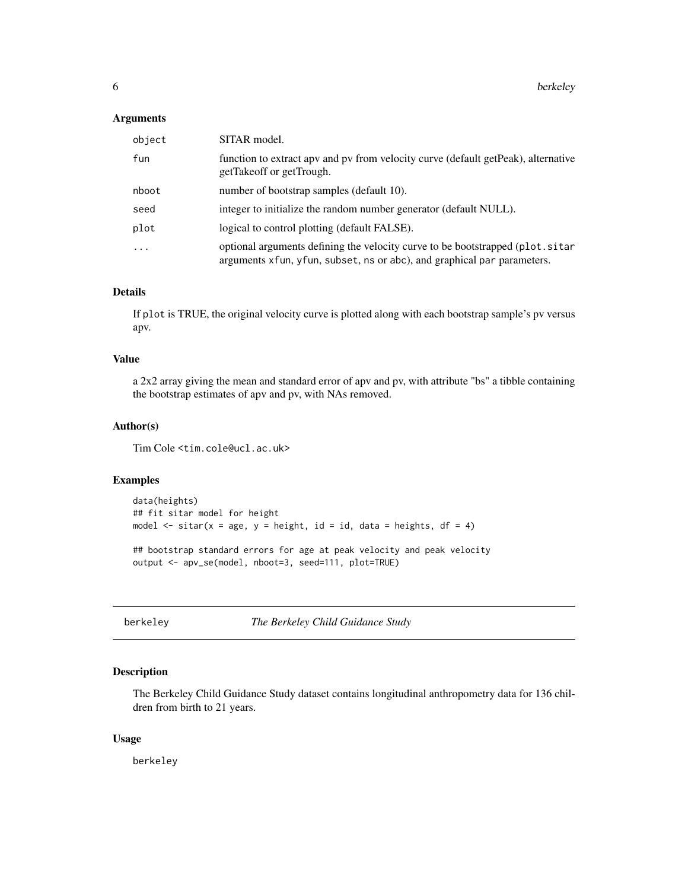#### <span id="page-5-0"></span>Arguments

| object                  | SITAR model.                                                                                                                                             |
|-------------------------|----------------------------------------------------------------------------------------------------------------------------------------------------------|
| fun                     | function to extract apv and pv from velocity curve (default get Peak), alternative<br>getTakeoff or getTrough.                                           |
| nboot                   | number of bootstrap samples (default 10).                                                                                                                |
| seed                    | integer to initialize the random number generator (default NULL).                                                                                        |
| plot                    | logical to control plotting (default FALSE).                                                                                                             |
| $\cdot$ $\cdot$ $\cdot$ | optional arguments defining the velocity curve to be bootstrapped (plot.sitar<br>arguments xfun, yfun, subset, ns or abc), and graphical par parameters. |

### Details

If plot is TRUE, the original velocity curve is plotted along with each bootstrap sample's pv versus apv.

### Value

a 2x2 array giving the mean and standard error of apv and pv, with attribute "bs" a tibble containing the bootstrap estimates of apv and pv, with NAs removed.

### Author(s)

Tim Cole <tim.cole@ucl.ac.uk>

### Examples

```
data(heights)
## fit sitar model for height
model \le sitar(x = age, y = height, id = id, data = heights, df = 4)
## bootstrap standard errors for age at peak velocity and peak velocity
output <- apv_se(model, nboot=3, seed=111, plot=TRUE)
```
berkeley *The Berkeley Child Guidance Study*

### Description

The Berkeley Child Guidance Study dataset contains longitudinal anthropometry data for 136 children from birth to 21 years.

#### Usage

berkeley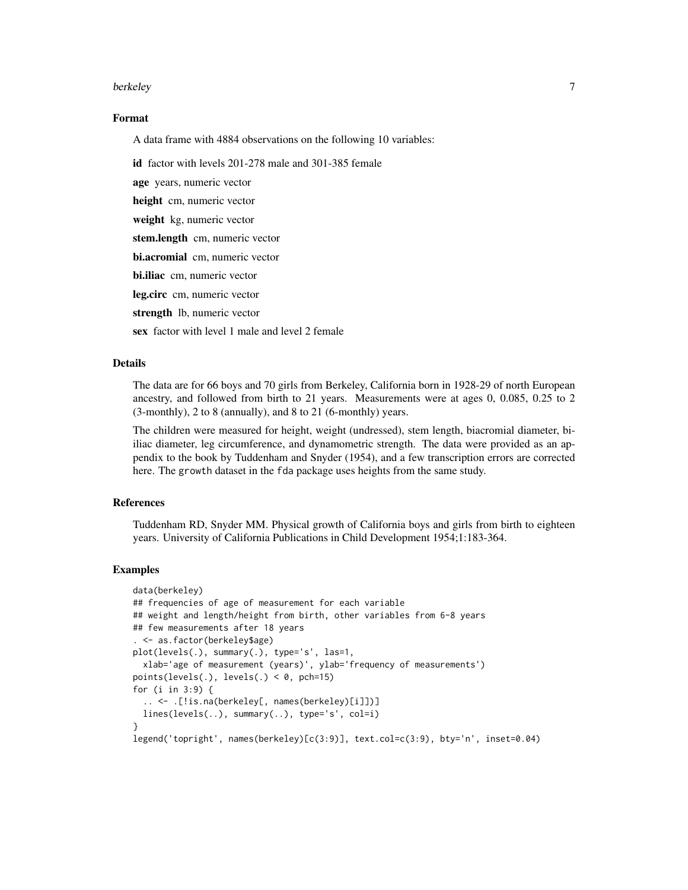#### berkeley **7**

#### Format

A data frame with 4884 observations on the following 10 variables:

id factor with levels 201-278 male and 301-385 female

age years, numeric vector

height cm, numeric vector

weight kg, numeric vector

stem.length cm, numeric vector

bi.acromial cm, numeric vector

bi.iliac cm, numeric vector

leg.circ cm, numeric vector

strength lb, numeric vector

sex factor with level 1 male and level 2 female

### **Details**

The data are for 66 boys and 70 girls from Berkeley, California born in 1928-29 of north European ancestry, and followed from birth to 21 years. Measurements were at ages 0, 0.085, 0.25 to 2 (3-monthly), 2 to 8 (annually), and 8 to 21 (6-monthly) years.

The children were measured for height, weight (undressed), stem length, biacromial diameter, biiliac diameter, leg circumference, and dynamometric strength. The data were provided as an appendix to the book by Tuddenham and Snyder (1954), and a few transcription errors are corrected here. The growth dataset in the fda package uses heights from the same study.

#### References

Tuddenham RD, Snyder MM. Physical growth of California boys and girls from birth to eighteen years. University of California Publications in Child Development 1954;1:183-364.

#### Examples

```
data(berkeley)
## frequencies of age of measurement for each variable
## weight and length/height from birth, other variables from 6-8 years
## few measurements after 18 years
. <- as.factor(berkeley$age)
plot(levels(.), summary(.), type='s', las=1,
  xlab='age of measurement (years)', ylab='frequency of measurements')
points(levels(.), levels(.) < 0, pch=15)
for (i in 3:9) {
  .. <- .[!is.na(berkeley[, names(berkeley)[i]])]
  lines(levels(..), summary(..), type='s', col=i)
}
legend('topright', names(berkeley)[c(3:9)], text.col=c(3:9), bty='n', inset=0.04)
```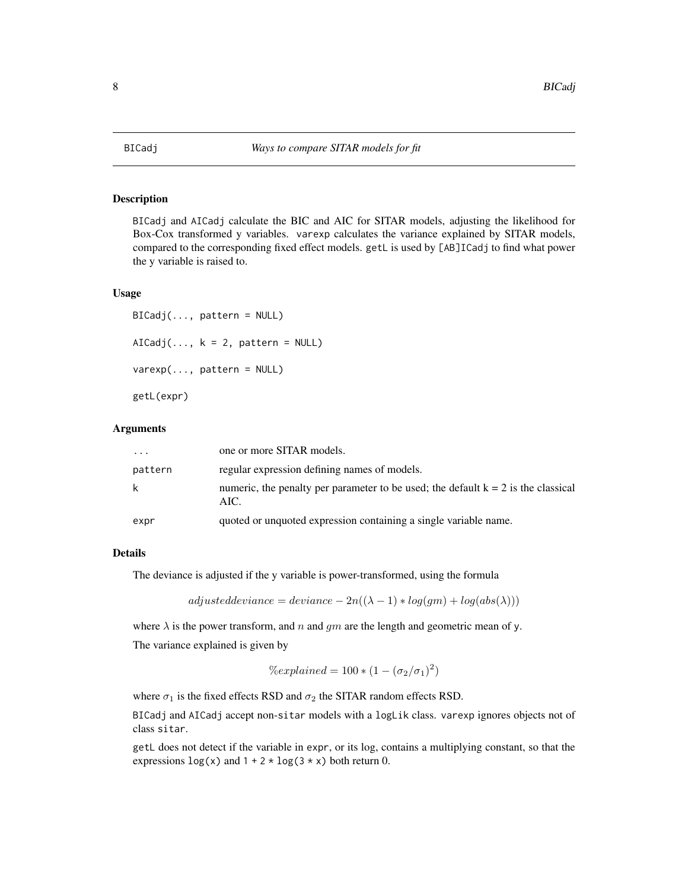<span id="page-7-0"></span>

#### Description

BICadj and AICadj calculate the BIC and AIC for SITAR models, adjusting the likelihood for Box-Cox transformed y variables. varexp calculates the variance explained by SITAR models, compared to the corresponding fixed effect models. getL is used by [AB]ICadj to find what power the y variable is raised to.

#### Usage

```
BICadj(..., pattern = NULL)
AICadj(..., k = 2, pattern = NULL)varexp(..., pattern = NULL)
getL(expr)
```
#### Arguments

| $\cdots$ | one or more SITAR models.                                                                   |
|----------|---------------------------------------------------------------------------------------------|
| pattern  | regular expression defining names of models.                                                |
| k        | numeric, the penalty per parameter to be used; the default $k = 2$ is the classical<br>AIC. |
| expr     | quoted or unquoted expression containing a single variable name.                            |

### Details

The deviance is adjusted if the y variable is power-transformed, using the formula

 $adjusteddeviance = deviance - 2n((\lambda - 1) * log(gm) + log(abs(\lambda)))$ 

where  $\lambda$  is the power transform, and n and gm are the length and geometric mean of y. The variance explained is given by

$$
\% explained = 100 * (1 - (\sigma_2/\sigma_1)^2)
$$

where  $\sigma_1$  is the fixed effects RSD and  $\sigma_2$  the SITAR random effects RSD.

BICadj and AICadj accept non-sitar models with a logLik class. varexp ignores objects not of class sitar.

getL does not detect if the variable in expr, or its log, contains a multiplying constant, so that the expressions  $\log(x)$  and  $1 + 2 \times \log(3 \times x)$  both return 0.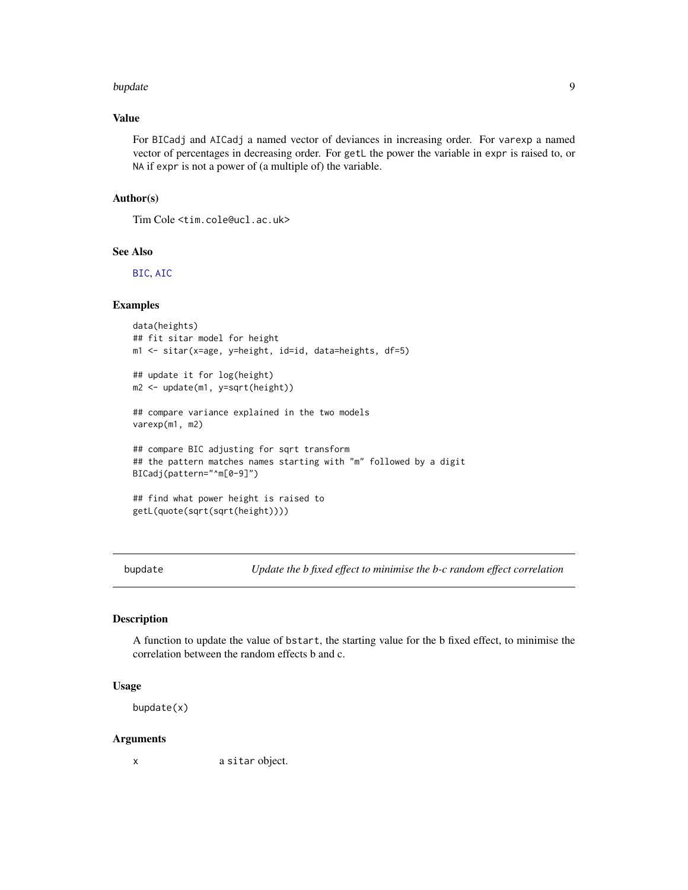#### <span id="page-8-0"></span>bupdate **9** and 2012 12:30 and 2012 12:30 and 2012 12:30 and 2012 12:30 and 2012 12:30 and 2012 12:30 and 2012 12:30 and 2012 12:30 and 2012 12:30 and 2012 12:30 and 2012 12:30 and 2012 12:30 and 2012 12:30 and 2012 12:30

### Value

For BICadj and AICadj a named vector of deviances in increasing order. For varexp a named vector of percentages in decreasing order. For getL the power the variable in expr is raised to, or NA if expr is not a power of (a multiple of) the variable.

### Author(s)

Tim Cole <tim.cole@ucl.ac.uk>

#### See Also

[BIC](#page-0-0), [AIC](#page-0-0)

#### Examples

```
data(heights)
## fit sitar model for height
m1 <- sitar(x=age, y=height, id=id, data=heights, df=5)
## update it for log(height)
m2 <- update(m1, y=sqrt(height))
## compare variance explained in the two models
varexp(m1, m2)
## compare BIC adjusting for sqrt transform
## the pattern matches names starting with "m" followed by a digit
BICadj(pattern="^m[0-9]")
## find what power height is raised to
getL(quote(sqrt(sqrt(height))))
```
bupdate *Update the b fixed effect to minimise the b-c random effect correlation*

### Description

A function to update the value of bstart, the starting value for the b fixed effect, to minimise the correlation between the random effects b and c.

### Usage

bupdate(x)

#### Arguments

x a sitar object.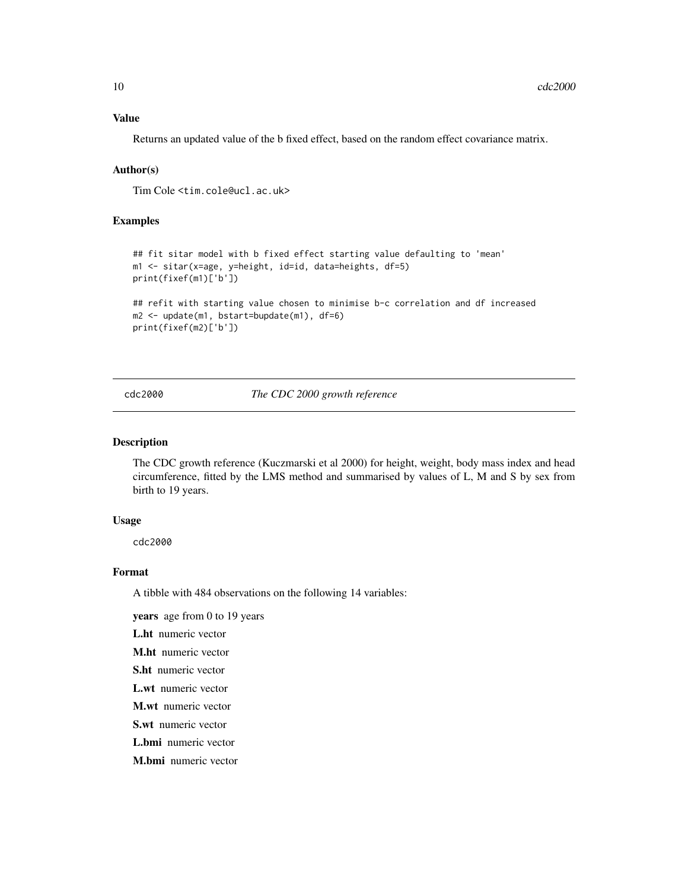### <span id="page-9-0"></span>Value

Returns an updated value of the b fixed effect, based on the random effect covariance matrix.

### Author(s)

Tim Cole <tim.cole@ucl.ac.uk>

### Examples

```
## fit sitar model with b fixed effect starting value defaulting to 'mean'
m1 <- sitar(x=age, y=height, id=id, data=heights, df=5)
print(fixef(m1)['b'])
## refit with starting value chosen to minimise b-c correlation and df increased
m2 <- update(m1, bstart=bupdate(m1), df=6)
```

```
print(fixef(m2)['b'])
```
cdc2000 *The CDC 2000 growth reference*

#### Description

The CDC growth reference (Kuczmarski et al 2000) for height, weight, body mass index and head circumference, fitted by the LMS method and summarised by values of L, M and S by sex from birth to 19 years.

#### Usage

cdc2000

#### Format

A tibble with 484 observations on the following 14 variables:

years age from 0 to 19 years

L.ht numeric vector

M.ht numeric vector

- S.ht numeric vector
- L.wt numeric vector

M.wt numeric vector

S.wt numeric vector

L.bmi numeric vector

M.bmi numeric vector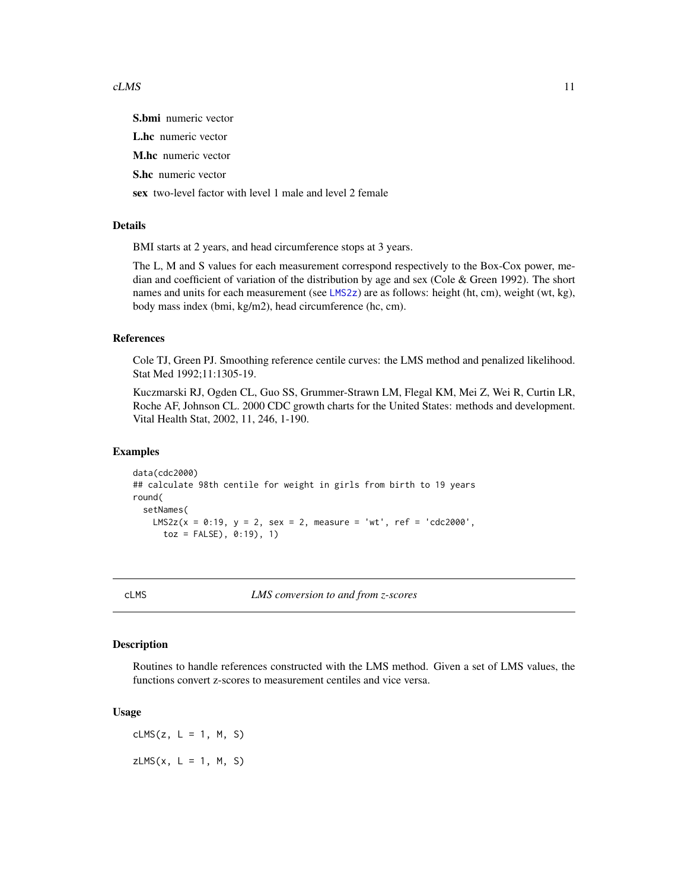#### <span id="page-10-0"></span> $cLMS$  11

S.bmi numeric vector L.hc numeric vector M.hc numeric vector S.hc numeric vector sex two-level factor with level 1 male and level 2 female

### Details

BMI starts at 2 years, and head circumference stops at 3 years.

The L, M and S values for each measurement correspond respectively to the Box-Cox power, median and coefficient of variation of the distribution by age and sex (Cole & Green 1992). The short names and units for each measurement (see [LMS2z](#page-23-1)) are as follows: height (ht, cm), weight (wt, kg), body mass index (bmi, kg/m2), head circumference (hc, cm).

#### References

Cole TJ, Green PJ. Smoothing reference centile curves: the LMS method and penalized likelihood. Stat Med 1992;11:1305-19.

Kuczmarski RJ, Ogden CL, Guo SS, Grummer-Strawn LM, Flegal KM, Mei Z, Wei R, Curtin LR, Roche AF, Johnson CL. 2000 CDC growth charts for the United States: methods and development. Vital Health Stat, 2002, 11, 246, 1-190.

### Examples

```
data(cdc2000)
## calculate 98th centile for weight in girls from birth to 19 years
round(
 setNames(
   LMS2z(x = 0:19, y = 2, sex = 2, measure = 'wt', ref = 'cdc2000',toz = FALSE), 0:19), 1)
```
<span id="page-10-1"></span>cLMS *LMS conversion to and from z-scores*

#### <span id="page-10-2"></span>Description

Routines to handle references constructed with the LMS method. Given a set of LMS values, the functions convert z-scores to measurement centiles and vice versa.

#### Usage

 $clMS(z, L = 1, M, S)$  $ZLMS(x, L = 1, M, S)$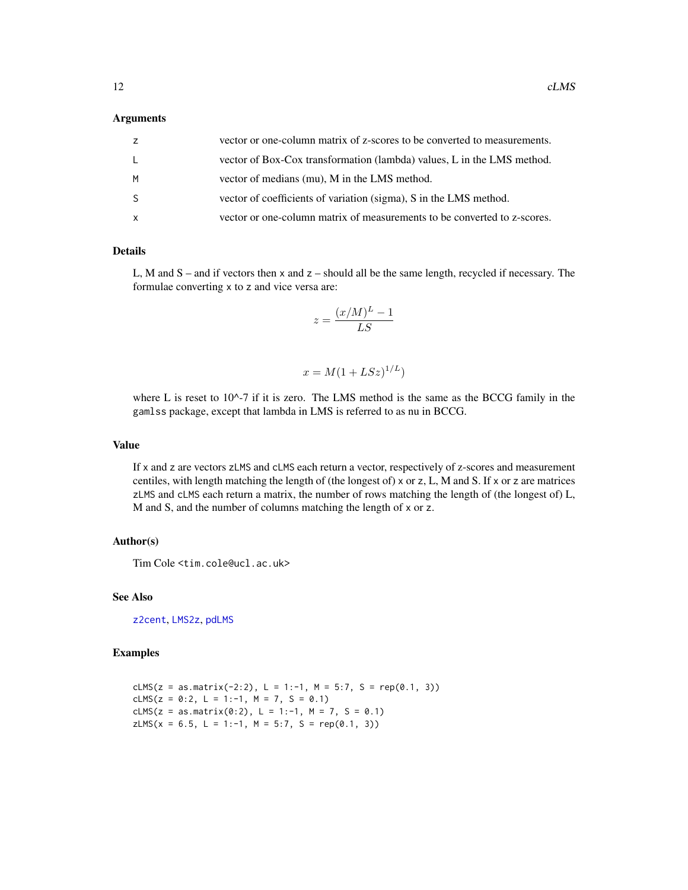#### <span id="page-11-0"></span>**Arguments**

| z            | vector or one-column matrix of z-scores to be converted to measurements. |
|--------------|--------------------------------------------------------------------------|
| $\mathsf{L}$ | vector of Box-Cox transformation (lambda) values, L in the LMS method.   |
| M            | vector of medians (mu), M in the LMS method.                             |
| <sub>S</sub> | vector of coefficients of variation (sigma), S in the LMS method.        |
| $\mathsf{x}$ | vector or one-column matrix of measurements to be converted to z-scores. |

### Details

L, M and  $S$  – and if vectors then  $x$  and  $z$  – should all be the same length, recycled if necessary. The formulae converting x to z and vice versa are:

$$
z = \frac{(x/M)^L - 1}{LS}
$$

$$
x = M(1 + LSz)^{1/L})
$$

where L is reset to  $10^{\lambda}$ -7 if it is zero. The LMS method is the same as the BCCG family in the gamlss package, except that lambda in LMS is referred to as nu in BCCG.

### Value

If x and z are vectors zLMS and cLMS each return a vector, respectively of z-scores and measurement centiles, with length matching the length of (the longest of) x or z, L, M and S. If x or z are matrices zLMS and cLMS each return a matrix, the number of rows matching the length of (the longest of) L, M and S, and the number of columns matching the length of x or z.

#### Author(s)

Tim Cole <tim.cole@ucl.ac.uk>

### See Also

[z2cent](#page-60-1), [LMS2z](#page-23-1), [pdLMS](#page-32-1)

### Examples

```
cLMS(z = as.matrix(-2:2), L = 1:-1, M = 5:7, S = rep(0.1, 3))
cLMS(z = 0:2, L = 1:-1, M = 7, S = 0.1)
cLMS(z = as.matrix(0:2), L = 1:-1, M = 7, S = 0.1)
zLMS(x = 6.5, L = 1:-1, M = 5:7, S = rep(0.1, 3))
```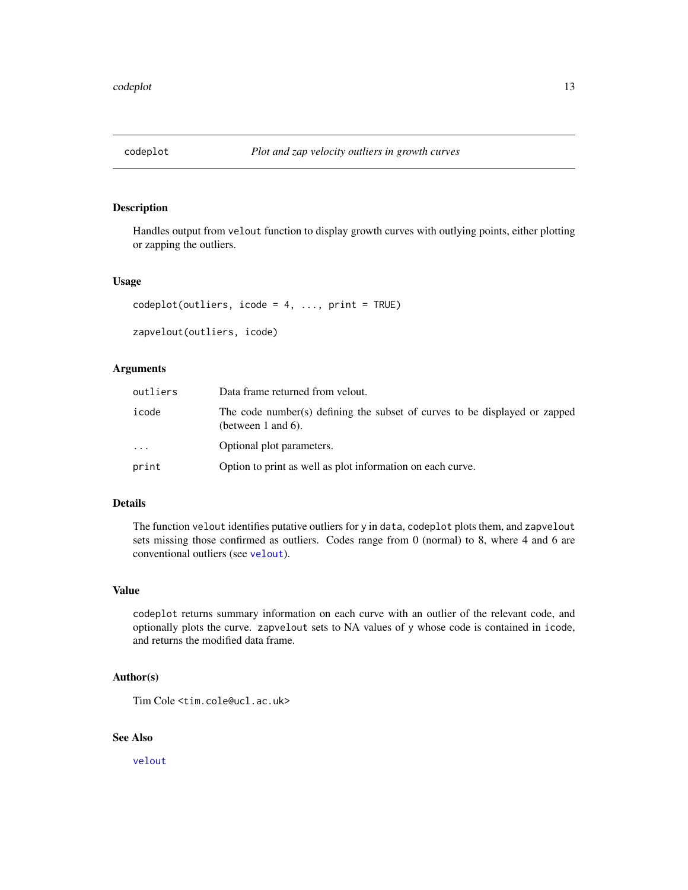<span id="page-12-1"></span><span id="page-12-0"></span>

### <span id="page-12-2"></span>Description

Handles output from velout function to display growth curves with outlying points, either plotting or zapping the outliers.

#### Usage

```
codeplot(outliers, icode = 4, ..., print = TRUE)
```

```
zapvelout(outliers, icode)
```
### Arguments

| outliers | Data frame returned from velout.                                                                 |
|----------|--------------------------------------------------------------------------------------------------|
| icode    | The code number(s) defining the subset of curves to be displayed or zapped<br>(between 1 and 6). |
| $\ddots$ | Optional plot parameters.                                                                        |
| print    | Option to print as well as plot information on each curve.                                       |

### Details

The function velout identifies putative outliers for y in data, codeplot plots them, and zapvelout sets missing those confirmed as outliers. Codes range from 0 (normal) to 8, where 4 and 6 are conventional outliers (see [velout](#page-53-1)).

#### Value

codeplot returns summary information on each curve with an outlier of the relevant code, and optionally plots the curve. zapvelout sets to NA values of y whose code is contained in icode, and returns the modified data frame.

### Author(s)

Tim Cole <tim.cole@ucl.ac.uk>

### See Also

[velout](#page-53-1)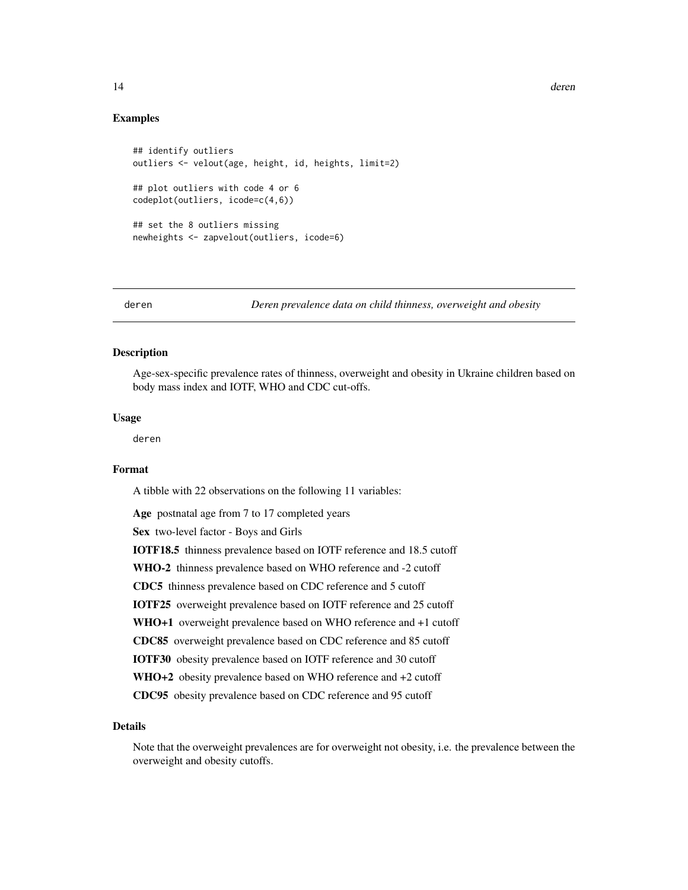### Examples

```
## identify outliers
outliers <- velout(age, height, id, heights, limit=2)
## plot outliers with code 4 or 6
codeplot(outliers, icode=c(4,6))
## set the 8 outliers missing
newheights <- zapvelout(outliers, icode=6)
```
deren *Deren prevalence data on child thinness, overweight and obesity*

#### Description

Age-sex-specific prevalence rates of thinness, overweight and obesity in Ukraine children based on body mass index and IOTF, WHO and CDC cut-offs.

#### Usage

deren

### Format

A tibble with 22 observations on the following 11 variables:

```
Age postnatal age from 7 to 17 completed years
Sex two-level factor - Boys and Girls
IOTF18.5 thinness prevalence based on IOTF reference and 18.5 cutoff
WHO-2 thinness prevalence based on WHO reference and -2 cutoff
CDC5 thinness prevalence based on CDC reference and 5 cutoff
IOTF25 overweight prevalence based on IOTF reference and 25 cutoff
WHO+1 overweight prevalence based on WHO reference and +1 cutoff
CDC85 overweight prevalence based on CDC reference and 85 cutoff
IOTF30 obesity prevalence based on IOTF reference and 30 cutoff
WHO+2 obesity prevalence based on WHO reference and +2 cutoff
CDC95 obesity prevalence based on CDC reference and 95 cutoff
```
### Details

Note that the overweight prevalences are for overweight not obesity, i.e. the prevalence between the overweight and obesity cutoffs.

<span id="page-13-0"></span>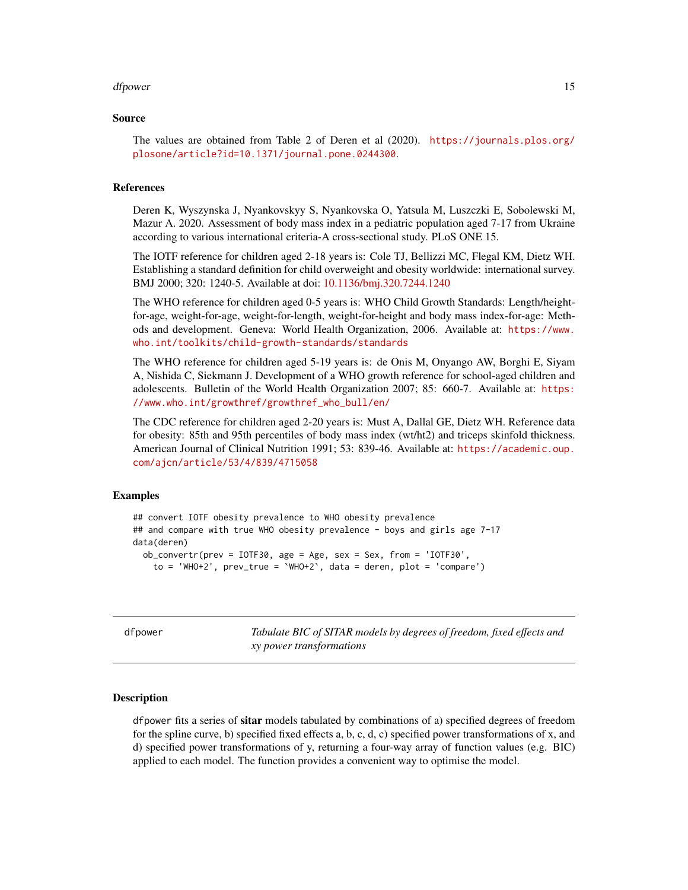#### <span id="page-14-0"></span>dfpower and the state of the state of the state of the state of the state of the state of the state of the state of the state of the state of the state of the state of the state of the state of the state of the state of th

#### Source

The values are obtained from Table 2 of Deren et al (2020). [https://journals.plos.org/](https://journals.plos.org/plosone/article?id=10.1371/journal.pone.0244300) [plosone/article?id=10.1371/journal.pone.0244300](https://journals.plos.org/plosone/article?id=10.1371/journal.pone.0244300).

#### References

Deren K, Wyszynska J, Nyankovskyy S, Nyankovska O, Yatsula M, Luszczki E, Sobolewski M, Mazur A. 2020. Assessment of body mass index in a pediatric population aged 7-17 from Ukraine according to various international criteria-A cross-sectional study. PLoS ONE 15.

The IOTF reference for children aged 2-18 years is: Cole TJ, Bellizzi MC, Flegal KM, Dietz WH. Establishing a standard definition for child overweight and obesity worldwide: international survey. BMJ 2000; 320: 1240-5. Available at doi: [10.1136/bmj.320.7244.1240](https://doi.org/10.1136/bmj.320.7244.1240)

The WHO reference for children aged 0-5 years is: WHO Child Growth Standards: Length/heightfor-age, weight-for-age, weight-for-length, weight-for-height and body mass index-for-age: Methods and development. Geneva: World Health Organization, 2006. Available at: [https://www.](https://www.who.int/toolkits/child-growth-standards/standards) [who.int/toolkits/child-growth-standards/standards](https://www.who.int/toolkits/child-growth-standards/standards)

The WHO reference for children aged 5-19 years is: de Onis M, Onyango AW, Borghi E, Siyam A, Nishida C, Siekmann J. Development of a WHO growth reference for school-aged children and adolescents. Bulletin of the World Health Organization 2007; 85: 660-7. Available at: [https:](https://www.who.int/growthref/growthref_who_bull/en/) [//www.who.int/growthref/growthref\\_who\\_bull/en/](https://www.who.int/growthref/growthref_who_bull/en/)

The CDC reference for children aged 2-20 years is: Must A, Dallal GE, Dietz WH. Reference data for obesity: 85th and 95th percentiles of body mass index (wt/ht2) and triceps skinfold thickness. American Journal of Clinical Nutrition 1991; 53: 839-46. Available at: [https://academic.oup.](https://academic.oup.com/ajcn/article/53/4/839/4715058) [com/ajcn/article/53/4/839/4715058](https://academic.oup.com/ajcn/article/53/4/839/4715058)

### Examples

```
## convert IOTF obesity prevalence to WHO obesity prevalence
## and compare with true WHO obesity prevalence - boys and girls age 7-17
data(deren)
 ob_{\text{convertr}}(prev = IOTF30, age = Age, sex = Sex, from = 'IOTF30',to = 'WHO+2', prev\_true = 'WHO+2', data = deren, plot = 'compare')
```
dfpower *Tabulate BIC of SITAR models by degrees of freedom, fixed effects and xy power transformations*

#### Description

dfpower fits a series of **sitar** models tabulated by combinations of a) specified degrees of freedom for the spline curve, b) specified fixed effects a, b, c, d, c) specified power transformations of x, and d) specified power transformations of y, returning a four-way array of function values (e.g. BIC) applied to each model. The function provides a convenient way to optimise the model.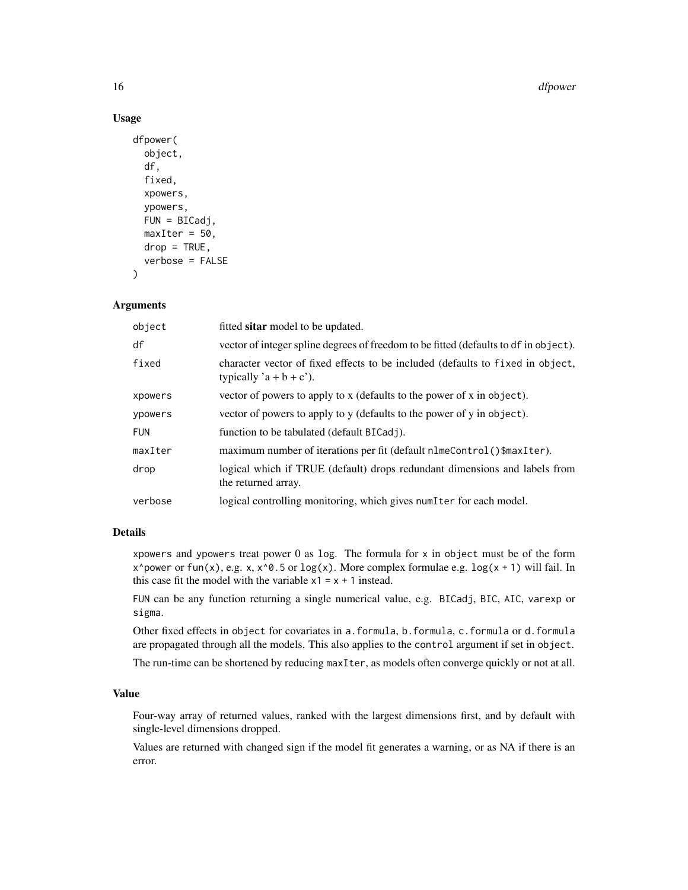#### 16 dfpower

### Usage

```
dfpower(
  object,
  df,
  fixed,
  xpowers,
  ypowers,
 FUN = BICadj,maxIter = 50,
 drop = TRUE,verbose = FALSE
)
```
### **Arguments**

| object     | fitted sitar model to be updated.                                                                          |
|------------|------------------------------------------------------------------------------------------------------------|
| df         | vector of integer spline degrees of freedom to be fitted (defaults to df in object).                       |
| fixed      | character vector of fixed effects to be included (defaults to fixed in object,<br>typically $a + b + c$ ). |
| xpowers    | vector of powers to apply to x (defaults to the power of x in object).                                     |
| ypowers    | vector of powers to apply to y (defaults to the power of y in object).                                     |
| <b>FUN</b> | function to be tabulated (default BICadj).                                                                 |
| maxIter    | maximum number of iterations per fit (default nlmeControl()\$maxIter).                                     |
| drop       | logical which if TRUE (default) drops redundant dimensions and labels from<br>the returned array.          |
| verbose    | logical controlling monitoring, which gives numIter for each model.                                        |

### Details

xpowers and ypowers treat power  $0$  as log. The formula for  $x$  in object must be of the form x^power or fun(x), e.g. x,  $x^0.5$  or log(x). More complex formulae e.g. log(x + 1) will fail. In this case fit the model with the variable  $x1 = x + 1$  instead.

FUN can be any function returning a single numerical value, e.g. BICadj, BIC, AIC, varexp or sigma.

Other fixed effects in object for covariates in a.formula, b.formula, c.formula or d.formula are propagated through all the models. This also applies to the control argument if set in object.

The run-time can be shortened by reducing maxIter, as models often converge quickly or not at all.

#### Value

Four-way array of returned values, ranked with the largest dimensions first, and by default with single-level dimensions dropped.

Values are returned with changed sign if the model fit generates a warning, or as NA if there is an error.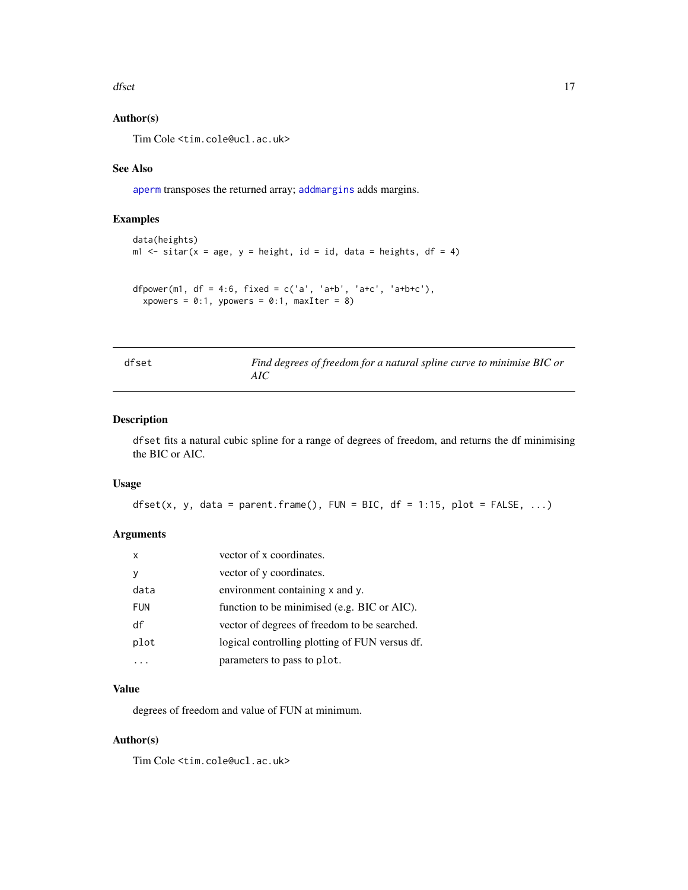<span id="page-16-0"></span>dfset 17

### Author(s)

Tim Cole <tim.cole@ucl.ac.uk>

### See Also

[aperm](#page-0-0) transposes the returned array; [addmargins](#page-0-0) adds margins.

### Examples

```
data(heights)
m1 \le sitar(x = age, y = height, id = id, data = heights, df = 4)
dfpower(m1, df = 4:6, fixed = c('a', 'a+b', 'a+c', 'a+b+c'),
  xpowers = 0:1, ypowers = 0:1, maxIter = 8)
```

| . .<br>×<br>×<br>٧<br>× |
|-------------------------|
|-------------------------|

Find degrees of freedom for a natural spline curve to minimise BIC or *AIC*

### Description

dfset fits a natural cubic spline for a range of degrees of freedom, and returns the df minimising the BIC or AIC.

### Usage

```
dfset(x, y, data = parent.frame(), FUN = BIC, df = 1:15, plot = FALSE, ...)
```
### Arguments

| x          | vector of x coordinates.                       |
|------------|------------------------------------------------|
|            | vector of y coordinates.                       |
| data       | environment containing x and y.                |
| <b>FUN</b> | function to be minimised (e.g. BIC or AIC).    |
| df         | vector of degrees of freedom to be searched.   |
| plot       | logical controlling plotting of FUN versus df. |
|            | parameters to pass to plot.                    |

### Value

degrees of freedom and value of FUN at minimum.

### Author(s)

Tim Cole <tim.cole@ucl.ac.uk>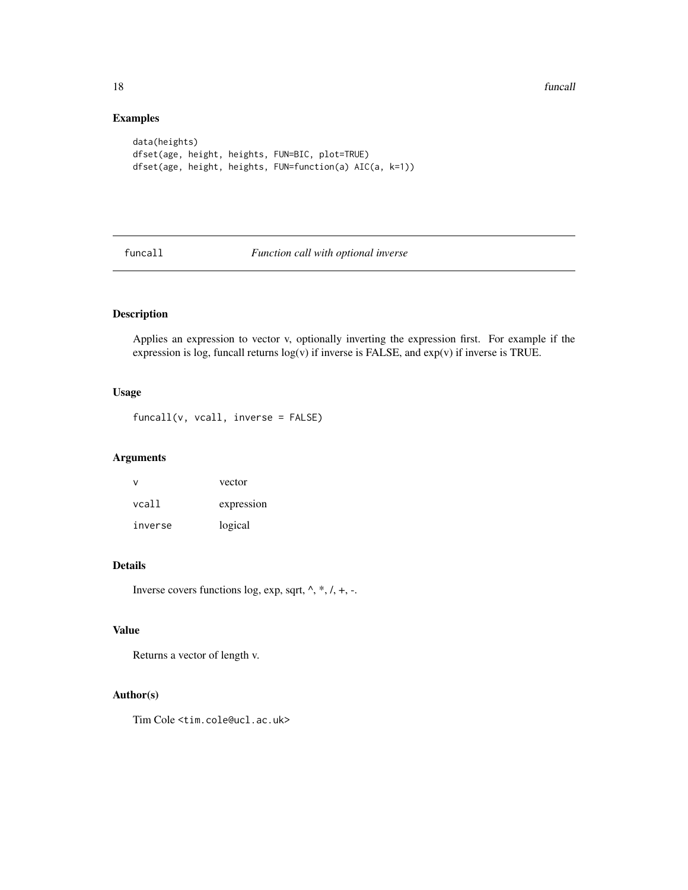<span id="page-17-0"></span>18 funcall and the set of the set of the set of the set of the set of the set of the set of the set of the set of the set of the set of the set of the set of the set of the set of the set of the set of the set of the set o

### Examples

```
data(heights)
dfset(age, height, heights, FUN=BIC, plot=TRUE)
dfset(age, height, heights, FUN=function(a) AIC(a, k=1))
```
funcall *Function call with optional inverse*

### Description

Applies an expression to vector v, optionally inverting the expression first. For example if the expression is log, funcall returns  $log(v)$  if inverse is FALSE, and  $exp(v)$  if inverse is TRUE.

### Usage

 $funcall(v, vcall, inverse = FALSE)$ 

### Arguments

|         | vector     |
|---------|------------|
| vcall   | expression |
| inverse | logical    |

### Details

Inverse covers functions log, exp, sqrt,  $\land$ ,  $*, \land$ ,  $+,$ ...

### Value

Returns a vector of length v.

### Author(s)

Tim Cole <tim.cole@ucl.ac.uk>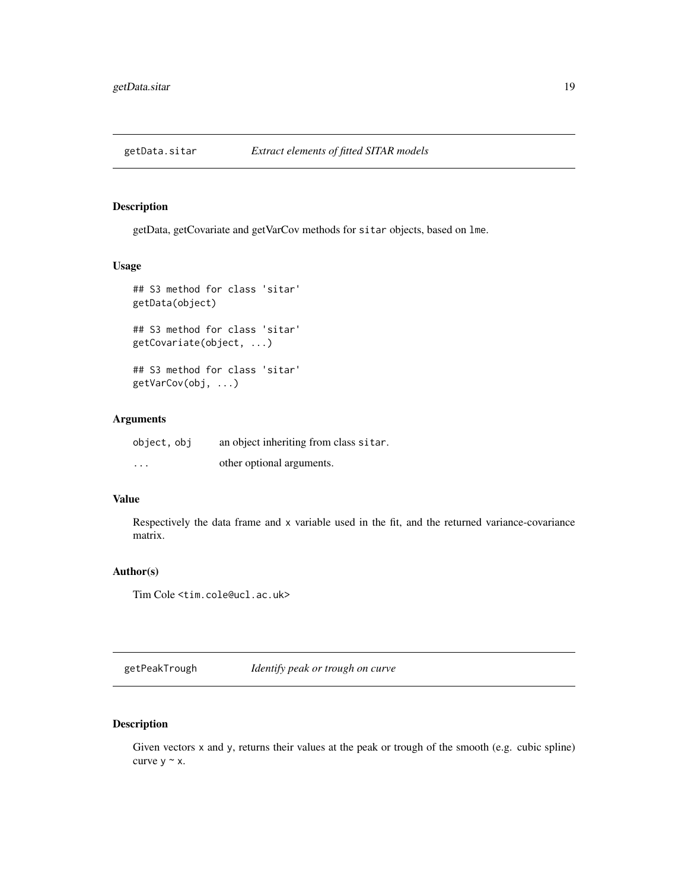<span id="page-18-0"></span>

### Description

getData, getCovariate and getVarCov methods for sitar objects, based on lme.

### Usage

```
## S3 method for class 'sitar'
getData(object)
## S3 method for class 'sitar'
getCovariate(object, ...)
## S3 method for class 'sitar'
getVarCov(obj, ...)
```
### Arguments

| object, obj | an object inheriting from class sitar. |
|-------------|----------------------------------------|
| $\cdots$    | other optional arguments.              |

#### Value

Respectively the data frame and x variable used in the fit, and the returned variance-covariance matrix.

### Author(s)

Tim Cole <tim.cole@ucl.ac.uk>

getPeakTrough *Identify peak or trough on curve*

### Description

Given vectors x and y, returns their values at the peak or trough of the smooth (e.g. cubic spline) curve  $y \sim x$ .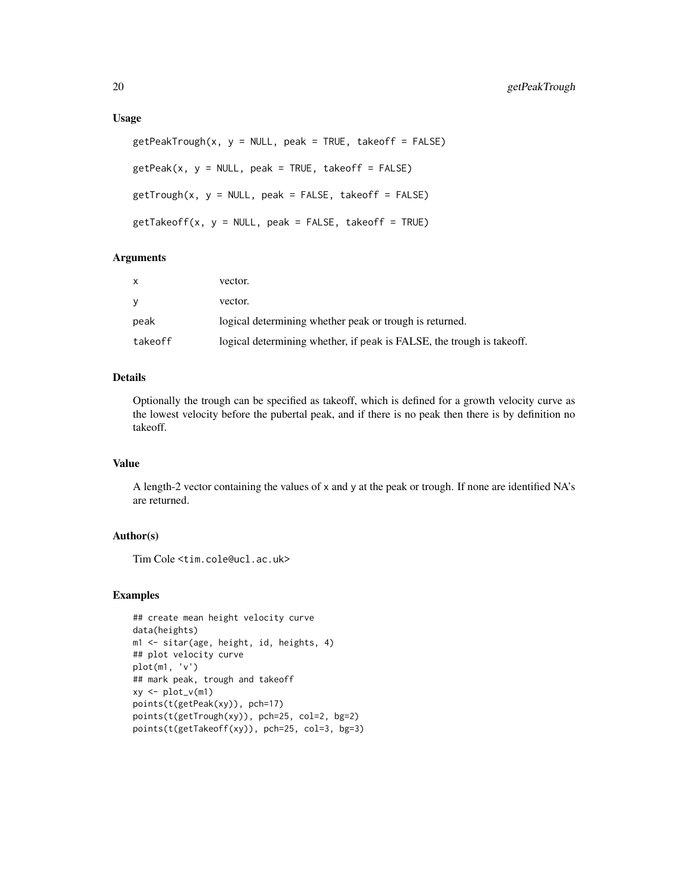#### Usage

```
getPeakTrough(x, y = NULL, peak = TRUE, takeoff = FALSE)getPeak(x, y = NULL, peak = TRUE, takeoff = FALSE)getTrough(x, y = NULL, peak = FALSE, takeoff = FALSE)getTakeoff(x, y = NULL, peak = FALSE, takeoff = TRUE)
```
### **Arguments**

| X       | vector.                                                               |
|---------|-----------------------------------------------------------------------|
| y       | vector.                                                               |
| peak    | logical determining whether peak or trough is returned.               |
| takeoff | logical determining whether, if peak is FALSE, the trough is takeoff. |

### Details

Optionally the trough can be specified as takeoff, which is defined for a growth velocity curve as the lowest velocity before the pubertal peak, and if there is no peak then there is by definition no takeoff.

### Value

A length-2 vector containing the values of x and y at the peak or trough. If none are identified NA's are returned.

### Author(s)

Tim Cole <tim.cole@ucl.ac.uk>

#### Examples

```
## create mean height velocity curve
data(heights)
m1 <- sitar(age, height, id, heights, 4)
## plot velocity curve
plot(m1, 'v')
## mark peak, trough and takeoff
xy \leftarrow plot_v(m1)points(t(getPeak(xy)), pch=17)
points(t(getTrough(xy)), pch=25, col=2, bg=2)
points(t(getTakeoff(xy)), pch=25, col=3, bg=3)
```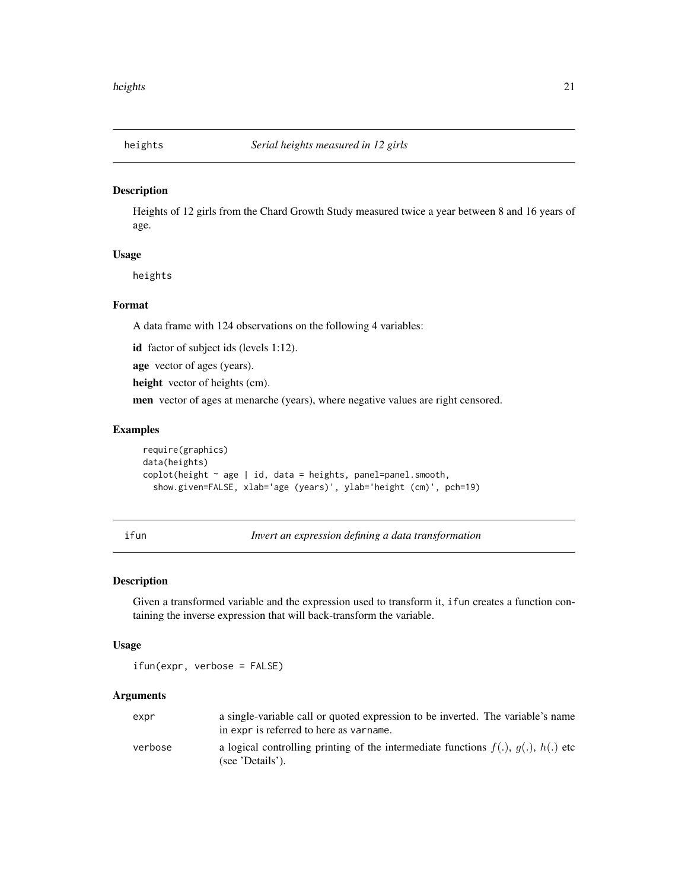<span id="page-20-0"></span>

### Description

Heights of 12 girls from the Chard Growth Study measured twice a year between 8 and 16 years of age.

### Usage

heights

#### Format

A data frame with 124 observations on the following 4 variables:

id factor of subject ids (levels 1:12).

age vector of ages (years).

height vector of heights (cm).

men vector of ages at menarche (years), where negative values are right censored.

#### Examples

```
require(graphics)
data(heights)
\text{coplot}(\text{height} \sim \text{age} \mid \text{id}, \text{data} = \text{heights}, \text{panel} = \text{panel}.\text{smooth},show.given=FALSE, xlab='age (years)', ylab='height (cm)', pch=19)
```
<span id="page-20-1"></span>ifun *Invert an expression defining a data transformation*

### Description

Given a transformed variable and the expression used to transform it, ifun creates a function containing the inverse expression that will back-transform the variable.

#### Usage

ifun(expr, verbose = FALSE)

#### Arguments

| expr    | a single-variable call or quoted expression to be inverted. The variable's name                               |
|---------|---------------------------------------------------------------------------------------------------------------|
|         | in expr is referred to here as varname.                                                                       |
| verbose | a logical controlling printing of the intermediate functions $f(.)$ , $g(.)$ , $h(.)$ etc<br>(see 'Details'). |
|         |                                                                                                               |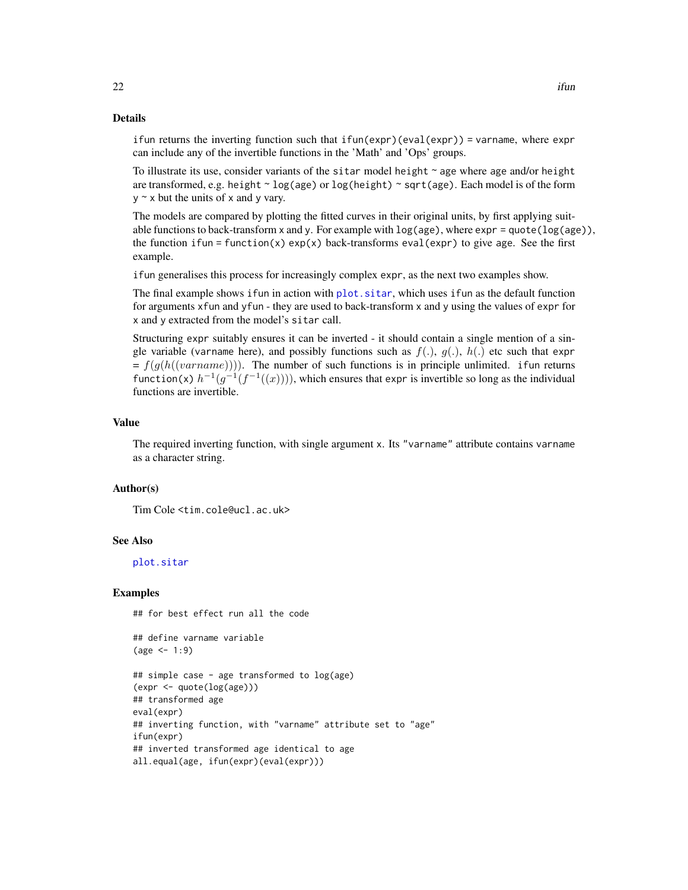#### Details

ifun returns the inverting function such that ifun(expr)(eval(expr)) = varname, where expr can include any of the invertible functions in the 'Math' and 'Ops' groups.

To illustrate its use, consider variants of the sitar model height  $\sim$  age where age and/or height are transformed, e.g. height ~ log(age) or log(height) ~ sqrt(age). Each model is of the form  $y \sim x$  but the units of x and y vary.

The models are compared by plotting the fitted curves in their original units, by first applying suitable functions to back-transform x and y. For example with  $log(age)$ , where  $exp = quote(log(age))$ , the function if  $\text{un} = \text{function}(x) \exp(x)$  back-transforms eval(expr) to give age. See the first example.

ifun generalises this process for increasingly complex expr, as the next two examples show.

The final example shows if un in action with plot. sitar, which uses if un as the default function for arguments xfun and yfun - they are used to back-transform x and y using the values of expr for x and y extracted from the model's sitar call.

Structuring expr suitably ensures it can be inverted - it should contain a single mention of a single variable (varname here), and possibly functions such as  $f(.)$ ,  $g(.)$ ,  $h(.)$  etc such that expr  $= f(g(h((varname)))$ . The number of such functions is in principle unlimited. if un returns function(x)  $h^{-1}(g^{-1}(f^{-1}((x))))$ , which ensures that expr is invertible so long as the individual functions are invertible.

#### Value

The required inverting function, with single argument x. Its "varname" attribute contains varname as a character string.

#### Author(s)

Tim Cole <tim.cole@ucl.ac.uk>

#### See Also

[plot.sitar](#page-33-1)

#### Examples

## for best effect run all the code

```
## define varname variable
(age < -1:9)
```

```
## simple case - age transformed to log(age)
(expr <- quote(log(age)))
## transformed age
eval(expr)
## inverting function, with "varname" attribute set to "age"
ifun(expr)
## inverted transformed age identical to age
all.equal(age, ifun(expr)(eval(expr)))
```
<span id="page-21-0"></span>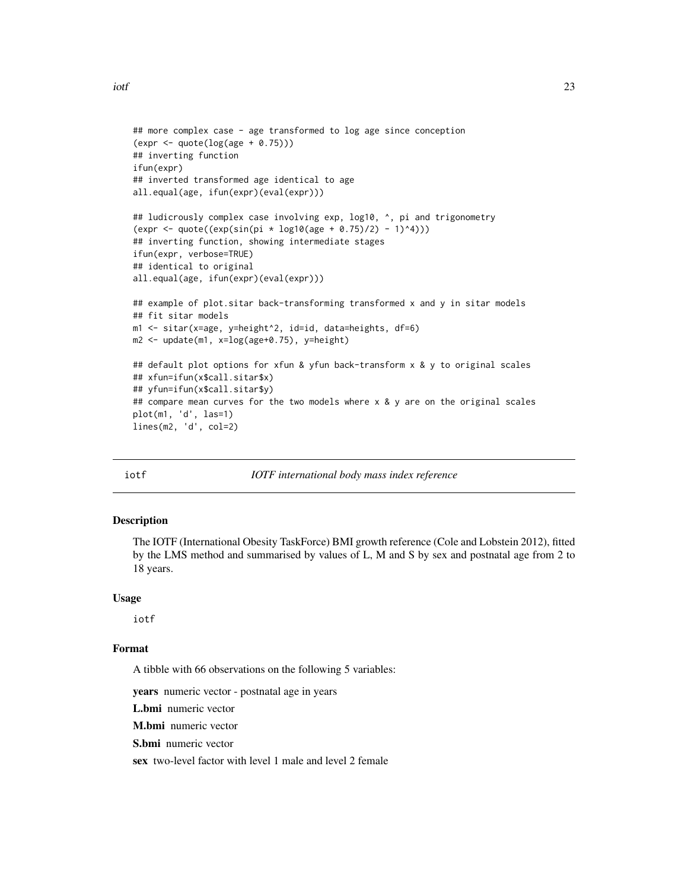```
## more complex case - age transformed to log age since conception
(expr <- quote(log(age + 0.75)))
## inverting function
ifun(expr)
## inverted transformed age identical to age
all.equal(age, ifun(expr)(eval(expr)))
## ludicrously complex case involving exp, log10, ^, pi and trigonometry
(exp < -quote((exp(sin(pi * log10(age + 0.75)/2) - 1)^4)))## inverting function, showing intermediate stages
ifun(expr, verbose=TRUE)
## identical to original
all.equal(age, ifun(expr)(eval(expr)))
## example of plot.sitar back-transforming transformed x and y in sitar models
## fit sitar models
m1 <- sitar(x=age, y=height^2, id=id, data=heights, df=6)
m2 <- update(m1, x=log(age+0.75), y=height)
## default plot options for xfun & yfun back-transform x & y to original scales
## xfun=ifun(x$call.sitar$x)
## yfun=ifun(x$call.sitar$y)
## compare mean curves for the two models where x & y are on the original scales
plot(m1, 'd', las=1)
lines(m2, 'd', col=2)
```
#### iotf *IOTF international body mass index reference*

### Description

The IOTF (International Obesity TaskForce) BMI growth reference (Cole and Lobstein 2012), fitted by the LMS method and summarised by values of L, M and S by sex and postnatal age from 2 to 18 years.

#### Usage

iotf

### Format

A tibble with 66 observations on the following 5 variables:

years numeric vector - postnatal age in years

L.bmi numeric vector

M.bmi numeric vector

S.bmi numeric vector

sex two-level factor with level 1 male and level 2 female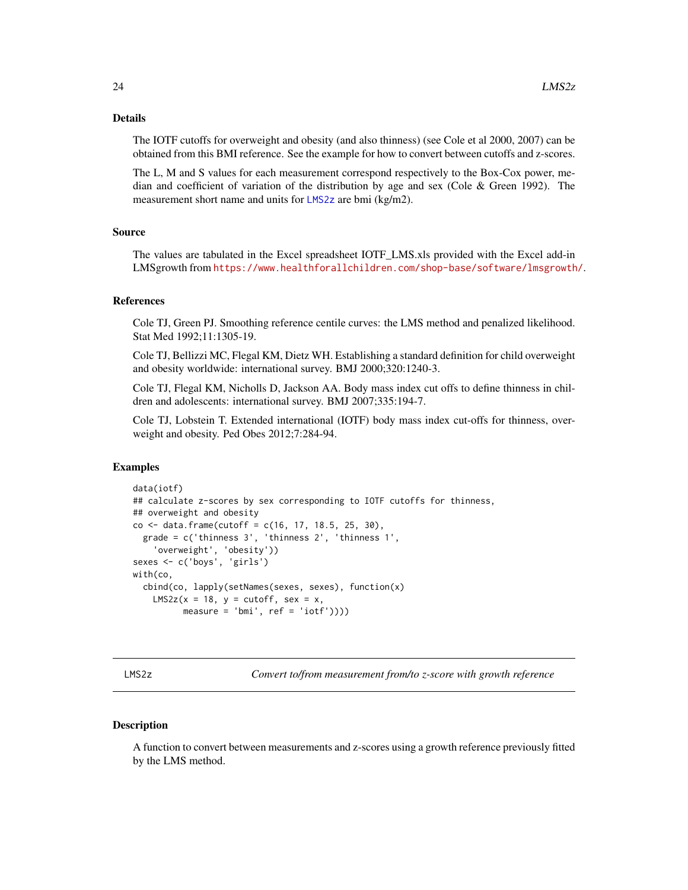#### <span id="page-23-0"></span>Details

The IOTF cutoffs for overweight and obesity (and also thinness) (see Cole et al 2000, 2007) can be obtained from this BMI reference. See the example for how to convert between cutoffs and z-scores.

The L, M and S values for each measurement correspond respectively to the Box-Cox power, median and coefficient of variation of the distribution by age and sex (Cole & Green 1992). The measurement short name and units for [LMS2z](#page-23-1) are bmi (kg/m2).

### Source

The values are tabulated in the Excel spreadsheet IOTF\_LMS.xls provided with the Excel add-in LMSgrowth from <https://www.healthforallchildren.com/shop-base/software/lmsgrowth/>.

#### References

Cole TJ, Green PJ. Smoothing reference centile curves: the LMS method and penalized likelihood. Stat Med 1992;11:1305-19.

Cole TJ, Bellizzi MC, Flegal KM, Dietz WH. Establishing a standard definition for child overweight and obesity worldwide: international survey. BMJ 2000;320:1240-3.

Cole TJ, Flegal KM, Nicholls D, Jackson AA. Body mass index cut offs to define thinness in children and adolescents: international survey. BMJ 2007;335:194-7.

Cole TJ, Lobstein T. Extended international (IOTF) body mass index cut-offs for thinness, overweight and obesity. Ped Obes 2012;7:284-94.

#### Examples

```
data(iotf)
## calculate z-scores by sex corresponding to IOTF cutoffs for thinness,
## overweight and obesity
co <- data.frame(cutoff = c(16, 17, 18.5, 25, 30),
 grade = c('thinness 3', 'thinness 2', 'thinness 1',
    'overweight', 'obesity'))
sexes <- c('boys', 'girls')
with(co,
 cbind(co, lapply(setNames(sexes, sexes), function(x)
    LMS2z(x = 18, y = cutoff, sex = x,
          measure = 'bmi', ref = 'iotf'))()
```
<span id="page-23-1"></span>LMS2z *Convert to/from measurement from/to z-score with growth reference*

#### **Description**

A function to convert between measurements and z-scores using a growth reference previously fitted by the LMS method.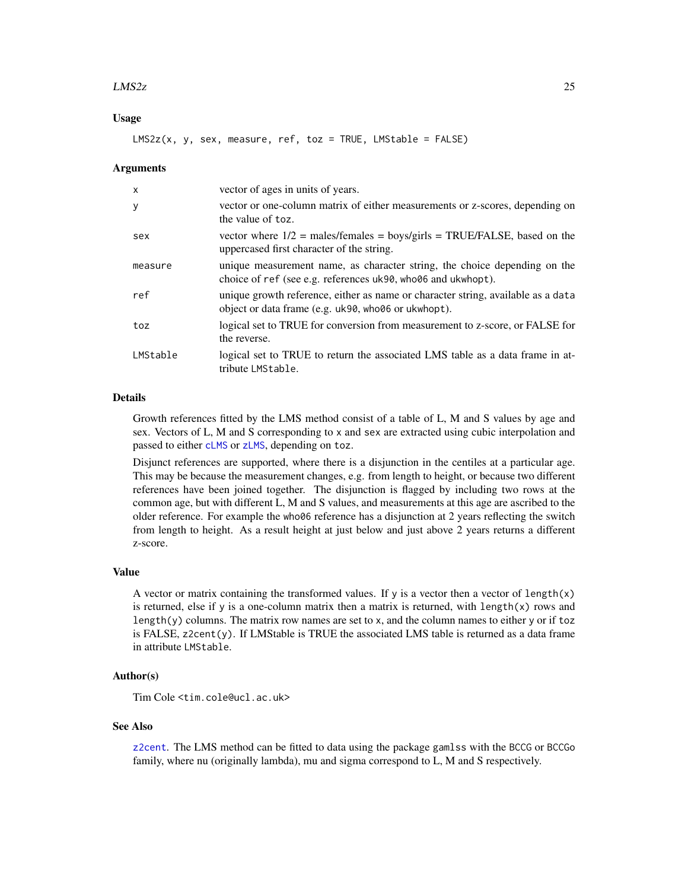#### <span id="page-24-0"></span> $LMS2z$  25

### Usage

 $LMS2z(x, y, sex, measure, ref, toz = TRUE, LMStable = FALSE)$ 

#### Arguments

| $\mathsf{x}$ | vector of ages in units of years.                                                                                                         |
|--------------|-------------------------------------------------------------------------------------------------------------------------------------------|
| y            | vector or one-column matrix of either measurements or z-scores, depending on<br>the value of toz.                                         |
| sex          | vector where $1/2$ = males/females = boys/girls = TRUE/FALSE, based on the<br>uppercased first character of the string.                   |
| measure      | unique measurement name, as character string, the choice depending on the<br>choice of ref (see e.g. references uk90, who06 and ukwhopt). |
| ref          | unique growth reference, either as name or character string, available as a data<br>object or data frame (e.g. uk90, who06 or ukwhopt).   |
| toz          | logical set to TRUE for conversion from measurement to z-score, or FALSE for<br>the reverse.                                              |
| LMStable     | logical set to TRUE to return the associated LMS table as a data frame in at-<br>tribute LMStable.                                        |

#### Details

Growth references fitted by the LMS method consist of a table of L, M and S values by age and sex. Vectors of L, M and S corresponding to x and sex are extracted using cubic interpolation and passed to either [cLMS](#page-10-1) or [zLMS](#page-10-2), depending on toz.

Disjunct references are supported, where there is a disjunction in the centiles at a particular age. This may be because the measurement changes, e.g. from length to height, or because two different references have been joined together. The disjunction is flagged by including two rows at the common age, but with different L, M and S values, and measurements at this age are ascribed to the older reference. For example the who06 reference has a disjunction at 2 years reflecting the switch from length to height. As a result height at just below and just above 2 years returns a different z-score.

#### Value

A vector or matrix containing the transformed values. If y is a vector then a vector of length $(x)$ is returned, else if y is a one-column matrix then a matrix is returned, with  $length(x)$  rows and length(y) columns. The matrix row names are set to x, and the column names to either y or if toz is FALSE, z2cent(y). If LMStable is TRUE the associated LMS table is returned as a data frame in attribute LMStable.

### Author(s)

Tim Cole <tim.cole@ucl.ac.uk>

#### See Also

[z2cent](#page-60-1). The LMS method can be fitted to data using the package gamlss with the BCCG or BCCGo family, where nu (originally lambda), mu and sigma correspond to L, M and S respectively.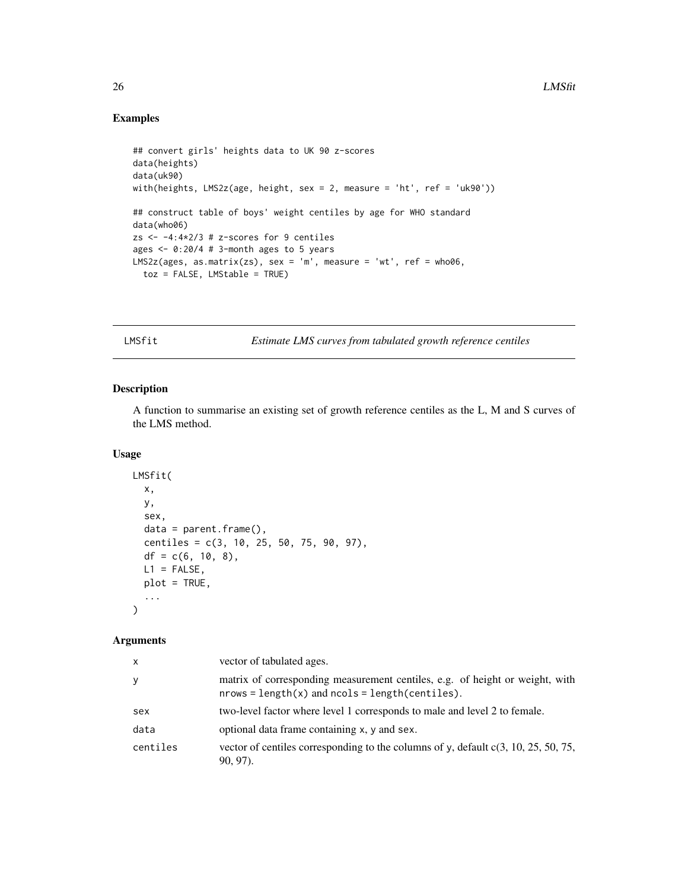### Examples

```
## convert girls' heights data to UK 90 z-scores
data(heights)
data(uk90)
with(heights, LMS2z(age, height, sex = 2, measure = 'ht', ref = 'uk90'))
## construct table of boys' weight centiles by age for WHO standard
data(who06)
zs <-4:4*2/3 # z-scores for 9 centiles
ages <- 0:20/4 # 3-month ages to 5 years
LMS2z(ages, as_matrix(zs), sex = 'm', measure = 'wt', ref = who06,toz = FALSE, LMStable = TRUE)
```
LMSfit *Estimate LMS curves from tabulated growth reference centiles*

### Description

A function to summarise an existing set of growth reference centiles as the L, M and S curves of the LMS method.

#### Usage

```
LMSfit(
  x,
  y,
  sex,
  data = parent.frame(),
  centiles = c(3, 10, 25, 50, 75, 90, 97),
  df = c(6, 10, 8),L1 = FALSE,
  plot = TRUE,
  ...
\mathcal{L}
```
### Arguments

| X        | vector of tabulated ages.                                                                                                             |
|----------|---------------------------------------------------------------------------------------------------------------------------------------|
| y        | matrix of corresponding measurement centiles, e.g. of height or weight, with<br>$nrows = length(x)$ and $ncols = length(centities)$ . |
| sex      | two-level factor where level 1 corresponds to male and level 2 to female.                                                             |
| data     | optional data frame containing x, y and sex.                                                                                          |
| centiles | vector of centiles corresponding to the columns of y, default $c(3, 10, 25, 50, 75,$<br>$90, 97$ ).                                   |

<span id="page-25-0"></span>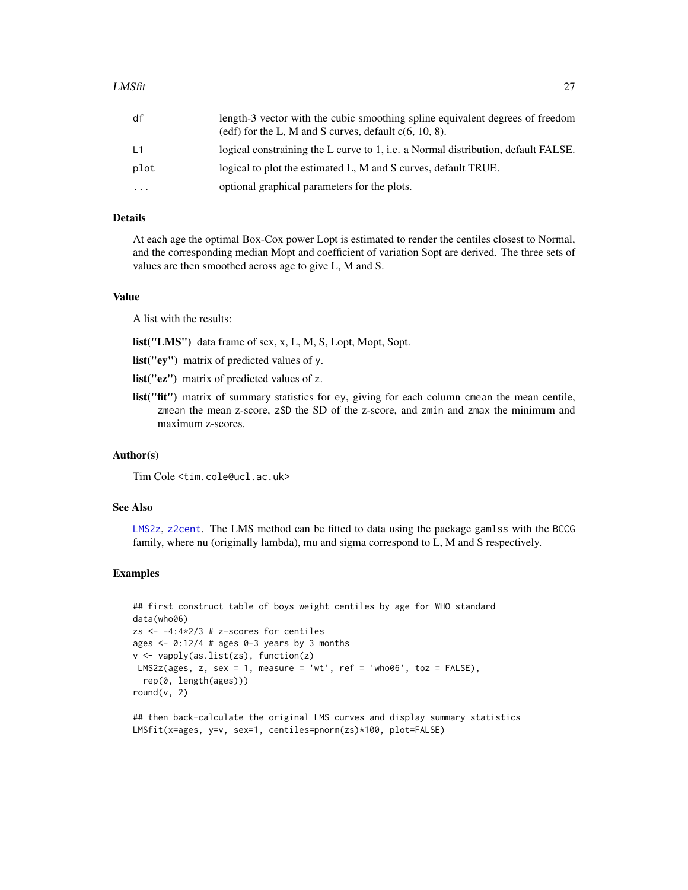<span id="page-26-0"></span>

| df   | length-3 vector with the cubic smoothing spline equivalent degrees of freedom<br>(edf) for the L, M and S curves, default $c(6, 10, 8)$ . |
|------|-------------------------------------------------------------------------------------------------------------------------------------------|
| L1   | logical constraining the L curve to 1, <i>i.e.</i> a Normal distribution, default FALSE.                                                  |
| plot | logical to plot the estimated L, M and S curves, default TRUE.                                                                            |
| .    | optional graphical parameters for the plots.                                                                                              |

### Details

At each age the optimal Box-Cox power Lopt is estimated to render the centiles closest to Normal, and the corresponding median Mopt and coefficient of variation Sopt are derived. The three sets of values are then smoothed across age to give L, M and S.

### Value

A list with the results:

list("LMS") data frame of sex, x, L, M, S, Lopt, Mopt, Sopt.

list("ey") matrix of predicted values of y.

list("ez") matrix of predicted values of z.

list("fit") matrix of summary statistics for ey, giving for each column cmean the mean centile, zmean the mean z-score, zSD the SD of the z-score, and zmin and zmax the minimum and maximum z-scores.

#### Author(s)

Tim Cole <tim.cole@ucl.ac.uk>

### See Also

[LMS2z](#page-23-1), [z2cent](#page-60-1). The LMS method can be fitted to data using the package gamlss with the BCCG family, where nu (originally lambda), mu and sigma correspond to L, M and S respectively.

### Examples

```
## first construct table of boys weight centiles by age for WHO standard
data(who06)
zs <- -4:4*2/3 # z-scores for centiles
ages \leq -0.12/4 # ages 0-3 years by 3 months
v <- vapply(as.list(zs), function(z)
LMS2z(ages, z, sex = 1, measure = 'wt', ref = 'who06', toz = FALSE),
 rep(0, length(ages)))
round(v, 2)
```
## then back-calculate the original LMS curves and display summary statistics LMSfit(x=ages, y=v, sex=1, centiles=pnorm(zs)\*100, plot=FALSE)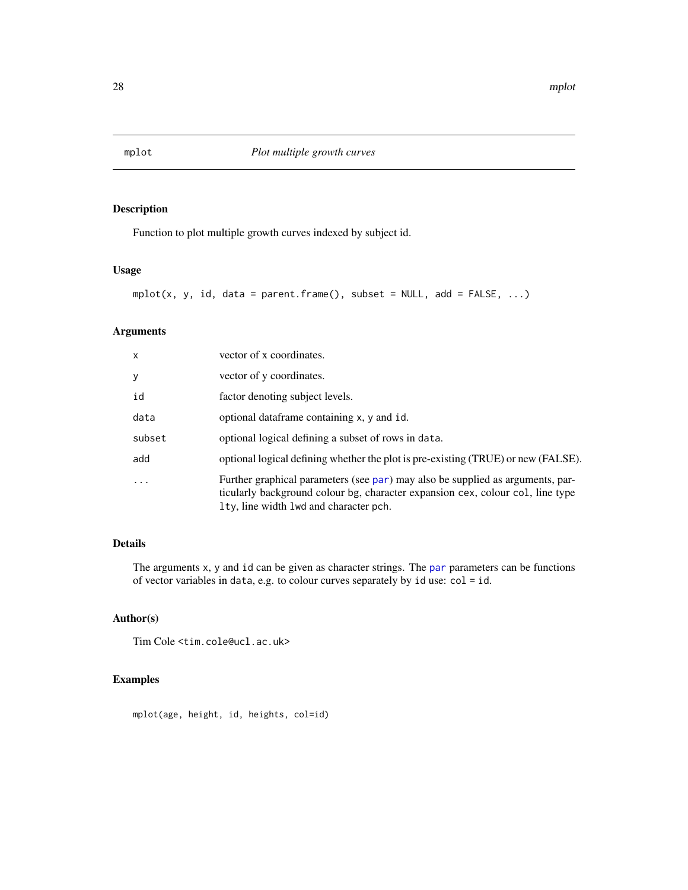<span id="page-27-1"></span><span id="page-27-0"></span>

### Description

Function to plot multiple growth curves indexed by subject id.

### Usage

```
mplot(x, y, id, data = parent-frame(), subset = NULL, add = FALSE, ...)
```
## Arguments

| X                       | vector of x coordinates.                                                                                                                                                                                   |
|-------------------------|------------------------------------------------------------------------------------------------------------------------------------------------------------------------------------------------------------|
| У                       | vector of y coordinates.                                                                                                                                                                                   |
| id                      | factor denoting subject levels.                                                                                                                                                                            |
| data                    | optional dataframe containing x, y and id.                                                                                                                                                                 |
| subset                  | optional logical defining a subset of rows in data.                                                                                                                                                        |
| add                     | optional logical defining whether the plot is pre-existing (TRUE) or new (FALSE).                                                                                                                          |
| $\cdot$ $\cdot$ $\cdot$ | Further graphical parameters (see par) may also be supplied as arguments, par-<br>ticularly background colour bg, character expansion cex, colour col, line type<br>Ity, line width lwd and character pch. |

### Details

The arguments x, y and id can be given as character strings. The [par](#page-0-0) parameters can be functions of vector variables in data, e.g. to colour curves separately by  $id$  use:  $col = id$ .

### Author(s)

Tim Cole <tim.cole@ucl.ac.uk>

### Examples

mplot(age, height, id, heights, col=id)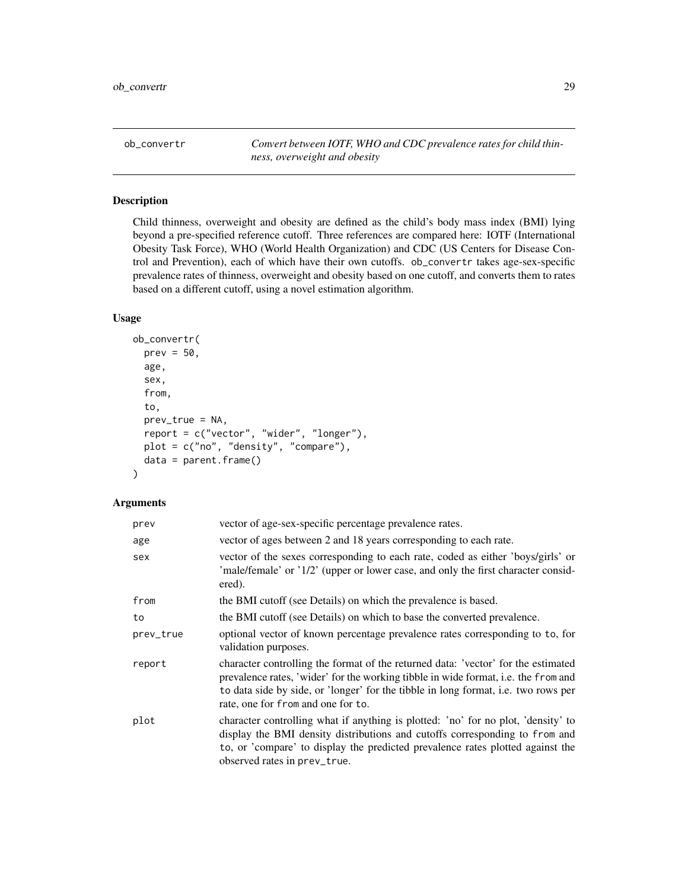<span id="page-28-0"></span>ob\_convertr *Convert between IOTF, WHO and CDC prevalence rates for child thinness, overweight and obesity*

### Description

Child thinness, overweight and obesity are defined as the child's body mass index (BMI) lying beyond a pre-specified reference cutoff. Three references are compared here: IOTF (International Obesity Task Force), WHO (World Health Organization) and CDC (US Centers for Disease Control and Prevention), each of which have their own cutoffs. ob\_convertr takes age-sex-specific prevalence rates of thinness, overweight and obesity based on one cutoff, and converts them to rates based on a different cutoff, using a novel estimation algorithm.

### Usage

```
ob_convertr(
  prev = 50,age,
  sex,
  from,
  to,
  prev_true = NA,
  report = c("vector", "wider", "longer"),
  plot = c("no", "density", "compare"),
  data = parent.frame())
```
### Arguments

| prev      | vector of age-sex-specific percentage prevalence rates.                                                                                                                                                                                                                                             |
|-----------|-----------------------------------------------------------------------------------------------------------------------------------------------------------------------------------------------------------------------------------------------------------------------------------------------------|
| age       | vector of ages between 2 and 18 years corresponding to each rate.                                                                                                                                                                                                                                   |
| sex       | vector of the sexes corresponding to each rate, coded as either 'boys/girls' or<br>'male/female' or '1/2' (upper or lower case, and only the first character consid-<br>ered).                                                                                                                      |
| from      | the BMI cutoff (see Details) on which the prevalence is based.                                                                                                                                                                                                                                      |
| to        | the BMI cutoff (see Details) on which to base the converted prevalence.                                                                                                                                                                                                                             |
| prev_true | optional vector of known percentage prevalence rates corresponding to to, for<br>validation purposes.                                                                                                                                                                                               |
| report    | character controlling the format of the returned data: 'vector' for the estimated<br>prevalence rates, 'wider' for the working tibble in wide format, i.e. the from and<br>to data side by side, or 'longer' for the tibble in long format, i.e. two rows per<br>rate, one for from and one for to. |
| plot      | character controlling what if anything is plotted: 'no' for no plot, 'density' to<br>display the BMI density distributions and cutoffs corresponding to from and<br>to, or 'compare' to display the predicted prevalence rates plotted against the<br>observed rates in prev_true.                  |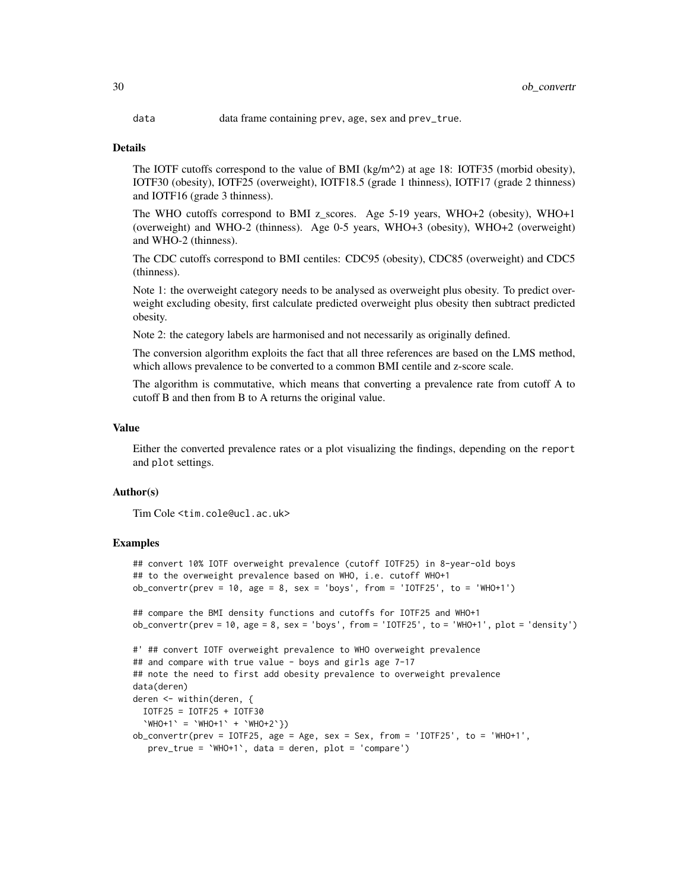data data frame containing prev, age, sex and prev\_true.

#### Details

The IOTF cutoffs correspond to the value of BMI (kg/m<sup> $\lambda$ </sup>) at age 18: IOTF35 (morbid obesity), IOTF30 (obesity), IOTF25 (overweight), IOTF18.5 (grade 1 thinness), IOTF17 (grade 2 thinness) and IOTF16 (grade 3 thinness).

The WHO cutoffs correspond to BMI z\_scores. Age  $5-19$  years, WHO+2 (obesity), WHO+1 (overweight) and WHO-2 (thinness). Age 0-5 years, WHO+3 (obesity), WHO+2 (overweight) and WHO-2 (thinness).

The CDC cutoffs correspond to BMI centiles: CDC95 (obesity), CDC85 (overweight) and CDC5 (thinness).

Note 1: the overweight category needs to be analysed as overweight plus obesity. To predict overweight excluding obesity, first calculate predicted overweight plus obesity then subtract predicted obesity.

Note 2: the category labels are harmonised and not necessarily as originally defined.

The conversion algorithm exploits the fact that all three references are based on the LMS method, which allows prevalence to be converted to a common BMI centile and z-score scale.

The algorithm is commutative, which means that converting a prevalence rate from cutoff A to cutoff B and then from B to A returns the original value.

#### Value

Either the converted prevalence rates or a plot visualizing the findings, depending on the report and plot settings.

#### Author(s)

Tim Cole <tim.cole@ucl.ac.uk>

#### Examples

```
## convert 10% IOTF overweight prevalence (cutoff IOTF25) in 8-year-old boys
## to the overweight prevalence based on WHO, i.e. cutoff WHO+1
ob\_convertr(prev = 10, age = 8, sex = 'boys', from = 'IOTF25', to = 'WHO+1')## compare the BMI density functions and cutoffs for IOTF25 and WHO+1
ob_convertr(prev = 10, age = 8, sex = 'boys', from = 'IOTF25', to = 'WHO+1', plot = 'density')
#' ## convert IOTF overweight prevalence to WHO overweight prevalence
## and compare with true value - boys and girls age 7-17
## note the need to first add obesity prevalence to overweight prevalence
data(deren)
deren <- within(deren, {
 IOTF25 = IOTF25 + IOTF30
  \text{WHO+1'} = \text{WHO+1'} + \text{WHO+2'}ob_convertr(prev = IOTF25, age = Age, sex = Sex, from = 'IOTF25', to = 'WHO+1',
  prev_true = `WHO+1`, data = deren, plot = 'compare')
```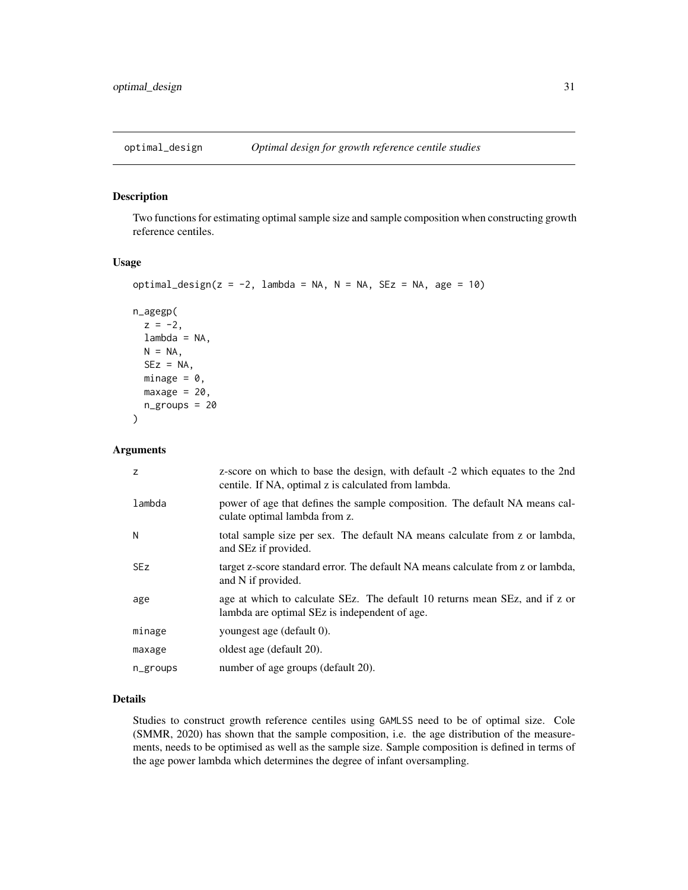<span id="page-30-0"></span>

### Description

Two functions for estimating optimal sample size and sample composition when constructing growth reference centiles.

### Usage

```
optimal_design(z = -2, lambda = NA, N = NA, SEz = NA, age = 10)
```

```
n_agegp(
 z = -2,
 lambda = NA,
 N = NA,
  SEz = NA,
 minage = 0,
 maxage = 20,
  n_groups = 20
)
```
#### Arguments

| z          | z-score on which to base the design, with default -2 which equates to the 2nd<br>centile. If NA, optimal z is calculated from lambda. |
|------------|---------------------------------------------------------------------------------------------------------------------------------------|
| lambda     | power of age that defines the sample composition. The default NA means cal-<br>culate optimal lambda from z.                          |
| N          | total sample size per sex. The default NA means calculate from z or lambda,<br>and SEz if provided.                                   |
| <b>SEz</b> | target z-score standard error. The default NA means calculate from z or lambda,<br>and N if provided.                                 |
| age        | age at which to calculate SEz. The default 10 returns mean SEz, and if z or<br>lambda are optimal SEz is independent of age.          |
| minage     | youngest age (default 0).                                                                                                             |
| maxage     | oldest age (default 20).                                                                                                              |
| n_groups   | number of age groups (default 20).                                                                                                    |

### Details

Studies to construct growth reference centiles using GAMLSS need to be of optimal size. Cole (SMMR, 2020) has shown that the sample composition, i.e. the age distribution of the measurements, needs to be optimised as well as the sample size. Sample composition is defined in terms of the age power lambda which determines the degree of infant oversampling.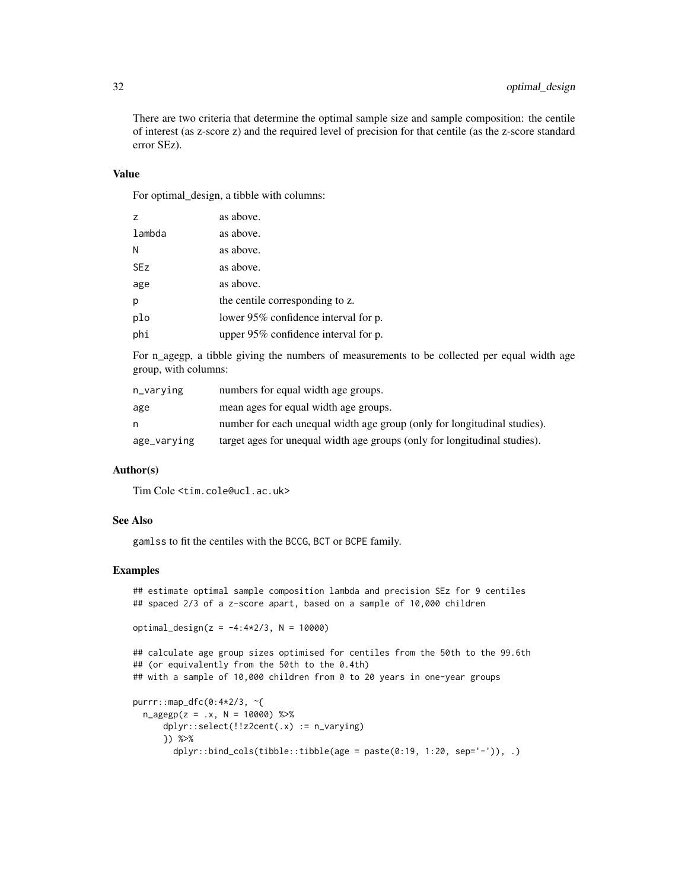There are two criteria that determine the optimal sample size and sample composition: the centile of interest (as z-score z) and the required level of precision for that centile (as the z-score standard error SEz).

### Value

For optimal\_design, a tibble with columns:

| z          | as above.                            |
|------------|--------------------------------------|
| lambda     | as above.                            |
| N          | as above.                            |
| <b>SEz</b> | as above.                            |
| age        | as above.                            |
| p          | the centile corresponding to z.      |
| plo        | lower 95% confidence interval for p. |
| phi        | upper 95% confidence interval for p. |

For n\_agegp, a tibble giving the numbers of measurements to be collected per equal width age group, with columns:

| n_varving   | numbers for equal width age groups.                                       |
|-------------|---------------------------------------------------------------------------|
| age         | mean ages for equal width age groups.                                     |
| n           | number for each unequal width age group (only for longitudinal studies).  |
| age_varying | target ages for unequal width age groups (only for longitudinal studies). |

### Author(s)

Tim Cole <tim.cole@ucl.ac.uk>

### See Also

gamlss to fit the centiles with the BCCG, BCT or BCPE family.

### Examples

```
## estimate optimal sample composition lambda and precision SEz for 9 centiles
## spaced 2/3 of a z-score apart, based on a sample of 10,000 children
```

```
optimal_design(z = -4:4*2/3, N = 10000)
```

```
## calculate age group sizes optimised for centiles from the 50th to the 99.6th
## (or equivalently from the 50th to the 0.4th)
## with a sample of 10,000 children from 0 to 20 years in one-year groups
```

```
purrr::map_dfc(0:4*2/3, ~{
 n_{\text{e}} = x, N = 10000) %>%
     dplyr::select(!!z2cent(.x) := n_varying)
     }) %>%
       dplyr::bind_cols(tibble::tibble(age = paste(0:19, 1:20, sep='-')), .)
```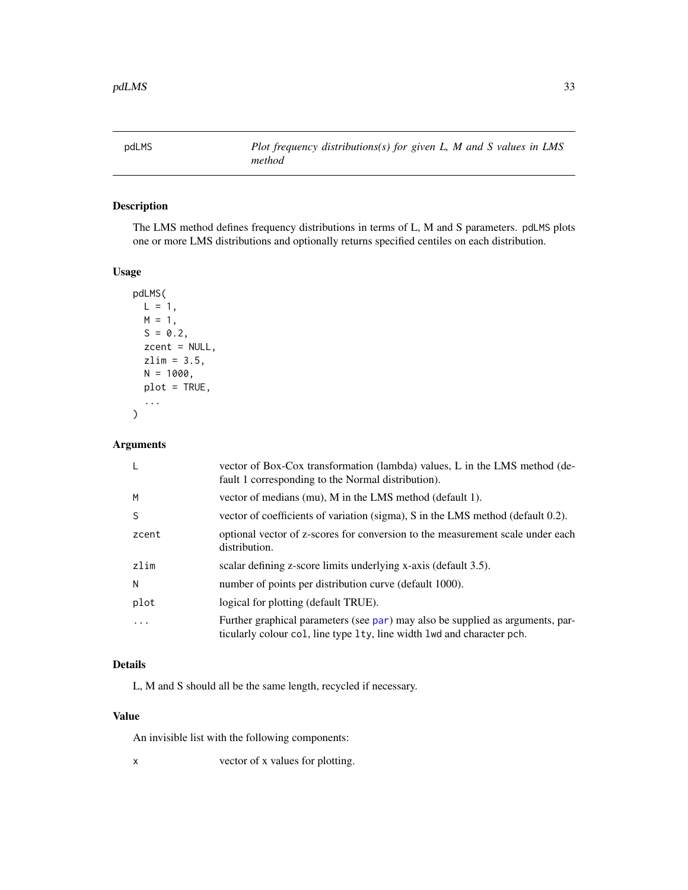<span id="page-32-1"></span><span id="page-32-0"></span>pdLMS *Plot frequency distributions(s) for given L, M and S values in LMS method*

### Description

The LMS method defines frequency distributions in terms of L, M and S parameters. pdLMS plots one or more LMS distributions and optionally returns specified centiles on each distribution.

### Usage

```
pdLMS(
  L = 1,
  M = 1,
  S = 0.2,
  zcent = NULL,
  zlim = 3.5,
  N = 1000,plot = TRUE,
  ...
```
### Arguments

)

| -L           | vector of Box-Cox transformation (lambda) values, L in the LMS method (de-<br>fault 1 corresponding to the Normal distribution).                         |
|--------------|----------------------------------------------------------------------------------------------------------------------------------------------------------|
| M            | vector of medians (mu), M in the LMS method (default 1).                                                                                                 |
| <sub>S</sub> | vector of coefficients of variation (sigma), S in the LMS method (default 0.2).                                                                          |
| zcent        | optional vector of z-scores for conversion to the measurement scale under each<br>distribution.                                                          |
| zlim         | scalar defining z-score limits underlying x-axis (default 3.5).                                                                                          |
| N            | number of points per distribution curve (default 1000).                                                                                                  |
| plot         | logical for plotting (default TRUE).                                                                                                                     |
| .            | Further graphical parameters (see par) may also be supplied as arguments, par-<br>ticularly colour col, line type 1ty, line width 1wd and character pch. |

### Details

L, M and S should all be the same length, recycled if necessary.

### Value

An invisible list with the following components:

x vector of x values for plotting.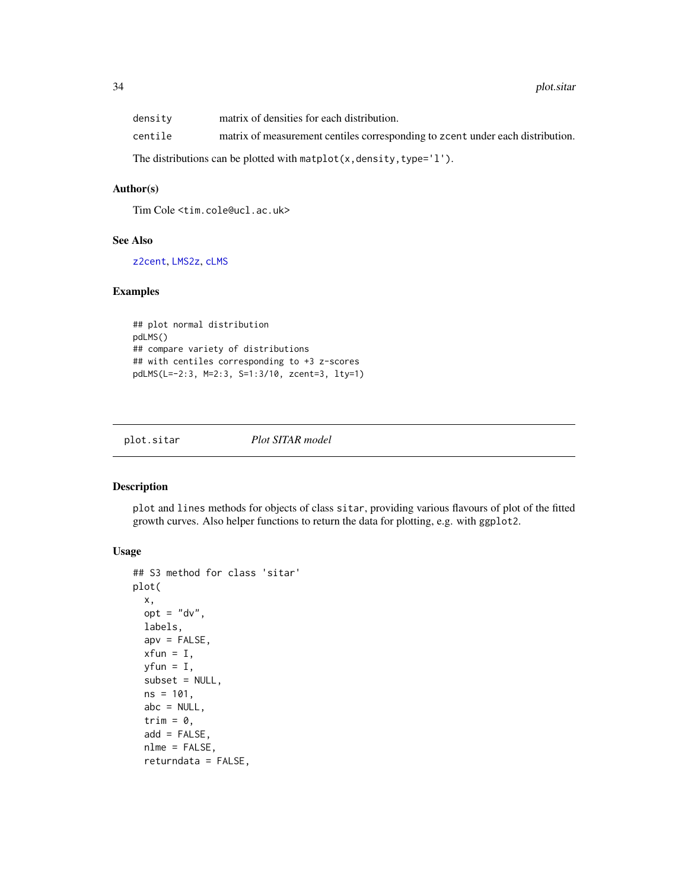<span id="page-33-0"></span>

| density                                                                                            | matrix of densities for each distribution.                                    |  |
|----------------------------------------------------------------------------------------------------|-------------------------------------------------------------------------------|--|
| centile                                                                                            | matrix of measurement centiles corresponding to zero under each distribution. |  |
| The distributions can be plotted with $\mathsf{match}(x, \mathsf{density}, \mathsf{type} = '1')$ . |                                                                               |  |

### Author(s)

Tim Cole <tim.cole@ucl.ac.uk>

### See Also

[z2cent](#page-60-1), [LMS2z](#page-23-1), [cLMS](#page-10-1)

### Examples

```
## plot normal distribution
pdLMS()
## compare variety of distributions
## with centiles corresponding to +3 z-scores
pdLMS(L=-2:3, M=2:3, S=1:3/10, zcent=3, lty=1)
```
<span id="page-33-1"></span>plot.sitar *Plot SITAR model*

### Description

plot and lines methods for objects of class sitar, providing various flavours of plot of the fitted growth curves. Also helper functions to return the data for plotting, e.g. with ggplot2.

### Usage

```
## S3 method for class 'sitar'
plot(
  x,
  opt = "dv",labels,
  apv = FALSE,xfun = I,
 yfun = I,
  subset = NULL,
  ns = 101.
  abc = NULL,trim = \theta,
  add = FALSE,
  nlme = FALSE,
  returndata = FALSE,
```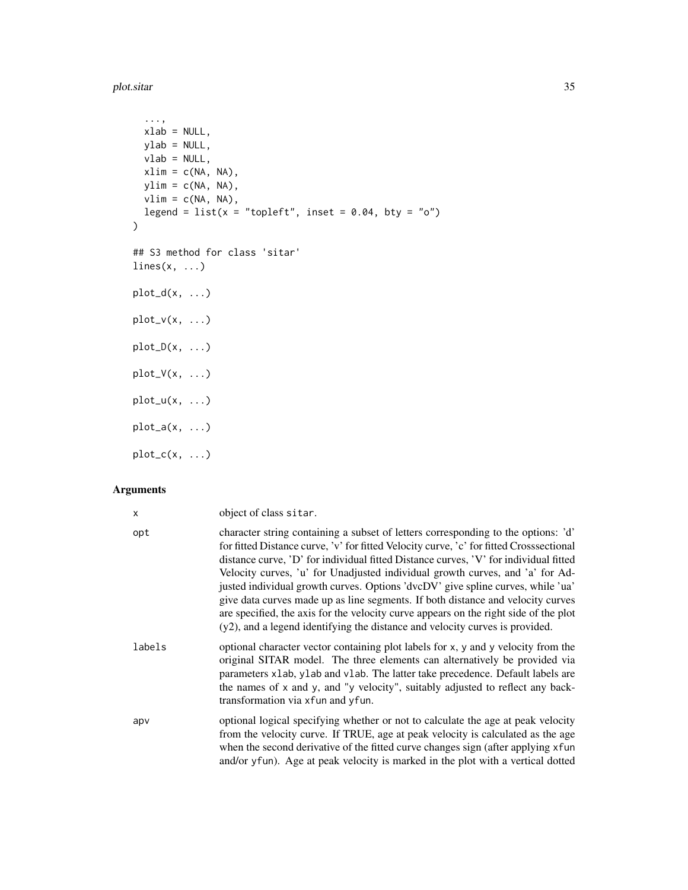plot.sitar 35

```
...,
  xlab = NULL,ylab = NULL,
  vlab = NULL,xlim = c(NA, NA),
  ylim = c(NA, NA),
  vlim = c(NA, NA),
  legend = list(x = "topleft", inset = 0.04, bty = "o"))
## S3 method for class 'sitar'
lines(x, ...)plot_d(x, \ldots)plot_v(x, \ldots)plot_D(x, \ldots)plot_V(x, \ldots)plot_u(x, \ldots)plot_a(x, \ldots)plot_c(x, \ldots)
```
### Arguments

| x      | object of class sitar.                                                                                                                                                                                                                                                                                                                                                                                                                                                                                                                                                                                                                                                                              |
|--------|-----------------------------------------------------------------------------------------------------------------------------------------------------------------------------------------------------------------------------------------------------------------------------------------------------------------------------------------------------------------------------------------------------------------------------------------------------------------------------------------------------------------------------------------------------------------------------------------------------------------------------------------------------------------------------------------------------|
| opt    | character string containing a subset of letters corresponding to the options: 'd'<br>for fitted Distance curve, 'v' for fitted Velocity curve, 'c' for fitted Crosssectional<br>distance curve, 'D' for individual fitted Distance curves, 'V' for individual fitted<br>Velocity curves, 'u' for Unadjusted individual growth curves, and 'a' for Ad-<br>justed individual growth curves. Options 'dvcDV' give spline curves, while 'ua'<br>give data curves made up as line segments. If both distance and velocity curves<br>are specified, the axis for the velocity curve appears on the right side of the plot<br>(y2), and a legend identifying the distance and velocity curves is provided. |
| labels | optional character vector containing plot labels for x, y and y velocity from the<br>original SITAR model. The three elements can alternatively be provided via<br>parameters x1ab, y1ab and v1ab. The latter take precedence. Default labels are<br>the names of x and y, and "y velocity", suitably adjusted to reflect any back-<br>transformation via x fun and y fun.                                                                                                                                                                                                                                                                                                                          |
| apv    | optional logical specifying whether or not to calculate the age at peak velocity<br>from the velocity curve. If TRUE, age at peak velocity is calculated as the age<br>when the second derivative of the fitted curve changes sign (after applying xfun<br>and/or yfun). Age at peak velocity is marked in the plot with a vertical dotted                                                                                                                                                                                                                                                                                                                                                          |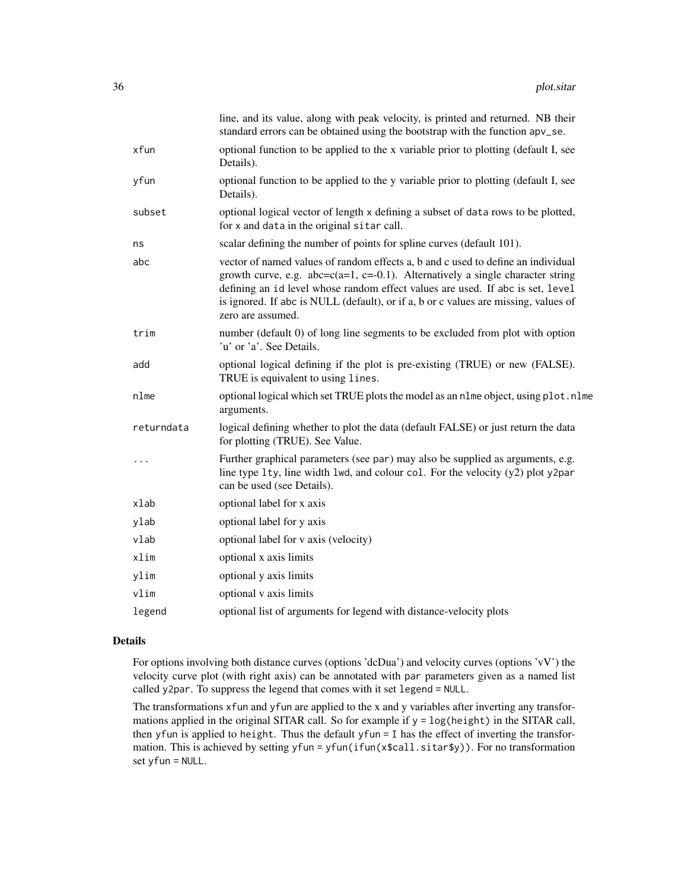|            | line, and its value, along with peak velocity, is printed and returned. NB their<br>standard errors can be obtained using the bootstrap with the function apv_se.                                                                                                                                                                                                     |
|------------|-----------------------------------------------------------------------------------------------------------------------------------------------------------------------------------------------------------------------------------------------------------------------------------------------------------------------------------------------------------------------|
| xfun       | optional function to be applied to the x variable prior to plotting (default I, see<br>Details).                                                                                                                                                                                                                                                                      |
| yfun       | optional function to be applied to the y variable prior to plotting (default I, see<br>Details).                                                                                                                                                                                                                                                                      |
| subset     | optional logical vector of length x defining a subset of data rows to be plotted,<br>for x and data in the original sitar call.                                                                                                                                                                                                                                       |
| ns         | scalar defining the number of points for spline curves (default 101).                                                                                                                                                                                                                                                                                                 |
| abc        | vector of named values of random effects a, b and c used to define an individual<br>growth curve, e.g. $abc = c(a=1, c=-0.1)$ . Alternatively a single character string<br>defining an id level whose random effect values are used. If abc is set, level<br>is ignored. If abc is NULL (default), or if a, b or c values are missing, values of<br>zero are assumed. |
| trim       | number (default 0) of long line segments to be excluded from plot with option<br>'u' or 'a'. See Details.                                                                                                                                                                                                                                                             |
| add        | optional logical defining if the plot is pre-existing (TRUE) or new (FALSE).<br>TRUE is equivalent to using lines.                                                                                                                                                                                                                                                    |
| nlme       | optional logical which set TRUE plots the model as an n1me object, using p1ot.n1me<br>arguments.                                                                                                                                                                                                                                                                      |
| returndata | logical defining whether to plot the data (default FALSE) or just return the data<br>for plotting (TRUE). See Value.                                                                                                                                                                                                                                                  |
| $\cdots$   | Further graphical parameters (see par) may also be supplied as arguments, e.g.<br>line type $l$ ty, line width $l$ wd, and colour col. For the velocity $(y2)$ plot y2par<br>can be used (see Details).                                                                                                                                                               |
| xlab       | optional label for x axis                                                                                                                                                                                                                                                                                                                                             |
| ylab       | optional label for y axis                                                                                                                                                                                                                                                                                                                                             |
| vlab       | optional label for v axis (velocity)                                                                                                                                                                                                                                                                                                                                  |
| xlim       | optional x axis limits                                                                                                                                                                                                                                                                                                                                                |
| ylim       | optional y axis limits                                                                                                                                                                                                                                                                                                                                                |
| vlim       | optional v axis limits                                                                                                                                                                                                                                                                                                                                                |
| legend     | optional list of arguments for legend with distance-velocity plots                                                                                                                                                                                                                                                                                                    |

#### Details

For options involving both distance curves (options 'dcDua') and velocity curves (options 'vV') the velocity curve plot (with right axis) can be annotated with par parameters given as a named list called y2par. To suppress the legend that comes with it set legend = NULL.

The transformations xfun and yfun are applied to the x and y variables after inverting any transformations applied in the original SITAR call. So for example if  $y = log(height)$  in the SITAR call, then yfun is applied to height. Thus the default yfun = I has the effect of inverting the transformation. This is achieved by setting yfun = yfun(ifun(x\$call.sitar\$y)). For no transformation set yfun = NULL.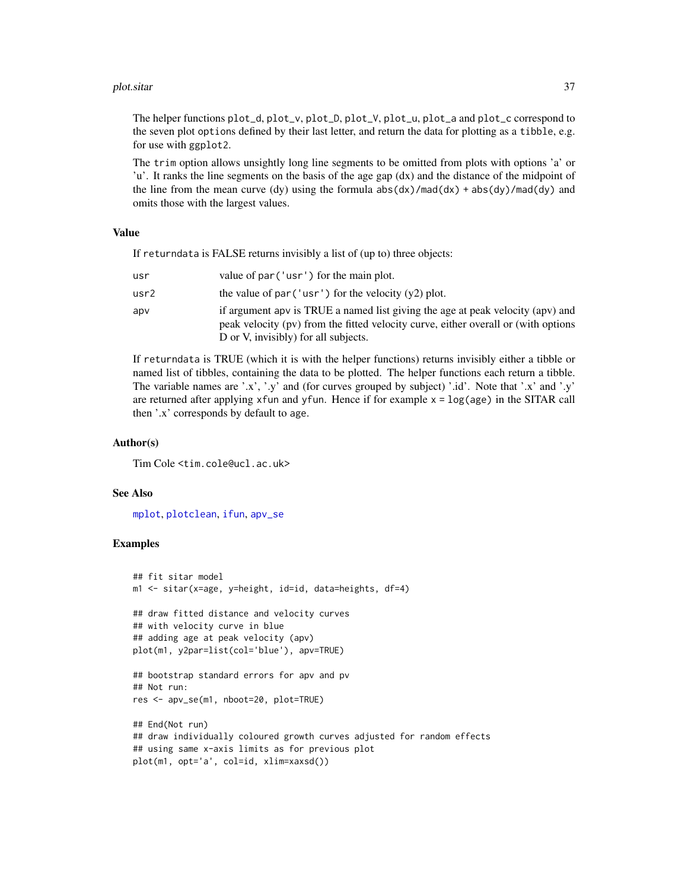#### <span id="page-36-0"></span>plot.sitar 37

The helper functions plot\_d, plot\_v, plot\_D, plot\_V, plot\_u, plot\_a and plot\_c correspond to the seven plot options defined by their last letter, and return the data for plotting as a tibble, e.g. for use with ggplot2.

The trim option allows unsightly long line segments to be omitted from plots with options 'a' or 'u'. It ranks the line segments on the basis of the age gap (dx) and the distance of the midpoint of the line from the mean curve (dy) using the formula  $abs(dx)/mod(dx) + abs(dy)/mod(dy)$  and omits those with the largest values.

#### Value

If returndata is FALSE returns invisibly a list of (up to) three objects:

| usr  | value of par ('usr') for the main plot.                                                                                                                                                                      |
|------|--------------------------------------------------------------------------------------------------------------------------------------------------------------------------------------------------------------|
| usr2 | the value of par ('usr') for the velocity $(y2)$ plot.                                                                                                                                                       |
| apv  | if argument apv is TRUE a named list giving the age at peak velocity (apv) and<br>peak velocity (pv) from the fitted velocity curve, either overall or (with options<br>D or V, invisibly) for all subjects. |

If returndata is TRUE (which it is with the helper functions) returns invisibly either a tibble or named list of tibbles, containing the data to be plotted. The helper functions each return a tibble. The variable names are '.x', '.y' and (for curves grouped by subject) '.id'. Note that '.x' and '.y' are returned after applying xfun and yfun. Hence if for example  $x = log(age)$  in the SITAR call then '.x' corresponds by default to age.

### Author(s)

Tim Cole <tim.cole@ucl.ac.uk>

### See Also

[mplot](#page-27-1), [plotclean](#page-37-1), [ifun](#page-20-1), [apv\\_se](#page-4-1)

#### Examples

```
## fit sitar model
m1 <- sitar(x=age, y=height, id=id, data=heights, df=4)
## draw fitted distance and velocity curves
## with velocity curve in blue
## adding age at peak velocity (apv)
plot(m1, y2par=list(col='blue'), apv=TRUE)
## bootstrap standard errors for apv and pv
## Not run:
res <- apv_se(m1, nboot=20, plot=TRUE)
## End(Not run)
## draw individually coloured growth curves adjusted for random effects
## using same x-axis limits as for previous plot
plot(m1, opt='a', col=id, xlim=xaxsd())
```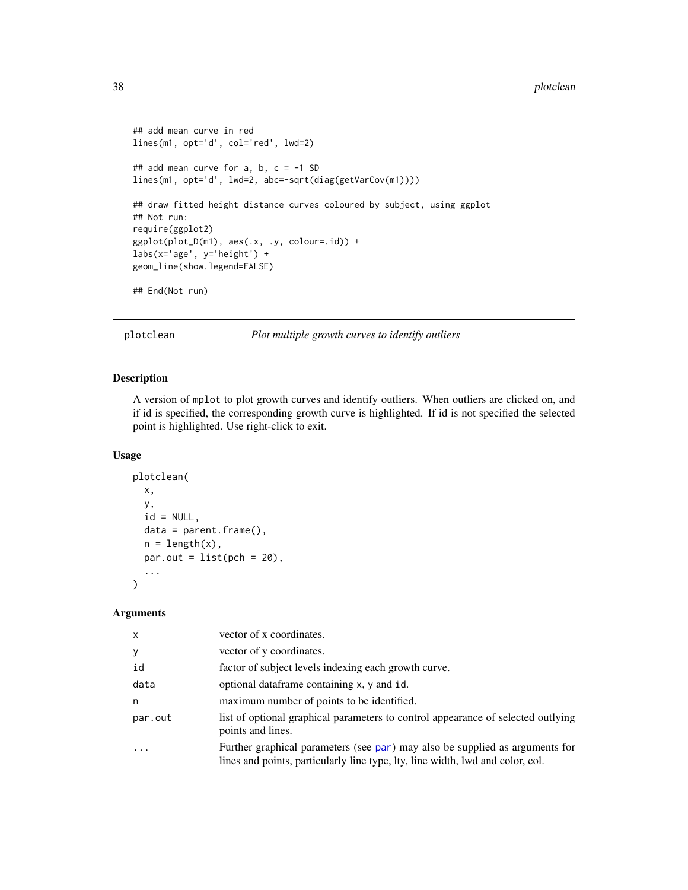```
## add mean curve in red
lines(m1, opt='d', col='red', lwd=2)
## add mean curve for a, b, c = -1 SD
lines(m1, opt='d', lwd=2, abc=-sqrt(diag(getVarCov(m1))))
## draw fitted height distance curves coloured by subject, using ggplot
## Not run:
require(ggplot2)
ggplot(plot_D(m1), aes(.x, .y, colour=.id)) +
labs(x='age', y='height') +
geom_line(show.legend=FALSE)
## End(Not run)
```
<span id="page-37-1"></span>plotclean *Plot multiple growth curves to identify outliers*

#### Description

A version of mplot to plot growth curves and identify outliers. When outliers are clicked on, and if id is specified, the corresponding growth curve is highlighted. If id is not specified the selected point is highlighted. Use right-click to exit.

#### Usage

```
plotclean(
 x,
 y,
 id = NULL,data = parent.frame(),
 n = length(x),
 par.out = list(pch = 20),
  ...
)
```
#### Arguments

| $\mathsf{x}$ | vector of x coordinates.                                                                                                                                       |
|--------------|----------------------------------------------------------------------------------------------------------------------------------------------------------------|
| У            | vector of y coordinates.                                                                                                                                       |
| id           | factor of subject levels indexing each growth curve.                                                                                                           |
| data         | optional dataframe containing x, y and id.                                                                                                                     |
| n            | maximum number of points to be identified.                                                                                                                     |
| par.out      | list of optional graphical parameters to control appearance of selected outlying<br>points and lines.                                                          |
|              | Further graphical parameters (see par) may also be supplied as arguments for<br>lines and points, particularly line type, lty, line width, lwd and color, col. |

<span id="page-37-0"></span>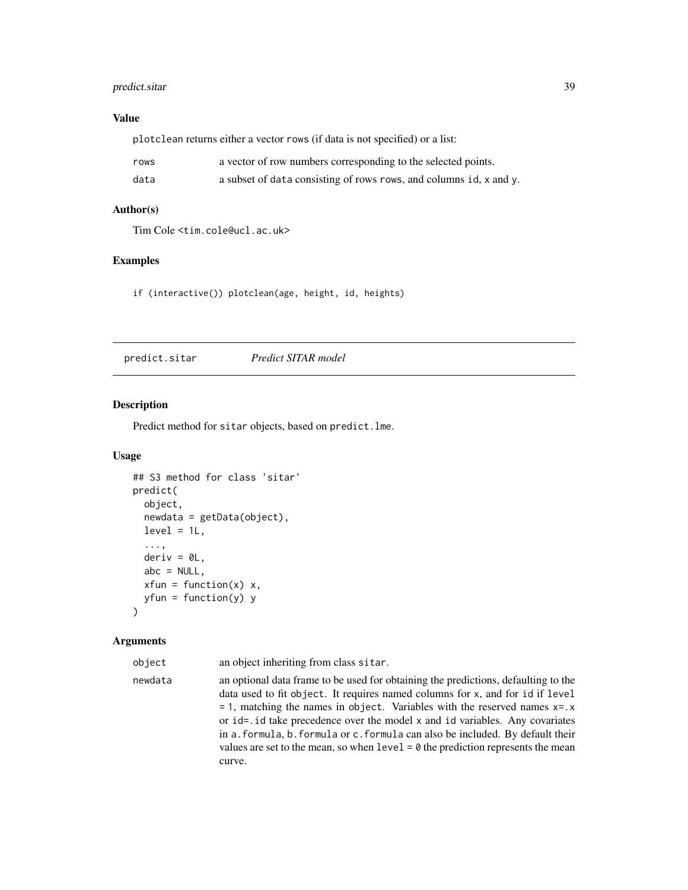### <span id="page-38-0"></span>predict.sitar 39

### Value

plotclean returns either a vector rows (if data is not specified) or a list:

| rows | a vector of row numbers corresponding to the selected points.      |
|------|--------------------------------------------------------------------|
| data | a subset of data consisting of rows rows, and columns id, x and y. |

### Author(s)

Tim Cole <tim.cole@ucl.ac.uk>

### Examples

if (interactive()) plotclean(age, height, id, heights)

predict.sitar *Predict SITAR model*

#### Description

Predict method for sitar objects, based on predict.lme.

#### Usage

```
## S3 method for class 'sitar'
predict(
  object,
  newdata = getData(object),
  level = 1L,...,
  deriv = 0L,
  abc = NULL,xfun = function(x) x,yfun = function(y) y
)
```
#### Arguments

object an object inheriting from class sitar.

newdata an optional data frame to be used for obtaining the predictions, defaulting to the data used to fit object. It requires named columns for x, and for id if level  $= 1$ , matching the names in object. Variables with the reserved names  $x = .x$ or id=.id take precedence over the model x and id variables. Any covariates in a.formula, b.formula or c.formula can also be included. By default their values are set to the mean, so when  $level = 0$  the prediction represents the mean curve.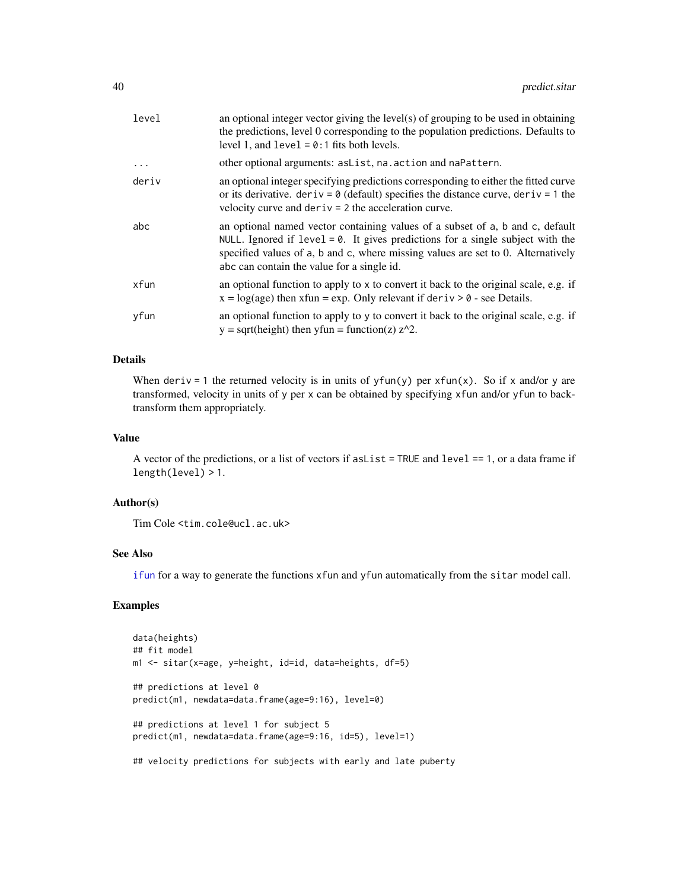<span id="page-39-0"></span>

| level    | an optional integer vector giving the level(s) of grouping to be used in obtaining<br>the predictions, level 0 corresponding to the population predictions. Defaults to<br>level 1, and $level = 0:1$ fits both levels.                                                                              |
|----------|------------------------------------------------------------------------------------------------------------------------------------------------------------------------------------------------------------------------------------------------------------------------------------------------------|
| $\ddots$ | other optional arguments: as List, na. action and naPattern.                                                                                                                                                                                                                                         |
| deriv    | an optional integer specifying predictions corresponding to either the fitted curve<br>or its derivative. $deriv = 0$ (default) specifies the distance curve, deriv = 1 the<br>velocity curve and $deriv = 2$ the acceleration curve.                                                                |
| abc      | an optional named vector containing values of a subset of a, b and c, default<br>NULL. Ignored if $level = 0$ . It gives predictions for a single subject with the<br>specified values of a, b and c, where missing values are set to 0. Alternatively<br>abc can contain the value for a single id. |
| xfun     | an optional function to apply to x to convert it back to the original scale, e.g. if<br>$x = log(age)$ then $xfun = exp$ . Only relevant if deriv > 0 - see Details.                                                                                                                                 |
| yfun     | an optional function to apply to y to convert it back to the original scale, e.g. if<br>$y = sqrt(height)$ then $yfun = function(z) z^2$ .                                                                                                                                                           |
|          |                                                                                                                                                                                                                                                                                                      |

### Details

When deriv = 1 the returned velocity is in units of  $yfun(y)$  per  $xfun(x)$ . So if x and/or y are transformed, velocity in units of y per x can be obtained by specifying xfun and/or yfun to backtransform them appropriately.

### Value

A vector of the predictions, or a list of vectors if as List  $=$  TRUE and level  $== 1$ , or a data frame if length(level) > 1.

### Author(s)

Tim Cole <tim.cole@ucl.ac.uk>

### See Also

[ifun](#page-20-1) for a way to generate the functions xfun and yfun automatically from the sitar model call.

### Examples

```
data(heights)
## fit model
m1 <- sitar(x=age, y=height, id=id, data=heights, df=5)
## predictions at level 0
predict(m1, newdata=data.frame(age=9:16), level=0)
## predictions at level 1 for subject 5
predict(m1, newdata=data.frame(age=9:16, id=5), level=1)
## velocity predictions for subjects with early and late puberty
```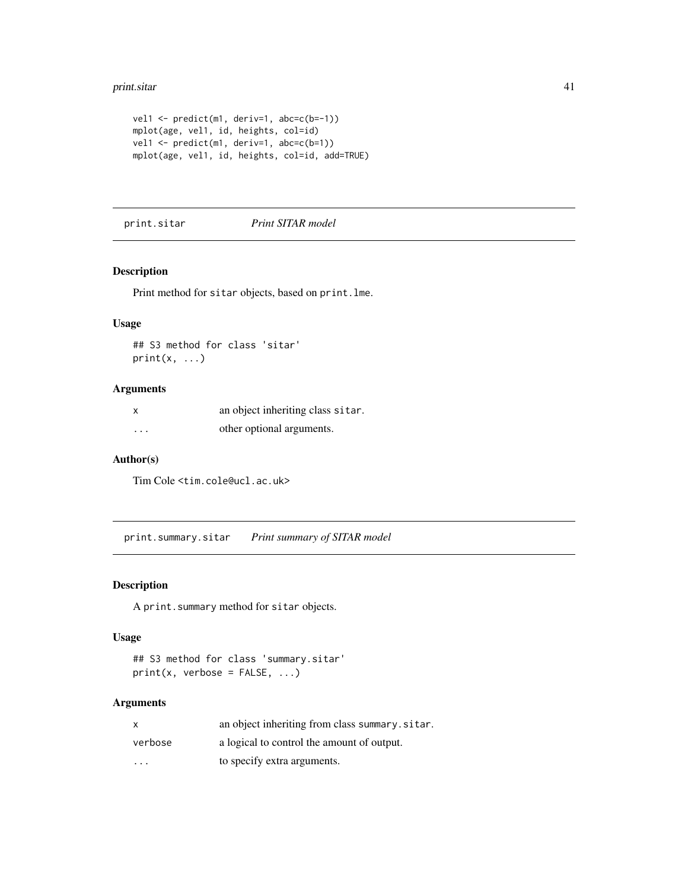#### <span id="page-40-0"></span>print.sitar 41

```
vel1 <- predict(m1, deriv=1, abc=c(b=-1))
mplot(age, vel1, id, heights, col=id)
vel1 <- predict(m1, deriv=1, abc=c(b=1))
mplot(age, vel1, id, heights, col=id, add=TRUE)
```
print.sitar *Print SITAR model*

### Description

Print method for sitar objects, based on print.lme.

### Usage

## S3 method for class 'sitar'  $print(x, \ldots)$ 

### Arguments

|          | an object inheriting class sitar. |
|----------|-----------------------------------|
| $\cdots$ | other optional arguments.         |

### Author(s)

Tim Cole <tim.cole@ucl.ac.uk>

print.summary.sitar *Print summary of SITAR model*

### Description

A print.summary method for sitar objects.

### Usage

```
## S3 method for class 'summary.sitar'
print(x, verbose = FALSE, ...)
```
#### Arguments

| $\mathsf{x}$            | an object inheriting from class summary.sitar. |
|-------------------------|------------------------------------------------|
| verbose                 | a logical to control the amount of output.     |
| $\cdot$ $\cdot$ $\cdot$ | to specify extra arguments.                    |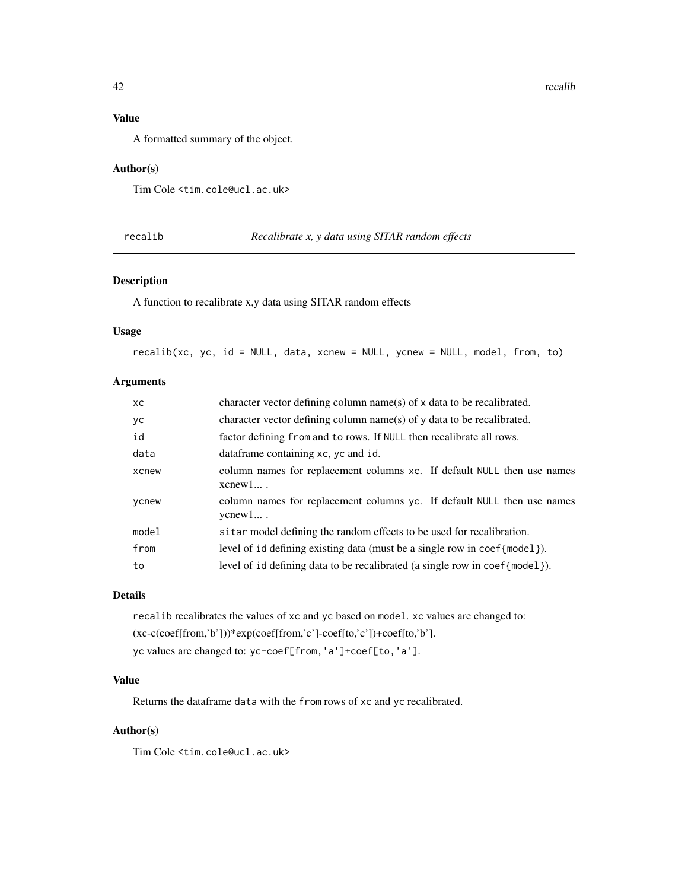### <span id="page-41-0"></span>Value

A formatted summary of the object.

#### Author(s)

Tim Cole <tim.cole@ucl.ac.uk>

recalib *Recalibrate x, y data using SITAR random effects*

### Description

A function to recalibrate x,y data using SITAR random effects

#### Usage

recalib(xc, yc, id = NULL, data, xcnew = NULL, ycnew = NULL, model, from, to)

### Arguments

| XC.   | character vector defining column name(s) of x data to be recalibrated.                    |
|-------|-------------------------------------------------------------------------------------------|
| yс    | character vector defining column name(s) of y data to be recalibrated.                    |
| id    | factor defining from and to rows. If NULL then recalibrate all rows.                      |
| data  | dataframe containing xc, yc and id.                                                       |
| xcnew | column names for replacement columns xc. If default NULL then use names<br>$x$ cnew $1$ . |
| ycnew | column names for replacement columns yc. If default NULL then use names<br>$y$ cnew $1$ . |
| model | sitar model defining the random effects to be used for recalibration.                     |
| from  | level of id defining existing data (must be a single row in coef{model}).                 |
| to    | level of id defining data to be recalibrated (a single row in $\text{coeff}$ model).      |

### Details

recalib recalibrates the values of xc and yc based on model. xc values are changed to: (xc-c(coef[from,'b']))\*exp(coef[from,'c']-coef[to,'c'])+coef[to,'b']. yc values are changed to: yc-coef[from,'a']+coef[to,'a'].

### Value

Returns the dataframe data with the from rows of xc and yc recalibrated.

### Author(s)

Tim Cole <tim.cole@ucl.ac.uk>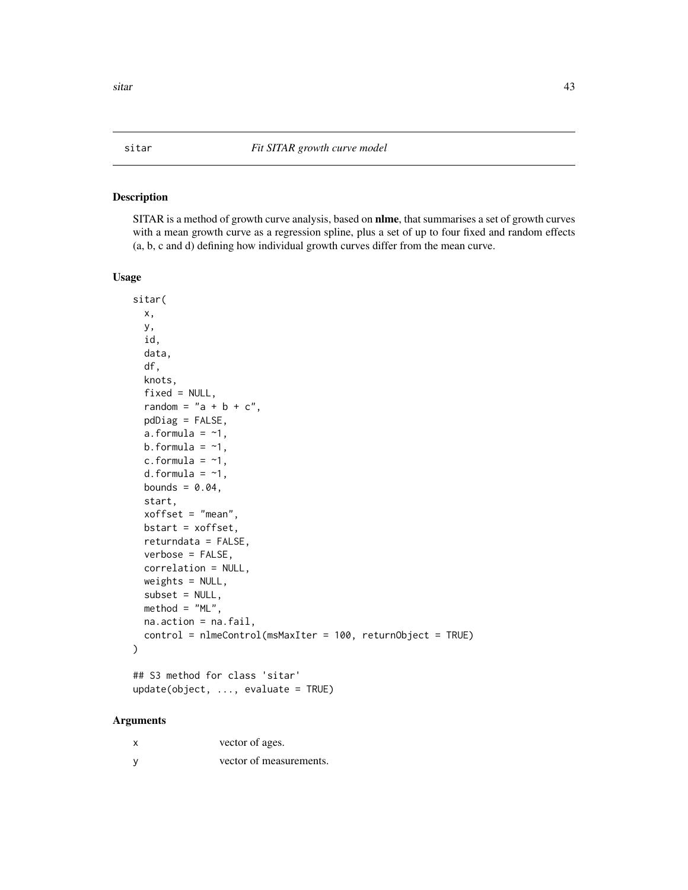### <span id="page-42-1"></span><span id="page-42-0"></span>Description

SITAR is a method of growth curve analysis, based on nlme, that summarises a set of growth curves with a mean growth curve as a regression spline, plus a set of up to four fixed and random effects (a, b, c and d) defining how individual growth curves differ from the mean curve.

#### Usage

```
sitar(
  x,
 y,
  id,
  data,
  df,
  knots,
  fixed = NULL,random = "a + b + c",pdDiag = FALSE,
  a. formula = -1,
 b.formula = -1,
  c.formula = -1,
  d.formula = -1,
 bounds = 0.04,
  start,
 xoffset = "mean",
 bstart = xoffset,
  returndata = FALSE,
  verbose = FALSE,
  correlation = NULL,
 weights = NULL,subset = NULL,
 method = "ML",na.action = na.fail,
  control = nlmeControl(msMaxIter = 100, returnObject = TRUE)
)
## S3 method for class 'sitar'
```
update(object, ..., evaluate = TRUE)

### Arguments

| x | vector of ages.         |
|---|-------------------------|
|   | vector of measurements. |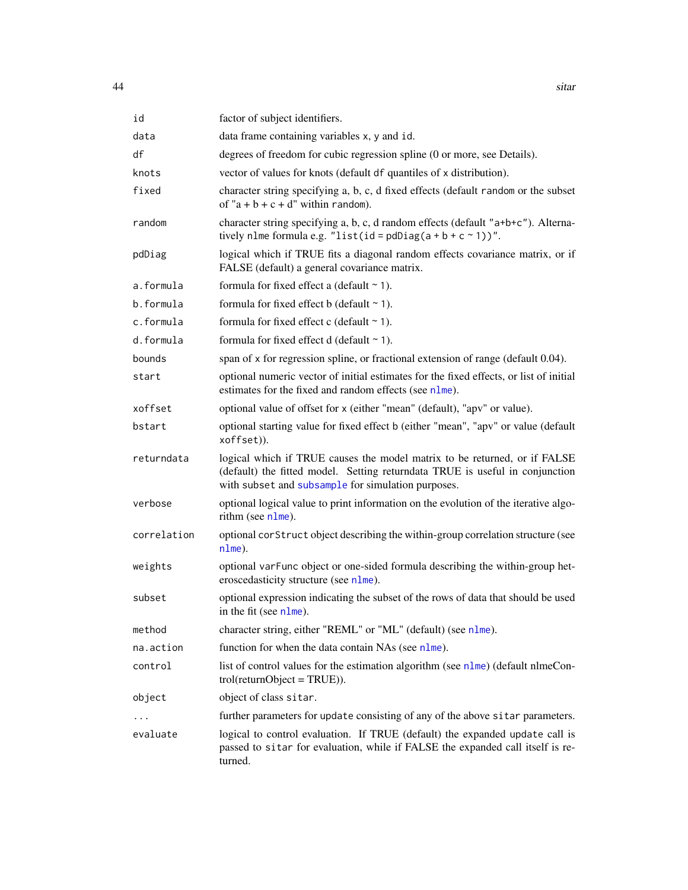<span id="page-43-0"></span>

| id          | factor of subject identifiers.                                                                                                                                                                                  |
|-------------|-----------------------------------------------------------------------------------------------------------------------------------------------------------------------------------------------------------------|
| data        | data frame containing variables x, y and id.                                                                                                                                                                    |
| df          | degrees of freedom for cubic regression spline (0 or more, see Details).                                                                                                                                        |
| knots       | vector of values for knots (default df quantiles of x distribution).                                                                                                                                            |
| fixed       | character string specifying a, b, c, d fixed effects (default random or the subset<br>of " $a + b + c + d$ " within random).                                                                                    |
| random      | character string specifying a, b, c, d random effects (default "a+b+c"). Alterna-<br>tively nlme formula e.g. "list(id = pdDiag( $a + b + c \sim 1$ ))".                                                        |
| pdDiag      | logical which if TRUE fits a diagonal random effects covariance matrix, or if<br>FALSE (default) a general covariance matrix.                                                                                   |
| a.formula   | formula for fixed effect a (default $\sim$ 1).                                                                                                                                                                  |
| b.formula   | formula for fixed effect b (default $\sim$ 1).                                                                                                                                                                  |
| c.formula   | formula for fixed effect c (default $\sim$ 1).                                                                                                                                                                  |
| d.formula   | formula for fixed effect $d$ (default $\sim$ 1).                                                                                                                                                                |
| bounds      | span of x for regression spline, or fractional extension of range (default 0.04).                                                                                                                               |
| start       | optional numeric vector of initial estimates for the fixed effects, or list of initial<br>estimates for the fixed and random effects (see nlme).                                                                |
| xoffset     | optional value of offset for x (either "mean" (default), "apv" or value).                                                                                                                                       |
| bstart      | optional starting value for fixed effect b (either "mean", "apv" or value (default<br>xoffset)).                                                                                                                |
| returndata  | logical which if TRUE causes the model matrix to be returned, or if FALSE<br>(default) the fitted model. Setting returndata TRUE is useful in conjunction<br>with subset and subsample for simulation purposes. |
| verbose     | optional logical value to print information on the evolution of the iterative algo-<br>rithm (see nlme).                                                                                                        |
| correlation | optional corStruct object describing the within-group correlation structure (see<br>nlme).                                                                                                                      |
| weights     | optional varFunc object or one-sided formula describing the within-group het-<br>eroscedasticity structure (see nlme).                                                                                          |
| subset      | optional expression indicating the subset of the rows of data that should be used<br>in the fit (see $n \text{Im}(\epsilon)$ ).                                                                                 |
| method      | character string, either "REML" or "ML" (default) (see nlme).                                                                                                                                                   |
| na.action   | function for when the data contain NAs (see nlme).                                                                                                                                                              |
| control     | list of control values for the estimation algorithm (see nlme) (default nlmeCon-<br>$trol(returnObject = TRUE).$                                                                                                |
| object      | object of class sitar.                                                                                                                                                                                          |
|             | further parameters for update consisting of any of the above sitar parameters.                                                                                                                                  |
| evaluate    | logical to control evaluation. If TRUE (default) the expanded update call is<br>passed to sitar for evaluation, while if FALSE the expanded call itself is re-<br>turned.                                       |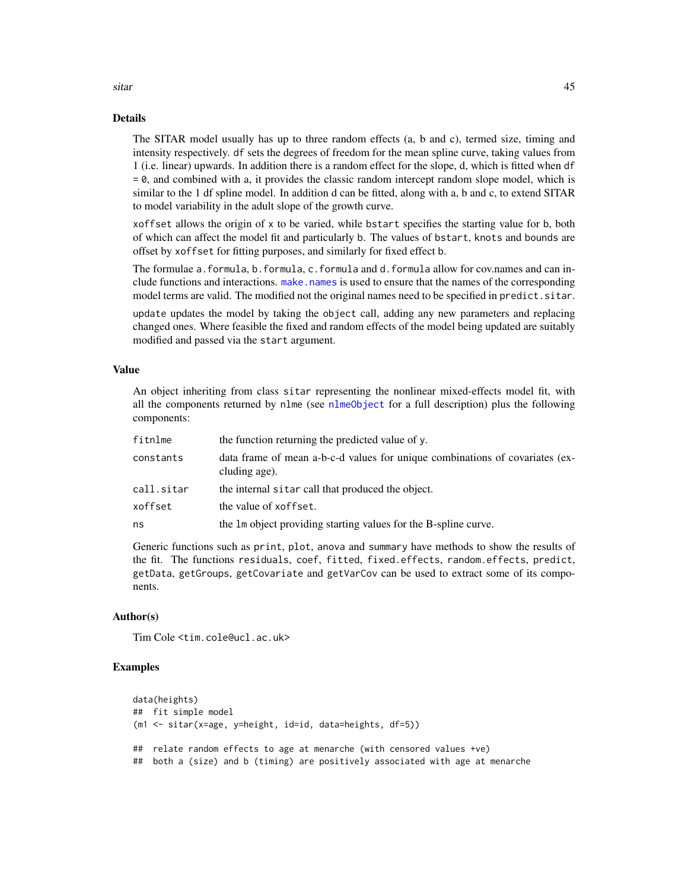#### Details

The SITAR model usually has up to three random effects (a, b and c), termed size, timing and intensity respectively. df sets the degrees of freedom for the mean spline curve, taking values from 1 (i.e. linear) upwards. In addition there is a random effect for the slope, d, which is fitted when df = 0, and combined with a, it provides the classic random intercept random slope model, which is similar to the 1 df spline model. In addition d can be fitted, along with a, b and c, to extend SITAR to model variability in the adult slope of the growth curve.

xoffset allows the origin of x to be varied, while bstart specifies the starting value for b, both of which can affect the model fit and particularly b. The values of bstart, knots and bounds are offset by xoffset for fitting purposes, and similarly for fixed effect b.

The formulae a.formula, b.formula, c.formula and d.formula allow for cov.names and can include functions and interactions. make, names is used to ensure that the names of the corresponding model terms are valid. The modified not the original names need to be specified in predict. sitar.

update updates the model by taking the object call, adding any new parameters and replacing changed ones. Where feasible the fixed and random effects of the model being updated are suitably modified and passed via the start argument.

#### Value

An object inheriting from class sitar representing the nonlinear mixed-effects model fit, with all the components returned by nlme (see [nlmeObject](#page-0-0) for a full description) plus the following components:

| fitnlme    | the function returning the predicted value of y.                                              |
|------------|-----------------------------------------------------------------------------------------------|
| constants  | data frame of mean a-b-c-d values for unique combinations of covariates (ex-<br>cluding age). |
| call.sitar | the internal sitar call that produced the object.                                             |
| xoffset    | the value of xoffset.                                                                         |
| ns         | the 1m object providing starting values for the B-spline curve.                               |

Generic functions such as print, plot, anova and summary have methods to show the results of the fit. The functions residuals, coef, fitted, fixed.effects, random.effects, predict, getData, getGroups, getCovariate and getVarCov can be used to extract some of its components.

### Author(s)

Tim Cole <tim.cole@ucl.ac.uk>

### Examples

```
data(heights)
## fit simple model
(m1 <- sitar(x=age, y=height, id=id, data=heights, df=5))
## relate random effects to age at menarche (with censored values +ve)
## both a (size) and b (timing) are positively associated with age at menarche
```
<span id="page-44-0"></span>sitar and the set of the set of the set of the set of the set of the set of the set of the set of the set of the set of the set of the set of the set of the set of the set of the set of the set of the set of the set of the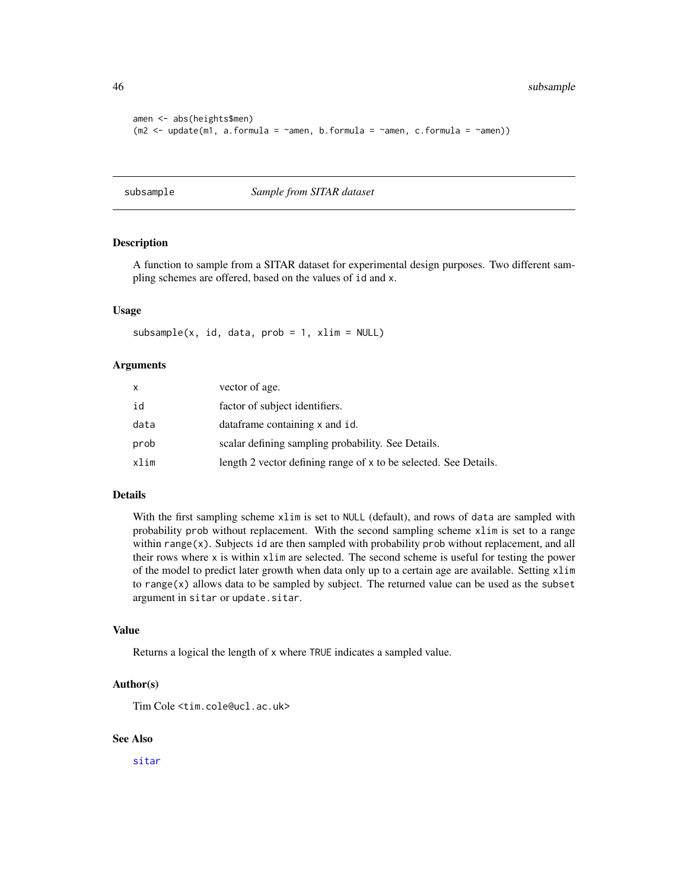<span id="page-45-0"></span>46 subsample

```
amen <- abs(heights$men)
(m2 \leq - \text{update}(m1, a. formula = \text{name}, b. formula = \text{name}, c.formula = \text{name}))
```
<span id="page-45-1"></span>subsample *Sample from SITAR dataset*

#### Description

A function to sample from a SITAR dataset for experimental design purposes. Two different sampling schemes are offered, based on the values of id and x.

#### Usage

```
subsample(x, id, data, prob = 1, xlim = NULL)
```
#### Arguments

| x    | vector of age.                                                   |
|------|------------------------------------------------------------------|
| id   | factor of subject identifiers.                                   |
| data | dataframe containing x and id.                                   |
| prob | scalar defining sampling probability. See Details.               |
| xlim | length 2 vector defining range of x to be selected. See Details. |

### Details

With the first sampling scheme xlim is set to NULL (default), and rows of data are sampled with probability prob without replacement. With the second sampling scheme xlim is set to a range within  $range(x)$ . Subjects id are then sampled with probability prob without replacement, and all their rows where x is within xlim are selected. The second scheme is useful for testing the power of the model to predict later growth when data only up to a certain age are available. Setting xlim to range $(x)$  allows data to be sampled by subject. The returned value can be used as the subset argument in sitar or update.sitar.

### Value

Returns a logical the length of x where TRUE indicates a sampled value.

#### Author(s)

Tim Cole <tim.cole@ucl.ac.uk>

### See Also

[sitar](#page-42-1)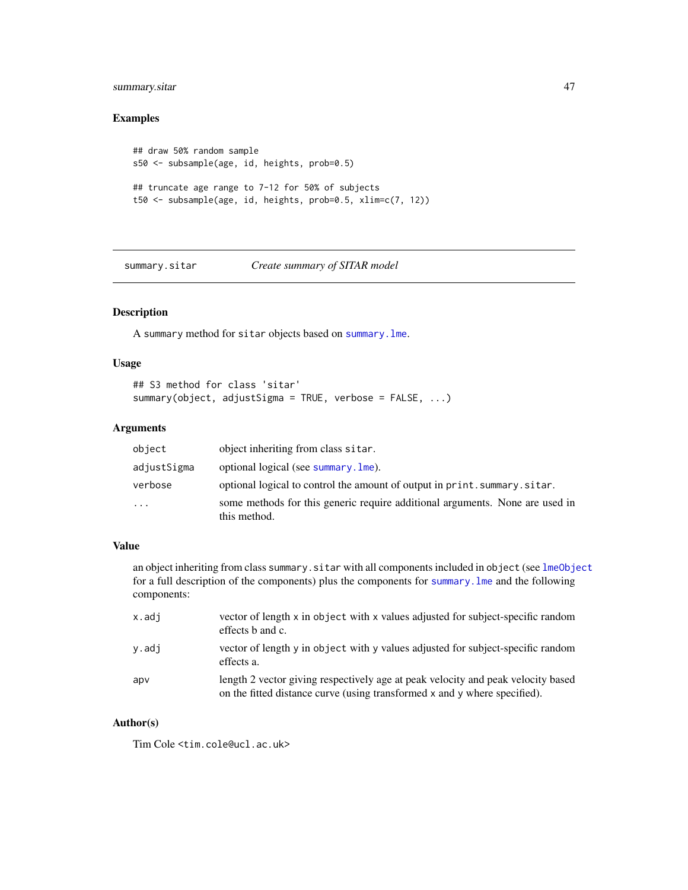### <span id="page-46-0"></span>summary.sitar  $47$

### Examples

```
## draw 50% random sample
s50 <- subsample(age, id, heights, prob=0.5)
## truncate age range to 7-12 for 50% of subjects
t50 <- subsample(age, id, heights, prob=0.5, xlim=c(7, 12))
```
summary.sitar *Create summary of SITAR model*

### Description

A summary method for sitar objects based on [summary.lme](#page-0-0).

### Usage

```
## S3 method for class 'sitar'
summary(object, adjustSigma = TRUE, verbose = FALSE, ...)
```
### Arguments

| object      | object inheriting from class sitar.                                                          |
|-------------|----------------------------------------------------------------------------------------------|
| adjustSigma | optional logical (see summary, lme).                                                         |
| verbose     | optional logical to control the amount of output in print. summary. sitar.                   |
| $\ddotsc$   | some methods for this generic require additional arguments. None are used in<br>this method. |

### Value

an object inheriting from class summary.sitar with all components included in object (see [lmeObject](#page-0-0) for a full description of the components) plus the components for [summary.lme](#page-0-0) and the following components:

| x.adi | vector of length x in object with x values adjusted for subject-specific random<br>effects b and c.                                                           |
|-------|---------------------------------------------------------------------------------------------------------------------------------------------------------------|
| y.adj | vector of length y in object with y values adjusted for subject-specific random<br>effects a.                                                                 |
| apv   | length 2 vector giving respectively age at peak velocity and peak velocity based<br>on the fitted distance curve (using transformed x and y where specified). |

### Author(s)

Tim Cole <tim.cole@ucl.ac.uk>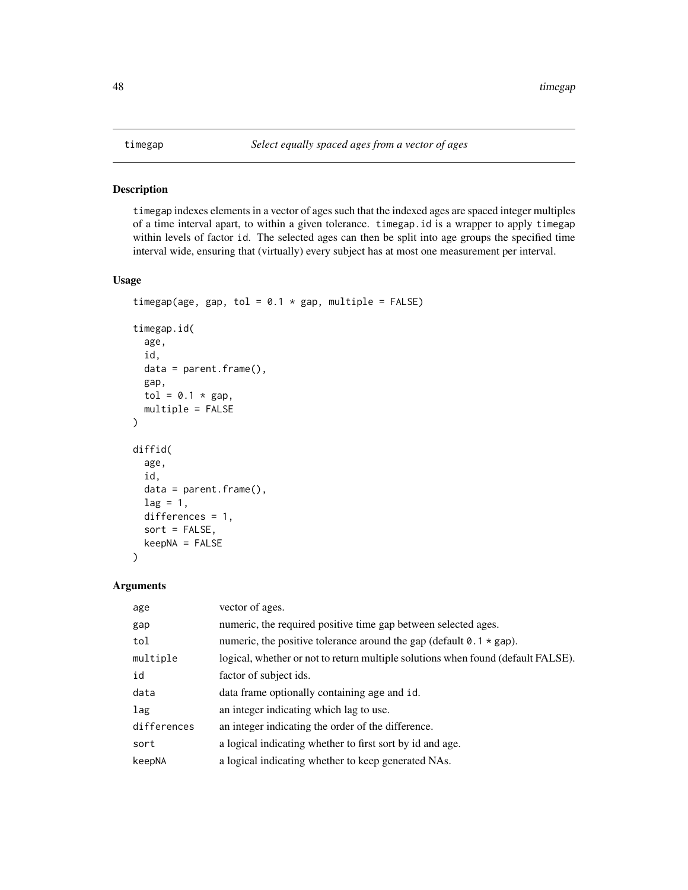<span id="page-47-0"></span>

#### Description

timegap indexes elements in a vector of ages such that the indexed ages are spaced integer multiples of a time interval apart, to within a given tolerance. timegap.id is a wrapper to apply timegap within levels of factor id. The selected ages can then be split into age groups the specified time interval wide, ensuring that (virtually) every subject has at most one measurement per interval.

### Usage

```
timegap(age, gap, tol = 0.1 * gap, multiple = FALSE)
timegap.id(
  age,
  id,
  data = parent.frame(),
  gap,
  tol = 0.1 * gap,
  multiple = FALSE
)
diffid(
  age,
  id,
  data = parent.frame(),lag = 1,differences = 1,
  sort = FALSE,keepNA = FALSE
)
```
### Arguments

| age         | vector of ages.                                                                    |
|-------------|------------------------------------------------------------------------------------|
| gap         | numeric, the required positive time gap between selected ages.                     |
| tol         | numeric, the positive tolerance around the gap (default $0.1 \times \text{gap}$ ). |
| multiple    | logical, whether or not to return multiple solutions when found (default FALSE).   |
| id          | factor of subject ids.                                                             |
| data        | data frame optionally containing age and id.                                       |
| lag         | an integer indicating which lag to use.                                            |
| differences | an integer indicating the order of the difference.                                 |
| sort        | a logical indicating whether to first sort by id and age.                          |
| keepNA      | a logical indicating whether to keep generated NAs.                                |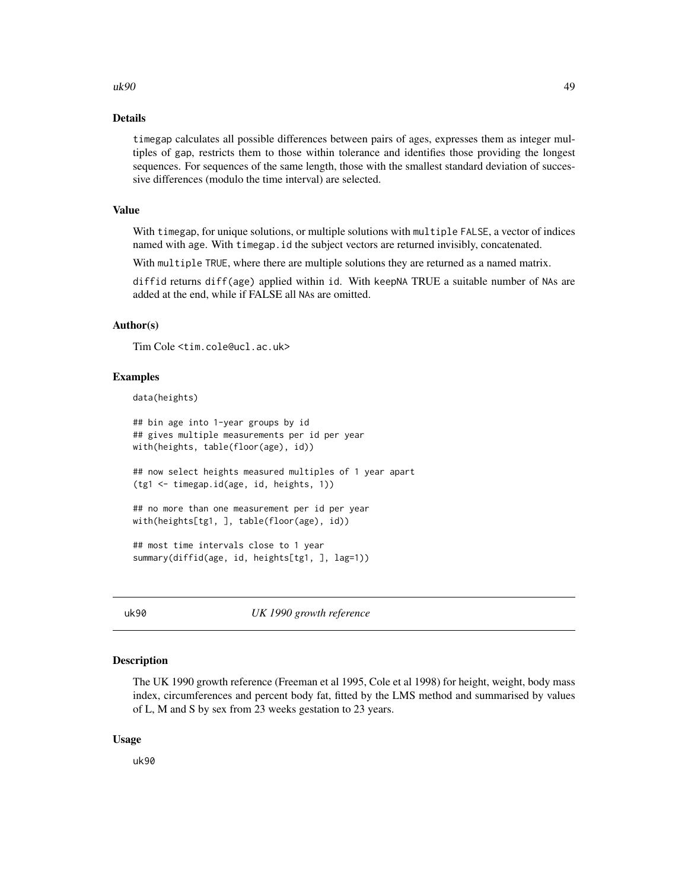#### <span id="page-48-0"></span> $uk90$  and the contract of the contract of the contract of the contract of the contract of the contract of the contract of the contract of the contract of the contract of the contract of the contract of the contract of the

#### Details

timegap calculates all possible differences between pairs of ages, expresses them as integer multiples of gap, restricts them to those within tolerance and identifies those providing the longest sequences. For sequences of the same length, those with the smallest standard deviation of successive differences (modulo the time interval) are selected.

#### Value

With timegap, for unique solutions, or multiple solutions with multiple FALSE, a vector of indices named with age. With timegap.id the subject vectors are returned invisibly, concatenated.

With multiple TRUE, where there are multiple solutions they are returned as a named matrix.

diffid returns diff(age) applied within id. With keepNA TRUE a suitable number of NAs are added at the end, while if FALSE all NAs are omitted.

### Author(s)

Tim Cole <tim.cole@ucl.ac.uk>

#### Examples

data(heights)

```
## bin age into 1-year groups by id
## gives multiple measurements per id per year
with(heights, table(floor(age), id))
## now select heights measured multiples of 1 year apart
(tg1 <- timegap.id(age, id, heights, 1))
## no more than one measurement per id per year
with(heights[tg1, ], table(floor(age), id))
## most time intervals close to 1 year
summary(diffid(age, id, heights[tg1, ], lag=1))
```
uk90 *UK 1990 growth reference*

### Description

The UK 1990 growth reference (Freeman et al 1995, Cole et al 1998) for height, weight, body mass index, circumferences and percent body fat, fitted by the LMS method and summarised by values of L, M and S by sex from 23 weeks gestation to 23 years.

#### Usage

uk90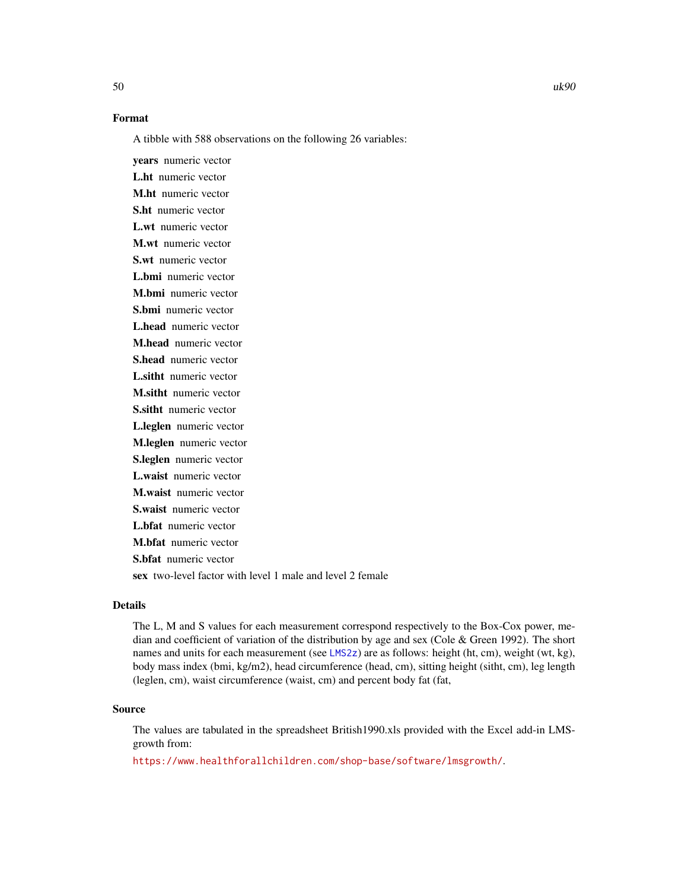### <span id="page-49-0"></span>Format

A tibble with 588 observations on the following 26 variables:

years numeric vector L.ht numeric vector M.ht numeric vector S.ht numeric vector L.wt numeric vector M.wt numeric vector S.wt numeric vector L.bmi numeric vector M.bmi numeric vector S.bmi numeric vector L.head numeric vector M.head numeric vector S.head numeric vector L.sitht numeric vector M.sitht numeric vector S.sitht numeric vector L.leglen numeric vector M.leglen numeric vector S.leglen numeric vector L.waist numeric vector M.waist numeric vector S.waist numeric vector L.bfat numeric vector M.bfat numeric vector S.bfat numeric vector sex two-level factor with level 1 male and level 2 female

### Details

The L, M and S values for each measurement correspond respectively to the Box-Cox power, median and coefficient of variation of the distribution by age and sex (Cole & Green 1992). The short names and units for each measurement (see [LMS2z](#page-23-1)) are as follows: height (ht, cm), weight (wt, kg), body mass index (bmi, kg/m2), head circumference (head, cm), sitting height (sitht, cm), leg length (leglen, cm), waist circumference (waist, cm) and percent body fat (fat,

#### Source

The values are tabulated in the spreadsheet British1990.xls provided with the Excel add-in LMSgrowth from:

<https://www.healthforallchildren.com/shop-base/software/lmsgrowth/>.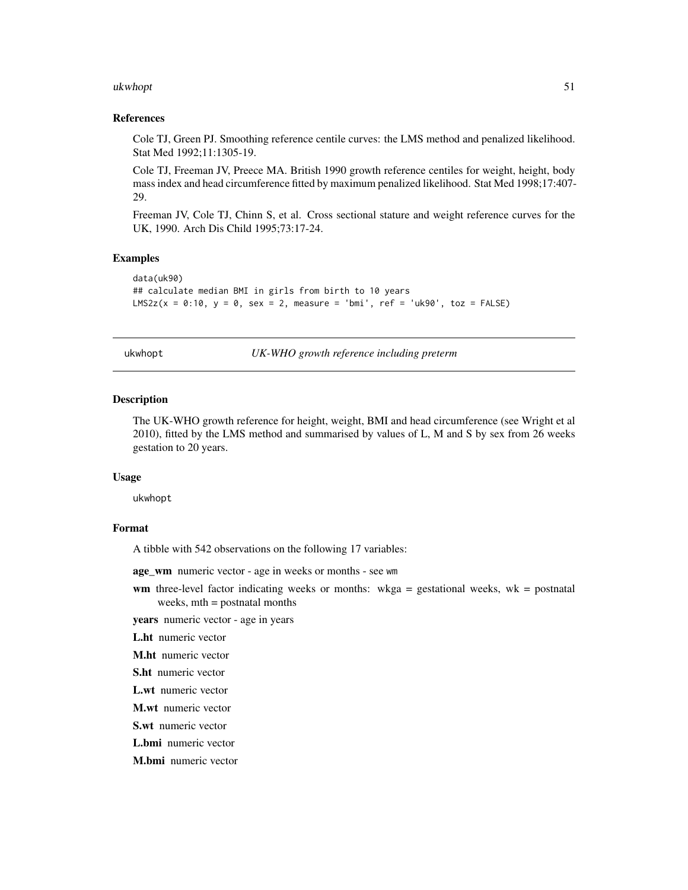#### <span id="page-50-0"></span>ukwhopt 51

#### References

Cole TJ, Green PJ. Smoothing reference centile curves: the LMS method and penalized likelihood. Stat Med 1992;11:1305-19.

Cole TJ, Freeman JV, Preece MA. British 1990 growth reference centiles for weight, height, body mass index and head circumference fitted by maximum penalized likelihood. Stat Med 1998;17:407- 29.

Freeman JV, Cole TJ, Chinn S, et al. Cross sectional stature and weight reference curves for the UK, 1990. Arch Dis Child 1995;73:17-24.

### Examples

```
data(uk90)
## calculate median BMI in girls from birth to 10 years
LMS2z(x = 0:10, y = 0, sex = 2, measure = 'bmi', ref = 'uk90', toz = FALSE)
```
ukwhopt *UK-WHO growth reference including preterm*

#### Description

The UK-WHO growth reference for height, weight, BMI and head circumference (see Wright et al 2010), fitted by the LMS method and summarised by values of L, M and S by sex from 26 weeks gestation to 20 years.

#### Usage

ukwhopt

#### Format

A tibble with 542 observations on the following 17 variables:

age\_wm numeric vector - age in weeks or months - see wm

wm three-level factor indicating weeks or months:  $wkga =$  gestational weeks,  $wk =$  postnatal weeks, mth = postnatal months

years numeric vector - age in years

L.ht numeric vector

M.ht numeric vector

S.ht numeric vector

L.wt numeric vector

M.wt numeric vector

S.wt numeric vector

L.bmi numeric vector

M.bmi numeric vector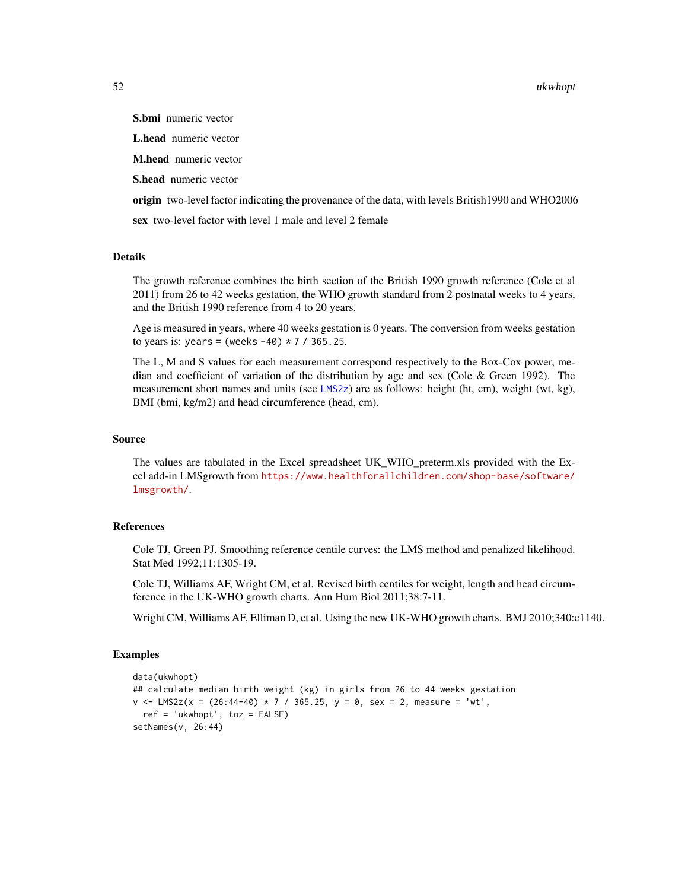<span id="page-51-0"></span>52 ukwhopt

S.bmi numeric vector

L.head numeric vector

M.head numeric vector

S.head numeric vector

origin two-level factor indicating the provenance of the data, with levels British1990 and WHO2006

sex two-level factor with level 1 male and level 2 female

#### Details

The growth reference combines the birth section of the British 1990 growth reference (Cole et al 2011) from 26 to 42 weeks gestation, the WHO growth standard from 2 postnatal weeks to 4 years, and the British 1990 reference from 4 to 20 years.

Age is measured in years, where 40 weeks gestation is 0 years. The conversion from weeks gestation to years is: years = (weeks  $-40$ )  $*$  7 / 365.25.

The L, M and S values for each measurement correspond respectively to the Box-Cox power, median and coefficient of variation of the distribution by age and sex (Cole & Green 1992). The measurement short names and units (see [LMS2z](#page-23-1)) are as follows: height (ht, cm), weight (wt, kg), BMI (bmi, kg/m2) and head circumference (head, cm).

### Source

The values are tabulated in the Excel spreadsheet UK\_WHO\_preterm.xls provided with the Excel add-in LMSgrowth from [https://www.healthforallchildren.com/shop-base/software/](https://www.healthforallchildren.com/shop-base/software/lmsgrowth/) [lmsgrowth/](https://www.healthforallchildren.com/shop-base/software/lmsgrowth/).

### References

Cole TJ, Green PJ. Smoothing reference centile curves: the LMS method and penalized likelihood. Stat Med 1992;11:1305-19.

Cole TJ, Williams AF, Wright CM, et al. Revised birth centiles for weight, length and head circumference in the UK-WHO growth charts. Ann Hum Biol 2011;38:7-11.

Wright CM, Williams AF, Elliman D, et al. Using the new UK-WHO growth charts. BMJ 2010;340:c1140.

#### Examples

```
data(ukwhopt)
## calculate median birth weight (kg) in girls from 26 to 44 weeks gestation
v <- LMS2z(x = (26:44-40) * 7 / 365.25, y = 0, sex = 2, measure = 'wt',
 ref = 'ukwhopt', toz = FALSE)setNames(v, 26:44)
```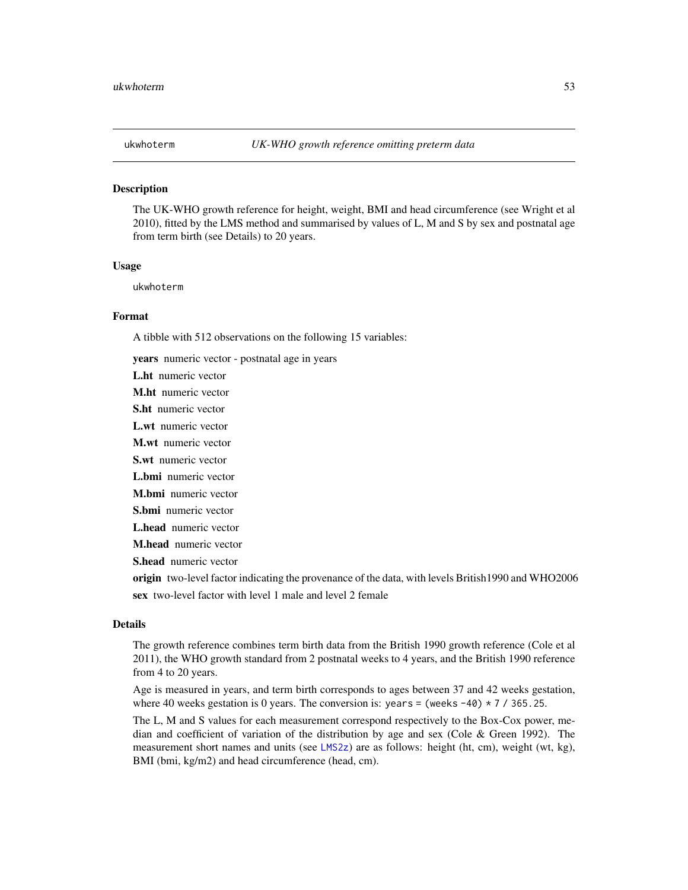<span id="page-52-0"></span>

#### Description

The UK-WHO growth reference for height, weight, BMI and head circumference (see Wright et al 2010), fitted by the LMS method and summarised by values of L, M and S by sex and postnatal age from term birth (see Details) to 20 years.

#### Usage

ukwhoterm

### Format

A tibble with 512 observations on the following 15 variables:

years numeric vector - postnatal age in years

L.ht numeric vector

M.ht numeric vector

S.ht numeric vector

L.wt numeric vector

M.wt numeric vector

S.wt numeric vector

L.bmi numeric vector

M.bmi numeric vector

S.bmi numeric vector

L.head numeric vector

M.head numeric vector

S.head numeric vector

origin two-level factor indicating the provenance of the data, with levels British1990 and WHO2006 sex two-level factor with level 1 male and level 2 female

### Details

The growth reference combines term birth data from the British 1990 growth reference (Cole et al 2011), the WHO growth standard from 2 postnatal weeks to 4 years, and the British 1990 reference from 4 to 20 years.

Age is measured in years, and term birth corresponds to ages between 37 and 42 weeks gestation, where 40 weeks gestation is 0 years. The conversion is: years = (weeks -40)  $*$  7 / 365.25.

The L, M and S values for each measurement correspond respectively to the Box-Cox power, median and coefficient of variation of the distribution by age and sex (Cole & Green 1992). The measurement short names and units (see [LMS2z](#page-23-1)) are as follows: height (ht, cm), weight (wt, kg), BMI (bmi, kg/m2) and head circumference (head, cm).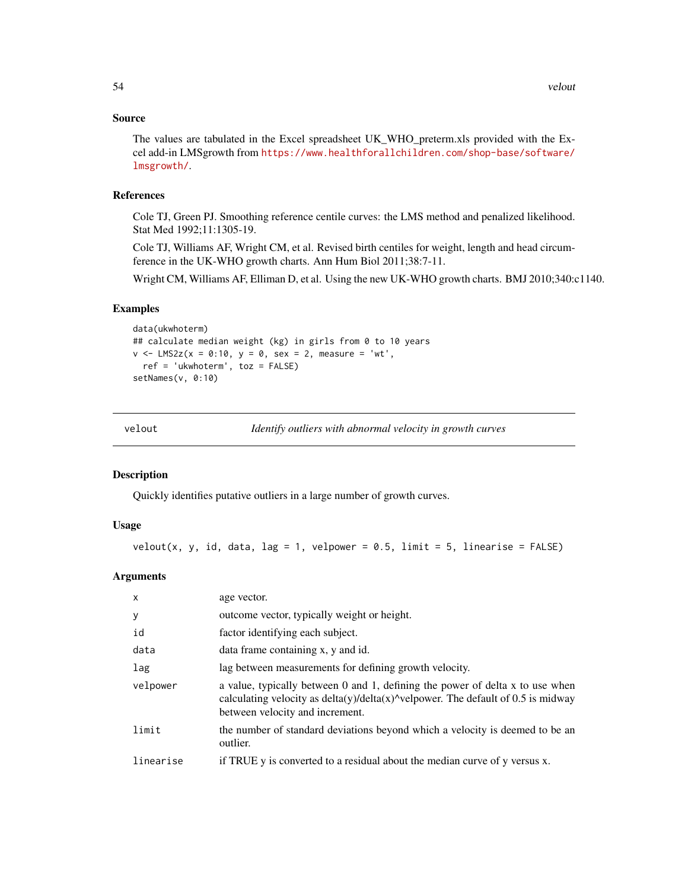### <span id="page-53-0"></span>Source

The values are tabulated in the Excel spreadsheet UK\_WHO\_preterm.xls provided with the Excel add-in LMSgrowth from [https://www.healthforallchildren.com/shop-base/software/](https://www.healthforallchildren.com/shop-base/software/lmsgrowth/) [lmsgrowth/](https://www.healthforallchildren.com/shop-base/software/lmsgrowth/).

#### References

Cole TJ, Green PJ. Smoothing reference centile curves: the LMS method and penalized likelihood. Stat Med 1992;11:1305-19.

Cole TJ, Williams AF, Wright CM, et al. Revised birth centiles for weight, length and head circumference in the UK-WHO growth charts. Ann Hum Biol 2011;38:7-11.

Wright CM, Williams AF, Elliman D, et al. Using the new UK-WHO growth charts. BMJ 2010;340:c1140.

### Examples

```
data(ukwhoterm)
## calculate median weight (kg) in girls from 0 to 10 years
v \le - LMS2z(x = 0:10, y = 0, sex = 2, measure = 'wt',
 ref = 'ukwhoterm', toz = FALSE)
setNames(v, 0:10)
```
<span id="page-53-1"></span>

velout *Identify outliers with abnormal velocity in growth curves*

### Description

Quickly identifies putative outliers in a large number of growth curves.

### Usage

```
velout(x, y, id, data, lag = 1, velpower = 0.5, limit = 5, linearise = FALSE)
```
### Arguments

| $\mathsf{x}$ | age vector.                                                                                                                                                                                                         |
|--------------|---------------------------------------------------------------------------------------------------------------------------------------------------------------------------------------------------------------------|
| y            | outcome vector, typically weight or height.                                                                                                                                                                         |
| id           | factor identifying each subject.                                                                                                                                                                                    |
| data         | data frame containing x, y and id.                                                                                                                                                                                  |
| lag          | lag between measurements for defining growth velocity.                                                                                                                                                              |
| velpower     | a value, typically between 0 and 1, defining the power of delta x to use when<br>calculating velocity as $delta(y)/delta(x)$ <sup>^</sup> velpower. The default of 0.5 is midway<br>between velocity and increment. |
| limit        | the number of standard deviations beyond which a velocity is deemed to be an<br>outlier.                                                                                                                            |
| linearise    | if TRUE y is converted to a residual about the median curve of y versus x.                                                                                                                                          |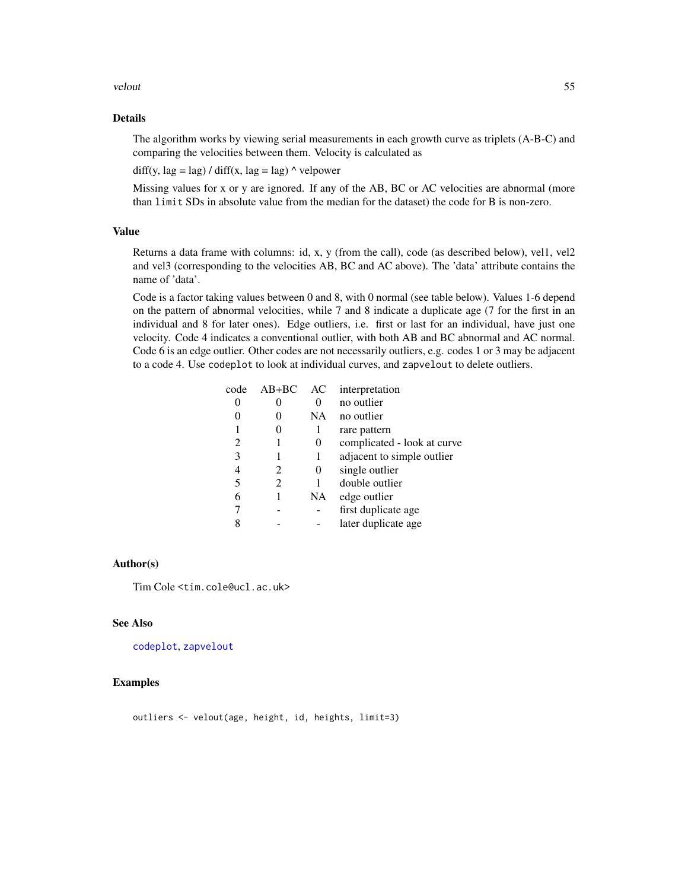#### <span id="page-54-0"></span>velout 55

### Details

The algorithm works by viewing serial measurements in each growth curve as triplets (A-B-C) and comparing the velocities between them. Velocity is calculated as

diff(y,  $\text{lag} = \text{lag}$ ) / diff(x,  $\text{lag} = \text{lag}$ )  $\land$  velpower

Missing values for x or y are ignored. If any of the AB, BC or AC velocities are abnormal (more than limit SDs in absolute value from the median for the dataset) the code for B is non-zero.

### Value

Returns a data frame with columns: id, x, y (from the call), code (as described below), vel1, vel2 and vel3 (corresponding to the velocities AB, BC and AC above). The 'data' attribute contains the name of 'data'.

Code is a factor taking values between 0 and 8, with 0 normal (see table below). Values 1-6 depend on the pattern of abnormal velocities, while 7 and 8 indicate a duplicate age (7 for the first in an individual and 8 for later ones). Edge outliers, i.e. first or last for an individual, have just one velocity. Code 4 indicates a conventional outlier, with both AB and BC abnormal and AC normal. Code 6 is an edge outlier. Other codes are not necessarily outliers, e.g. codes 1 or 3 may be adjacent to a code 4. Use codeplot to look at individual curves, and zapvelout to delete outliers.

| $AB+BC$ | AC       | interpretation              |
|---------|----------|-----------------------------|
|         |          | no outlier                  |
|         | NA       | no outlier                  |
| 0       | 1        | rare pattern                |
|         | 0        | complicated - look at curve |
|         | 1        | adjacent to simple outlier  |
| 2       | $\theta$ | single outlier              |
| 2       |          | double outlier              |
|         | NA       | edge outlier                |
|         |          | first duplicate age         |
|         |          | later duplicate age         |
|         |          |                             |

#### Author(s)

Tim Cole <tim.cole@ucl.ac.uk>

### See Also

[codeplot](#page-12-1), [zapvelout](#page-12-2)

#### Examples

outliers <- velout(age, height, id, heights, limit=3)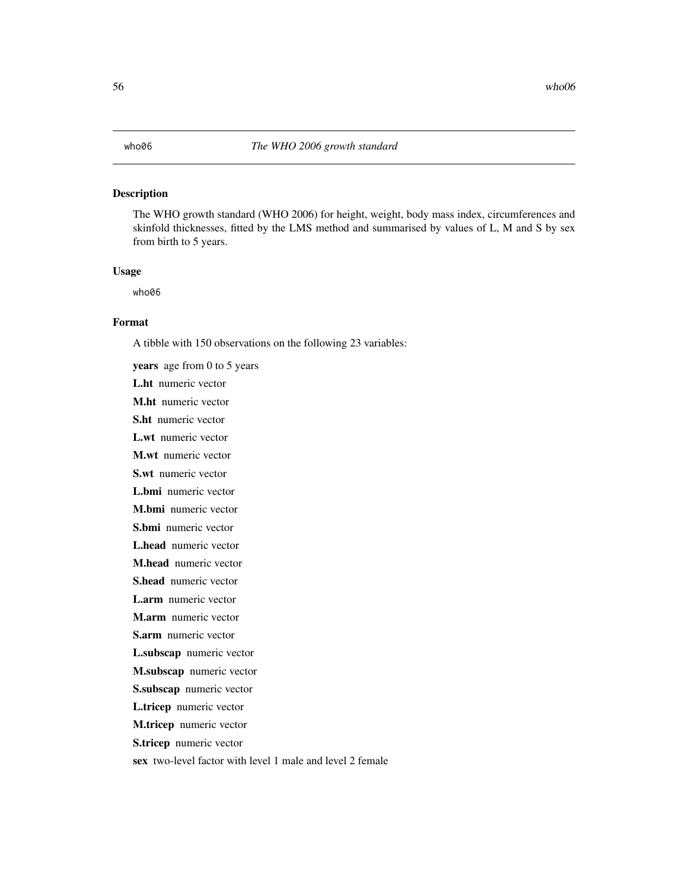### <span id="page-55-0"></span>Description

The WHO growth standard (WHO 2006) for height, weight, body mass index, circumferences and skinfold thicknesses, fitted by the LMS method and summarised by values of L, M and S by sex from birth to 5 years.

### Usage

who06

### Format

A tibble with 150 observations on the following 23 variables:

years age from 0 to 5 years L.ht numeric vector M.ht numeric vector S.ht numeric vector L.wt numeric vector M.wt numeric vector S.wt numeric vector L.bmi numeric vector M.bmi numeric vector S.bmi numeric vector L.head numeric vector M.head numeric vector S.head numeric vector L.arm numeric vector M.arm numeric vector S.arm numeric vector L.subscap numeric vector M.subscap numeric vector S.subscap numeric vector L.tricep numeric vector M.tricep numeric vector S.tricep numeric vector sex two-level factor with level 1 male and level 2 female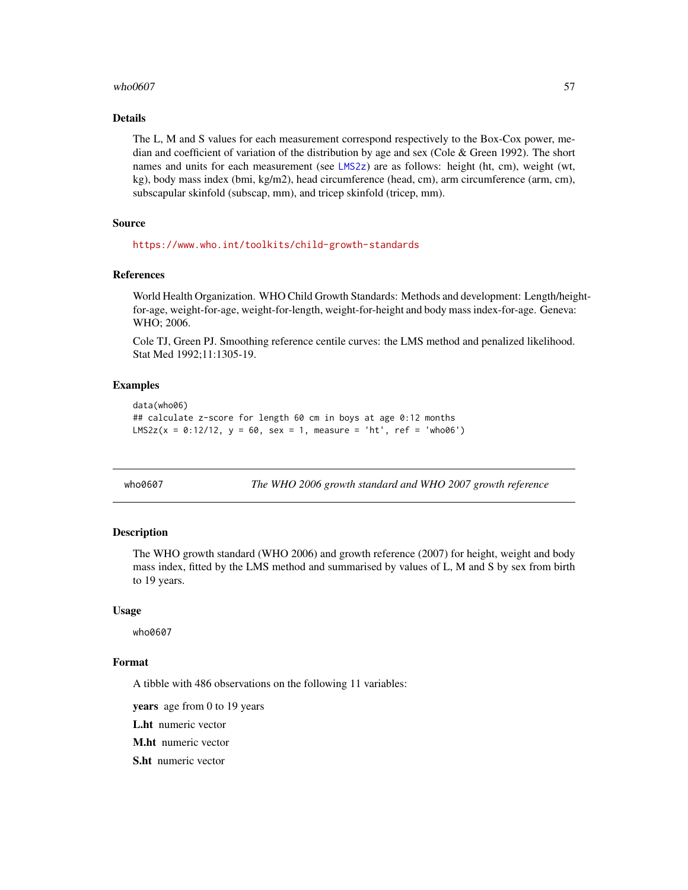### <span id="page-56-0"></span> $who0607$  57

### Details

The L, M and S values for each measurement correspond respectively to the Box-Cox power, median and coefficient of variation of the distribution by age and sex (Cole & Green 1992). The short names and units for each measurement (see [LMS2z](#page-23-1)) are as follows: height (ht, cm), weight (wt, kg), body mass index (bmi, kg/m2), head circumference (head, cm), arm circumference (arm, cm), subscapular skinfold (subscap, mm), and tricep skinfold (tricep, mm).

### Source

<https://www.who.int/toolkits/child-growth-standards>

#### References

World Health Organization. WHO Child Growth Standards: Methods and development: Length/heightfor-age, weight-for-age, weight-for-length, weight-for-height and body mass index-for-age. Geneva: WHO; 2006.

Cole TJ, Green PJ. Smoothing reference centile curves: the LMS method and penalized likelihood. Stat Med 1992;11:1305-19.

#### Examples

```
data(who06)
## calculate z-score for length 60 cm in boys at age 0:12 months
LMS2z(x = 0:12/12, y = 60, sex = 1, measure = 'ht', ref = 'who06')
```

| who0607 |  |
|---------|--|
|---------|--|

The WHO 2006 growth standard and WHO 2007 growth reference

### Description

The WHO growth standard (WHO 2006) and growth reference (2007) for height, weight and body mass index, fitted by the LMS method and summarised by values of L, M and S by sex from birth to 19 years.

#### Usage

who0607

### Format

A tibble with 486 observations on the following 11 variables:

years age from 0 to 19 years

L.ht numeric vector

M.ht numeric vector

S.ht numeric vector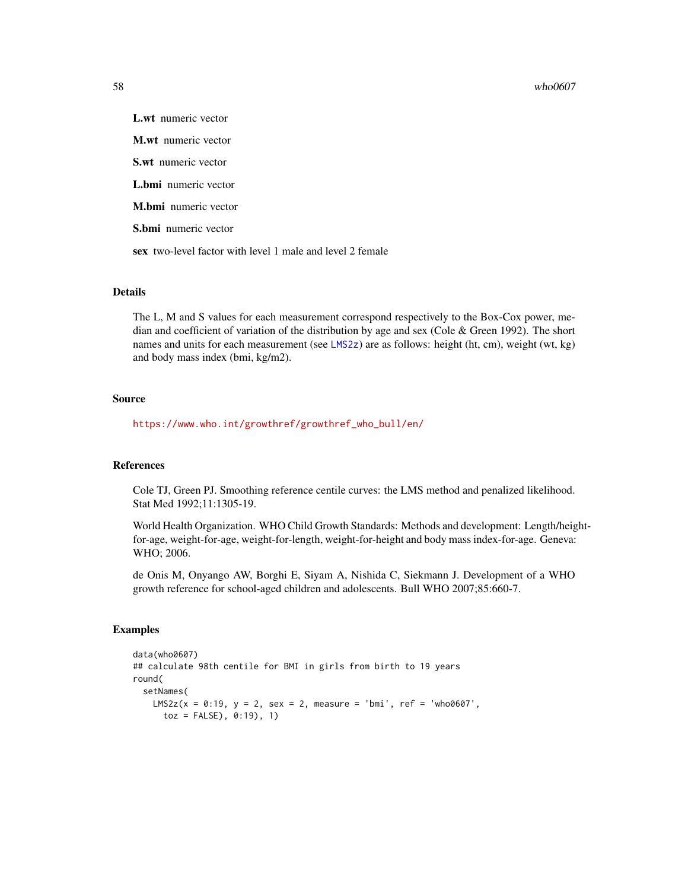#### <span id="page-57-0"></span>58 who0607

L.wt numeric vector M.wt numeric vector S.wt numeric vector L.bmi numeric vector M.bmi numeric vector S.bmi numeric vector sex two-level factor with level 1 male and level 2 female

### Details

The L, M and S values for each measurement correspond respectively to the Box-Cox power, median and coefficient of variation of the distribution by age and sex (Cole & Green 1992). The short names and units for each measurement (see [LMS2z](#page-23-1)) are as follows: height (ht, cm), weight (wt, kg) and body mass index (bmi, kg/m2).

#### Source

[https://www.who.int/growthref/growthref\\_who\\_bull/en/](https://www.who.int/growthref/growthref_who_bull/en/)

#### References

Cole TJ, Green PJ. Smoothing reference centile curves: the LMS method and penalized likelihood. Stat Med 1992;11:1305-19.

World Health Organization. WHO Child Growth Standards: Methods and development: Length/heightfor-age, weight-for-age, weight-for-length, weight-for-height and body mass index-for-age. Geneva: WHO; 2006.

de Onis M, Onyango AW, Borghi E, Siyam A, Nishida C, Siekmann J. Development of a WHO growth reference for school-aged children and adolescents. Bull WHO 2007;85:660-7.

### Examples

```
data(who0607)
## calculate 98th centile for BMI in girls from birth to 19 years
round(
 setNames(
   LMS2z(x = 0:19, y = 2, sex = 2, measure = 'bmi', ref = 'who0607',toz = FALSE), 0:19), 1)
```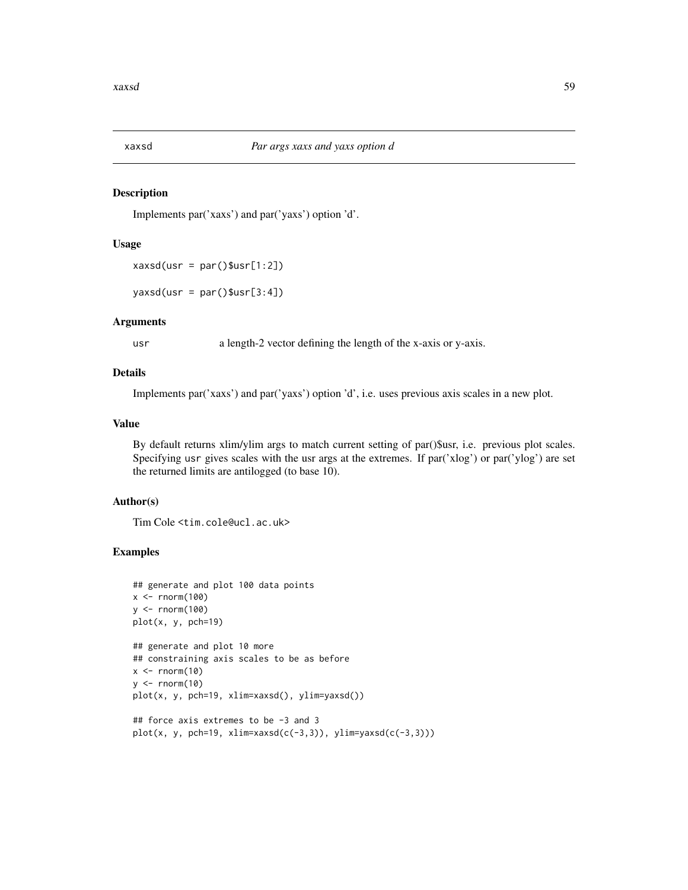<span id="page-58-0"></span>

#### Description

Implements par('xaxs') and par('yaxs') option 'd'.

#### Usage

```
xaxsd(usr = par()$usr[1:2])
```
 $y$ axsd(usr = par()\$usr[3:4])

### Arguments

usr a length-2 vector defining the length of the x-axis or y-axis.

#### Details

Implements par('xaxs') and par('yaxs') option 'd', i.e. uses previous axis scales in a new plot.

#### Value

By default returns xlim/ylim args to match current setting of par()\$usr, i.e. previous plot scales. Specifying usr gives scales with the usr args at the extremes. If par('xlog') or par('ylog') are set the returned limits are antilogged (to base 10).

#### Author(s)

Tim Cole <tim.cole@ucl.ac.uk>

### Examples

```
## generate and plot 100 data points
x < - rnorm(100)
y <- rnorm(100)
plot(x, y, pch=19)
## generate and plot 10 more
## constraining axis scales to be as before
x < - rnorm(10)
y \le - rnorm(10)plot(x, y, pch=19, xlim=xaxsd(), ylim=yaxsd())
## force axis extremes to be -3 and 3
```

```
plot(x, y, pch=19, xlim=xaxsd(c(-3,3)), ylim=yaxsd(c(-3,3)))
```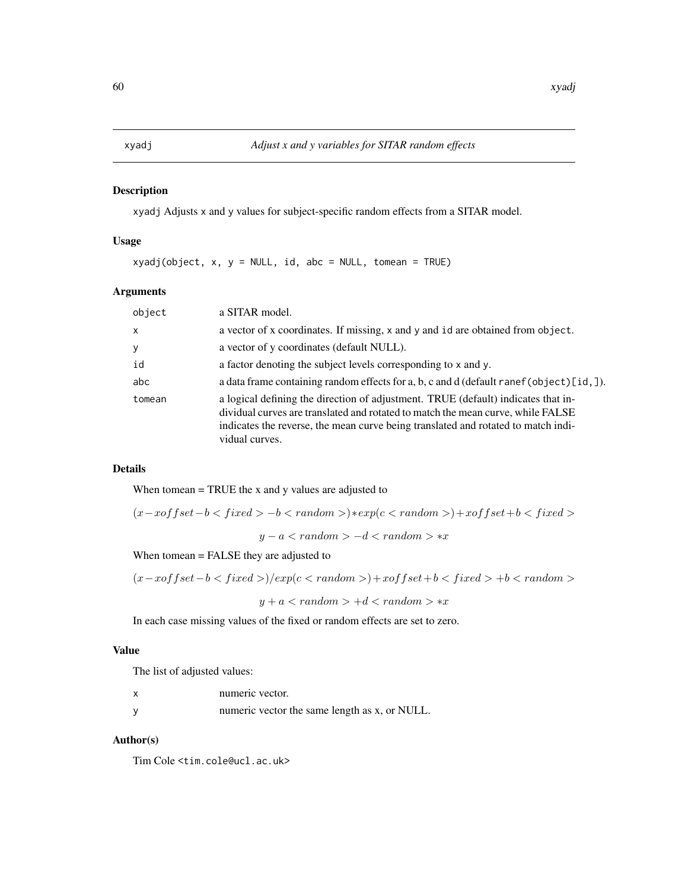<span id="page-59-0"></span>

### Description

xyadj Adjusts x and y values for subject-specific random effects from a SITAR model.

### Usage

 $xyadj(object, x, y = NULL, id, abc = NULL, tomean = TRUE)$ 

### Arguments

| object       | a SITAR model.                                                                                                                                                                                                                                                              |
|--------------|-----------------------------------------------------------------------------------------------------------------------------------------------------------------------------------------------------------------------------------------------------------------------------|
| $\mathsf{x}$ | a vector of x coordinates. If missing, x and y and id are obtained from object.                                                                                                                                                                                             |
| У            | a vector of y coordinates (default NULL).                                                                                                                                                                                                                                   |
| id           | a factor denoting the subject levels corresponding to x and y.                                                                                                                                                                                                              |
| abc          | a data frame containing random effects for a, b, c and d (default ranef (object) [id, ]).                                                                                                                                                                                   |
| tomean       | a logical defining the direction of adjustment. TRUE (default) indicates that in-<br>dividual curves are translated and rotated to match the mean curve, while FALSE<br>indicates the reverse, the mean curve being translated and rotated to match indi-<br>vidual curves. |

### Details

When tomean  $=$  TRUE the x and y values are adjusted to

$$
(x-xoffset-b-b)*exp(c)+xoffset+b
$$

 $y - a < random > -d < random > *x$ 

When tomean = FALSE they are adjusted to

$$
(x-xoffset-b < fixed>)/exp(c < random>) + xoffset+b < fixed > +b < random>
$$

$$
y+a < random > +d < random > *x
$$

In each case missing values of the fixed or random effects are set to zero.

### Value

The list of adjusted values:

| numeric vector.                               |
|-----------------------------------------------|
| numeric vector the same length as x, or NULL. |

### Author(s)

Tim Cole <tim.cole@ucl.ac.uk>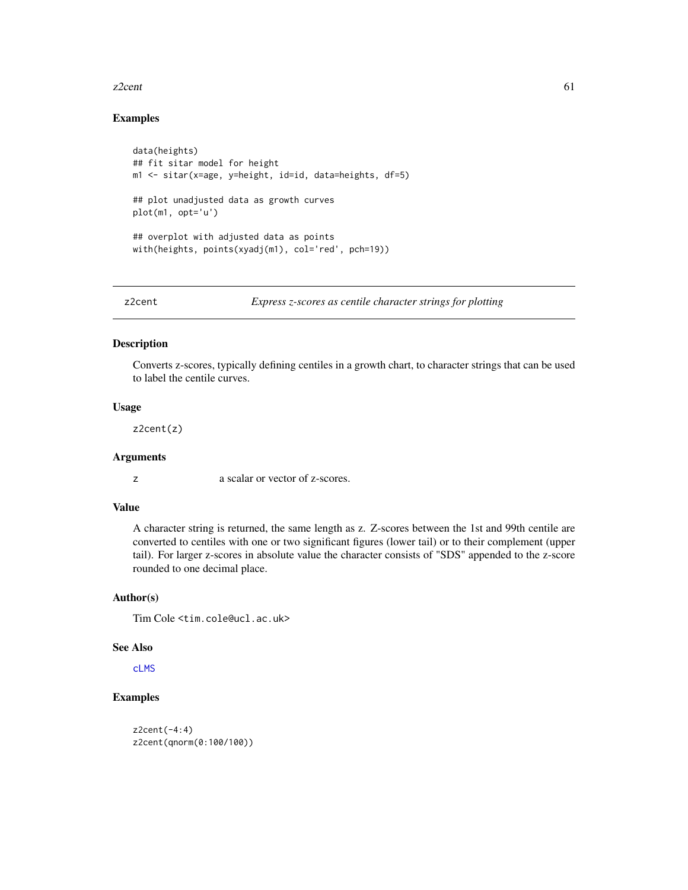#### <span id="page-60-0"></span>z2cent  $\sim$  61

### Examples

```
data(heights)
## fit sitar model for height
m1 <- sitar(x=age, y=height, id=id, data=heights, df=5)
## plot unadjusted data as growth curves
plot(m1, opt='u')
## overplot with adjusted data as points
with(heights, points(xyadj(m1), col='red', pch=19))
```
<span id="page-60-1"></span>z2cent *Express z-scores as centile character strings for plotting*

#### Description

Converts z-scores, typically defining centiles in a growth chart, to character strings that can be used to label the centile curves.

### Usage

z2cent(z)

### Arguments

z a scalar or vector of z-scores.

### Value

A character string is returned, the same length as z. Z-scores between the 1st and 99th centile are converted to centiles with one or two significant figures (lower tail) or to their complement (upper tail). For larger z-scores in absolute value the character consists of "SDS" appended to the z-score rounded to one decimal place.

### Author(s)

Tim Cole <tim.cole@ucl.ac.uk>

### See Also

[cLMS](#page-10-1)

### Examples

```
z2cent(-4:4)
z2cent(qnorm(0:100/100))
```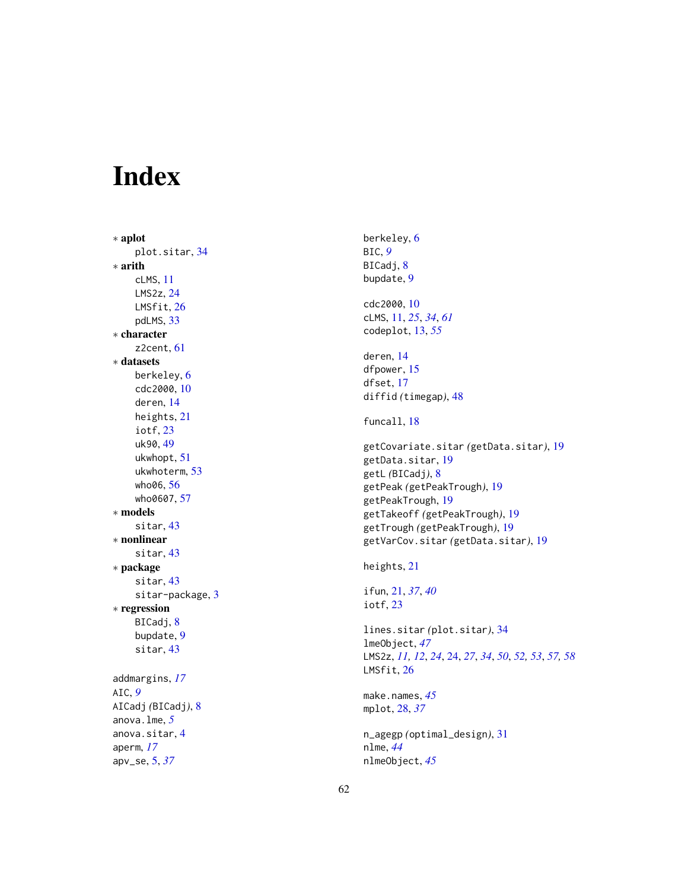# <span id="page-61-0"></span>Index

∗ aplot plot.sitar , [34](#page-33-0) ∗ arith cLMS , [11](#page-10-0) LMS2z , [24](#page-23-0) LMSfit, [26](#page-25-0) pdLMS , [33](#page-32-0) ∗ character z2cent , [61](#page-60-0) ∗ datasets berkeley , [6](#page-5-0) cdc2000 , [10](#page-9-0) deren , [14](#page-13-0) heights , [21](#page-20-0) iotf , [23](#page-22-0) uk90 , [49](#page-48-0) ukwhopt , [51](#page-50-0) ukwhoterm , [53](#page-52-0) who06 , [56](#page-55-0) who0607, [57](#page-56-0) ∗ models sitar , [43](#page-42-0) ∗ nonlinear sitar , [43](#page-42-0) ∗ package sitar , [43](#page-42-0) sitar-package, [3](#page-2-0) ∗ regression BICadj, [8](#page-7-0) bupdate , [9](#page-8-0) sitar , [43](#page-42-0) addmargins , *[17](#page-16-0)* AIC , *[9](#page-8-0)* AICadj *(*BICadj *)* , [8](#page-7-0) anova.lme , *[5](#page-4-0)* anova.sitar , [4](#page-3-0) aperm , *[17](#page-16-0)* apv\_se , [5](#page-4-0) , *[37](#page-36-0)*

berkeley , [6](#page-5-0) BIC , *[9](#page-8-0)* BICadj, <mark>[8](#page-7-0)</mark> bupdate , [9](#page-8-0) cdc2000 , [10](#page-9-0) cLMS , [11](#page-10-0) , *[25](#page-24-0)* , *[34](#page-33-0)* , *[61](#page-60-0)* codeplot , [13](#page-12-0) , *[55](#page-54-0)* deren , [14](#page-13-0) dfpower , [15](#page-14-0) dfset , [17](#page-16-0) diffid *(*timegap *)* , [48](#page-47-0) funcall, [18](#page-17-0) getCovariate.sitar *(*getData.sitar *)* , [19](#page-18-0) getData.sitar , [19](#page-18-0) getL *(*BICadj *)* , [8](#page-7-0) getPeak *(*getPeakTrough *)* , [19](#page-18-0) getPeakTrough , [19](#page-18-0) getTakeoff *(*getPeakTrough *)* , [19](#page-18-0) getTrough *(*getPeakTrough *)* , [19](#page-18-0) getVarCov.sitar *(*getData.sitar *)* , [19](#page-18-0) heights , [21](#page-20-0) ifun , [21](#page-20-0) , *[37](#page-36-0)* , *[40](#page-39-0)* iotf , [23](#page-22-0) lines.sitar *(*plot.sitar *)* , [34](#page-33-0) lmeObject , *[47](#page-46-0)* LMS2z , *[11](#page-10-0) , [12](#page-11-0)* , *[24](#page-23-0)* , [24](#page-23-0) , *[27](#page-26-0)* , *[34](#page-33-0)* , *[50](#page-49-0)* , *[52](#page-51-0) , [53](#page-52-0)* , *[57,](#page-56-0) [58](#page-57-0)* LMSfit , [26](#page-25-0) make.names , *[45](#page-44-0)* mplot , [28](#page-27-0) , *[37](#page-36-0)* n\_agegp *(*optimal\_design *)* , [31](#page-30-0) nlme , *[44](#page-43-0)* nlmeObject , *[45](#page-44-0)*